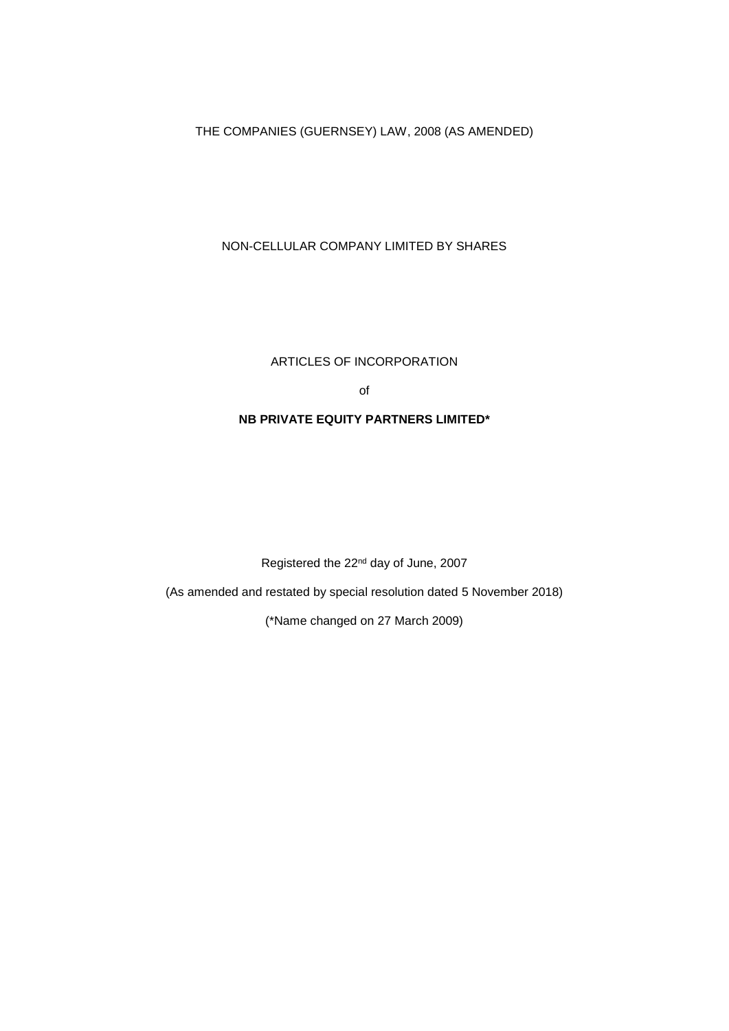THE COMPANIES (GUERNSEY) LAW, 2008 (AS AMENDED)

# NON-CELLULAR COMPANY LIMITED BY SHARES

# ARTICLES OF INCORPORATION

of

## **NB PRIVATE EQUITY PARTNERS LIMITED\***

Registered the 22nd day of June, 2007

(As amended and restated by special resolution dated 5 November 2018)

(\*Name changed on 27 March 2009)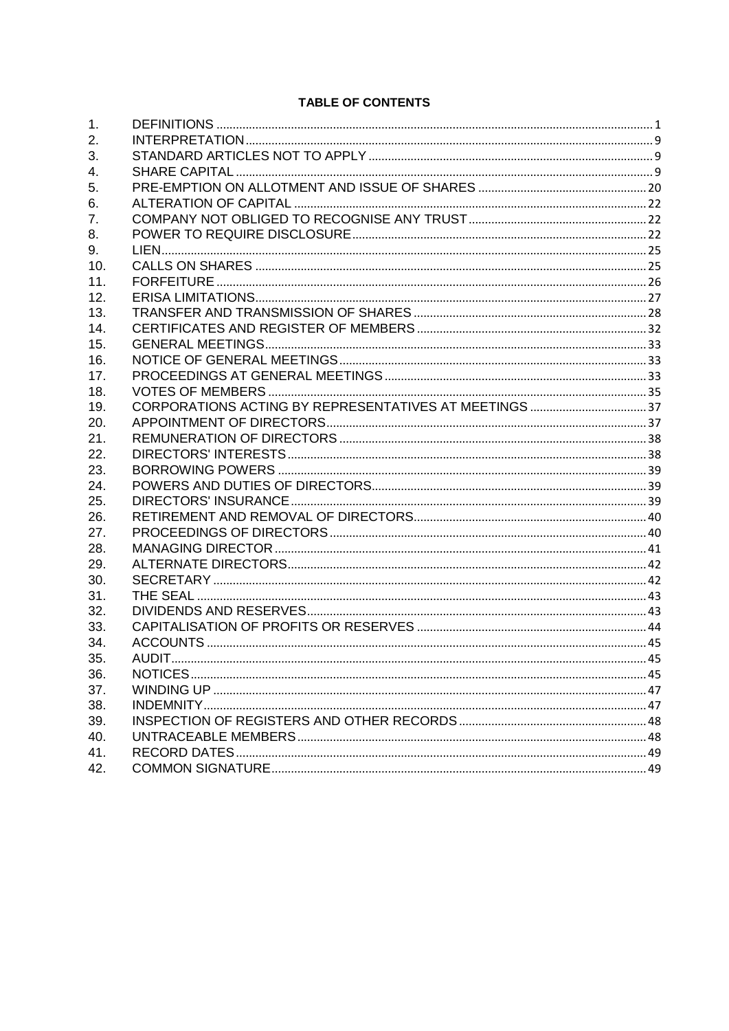# **TABLE OF CONTENTS**

| 1.  |  |
|-----|--|
| 2.  |  |
| 3.  |  |
| 4.  |  |
| 5.  |  |
| 6.  |  |
| 7.  |  |
| 8.  |  |
| 9.  |  |
| 10. |  |
| 11. |  |
| 12. |  |
| 13. |  |
| 14. |  |
| 15. |  |
| 16. |  |
| 17. |  |
| 18. |  |
| 19. |  |
| 20. |  |
| 21. |  |
| 22. |  |
| 23. |  |
| 24. |  |
| 25. |  |
| 26. |  |
| 27. |  |
| 28. |  |
| 29. |  |
| 30. |  |
| 31. |  |
| 32. |  |
| 33. |  |
| 34. |  |
| 35. |  |
| 36. |  |
| 37. |  |
| 38. |  |
| 39. |  |
| 40. |  |
| 41. |  |
| 42. |  |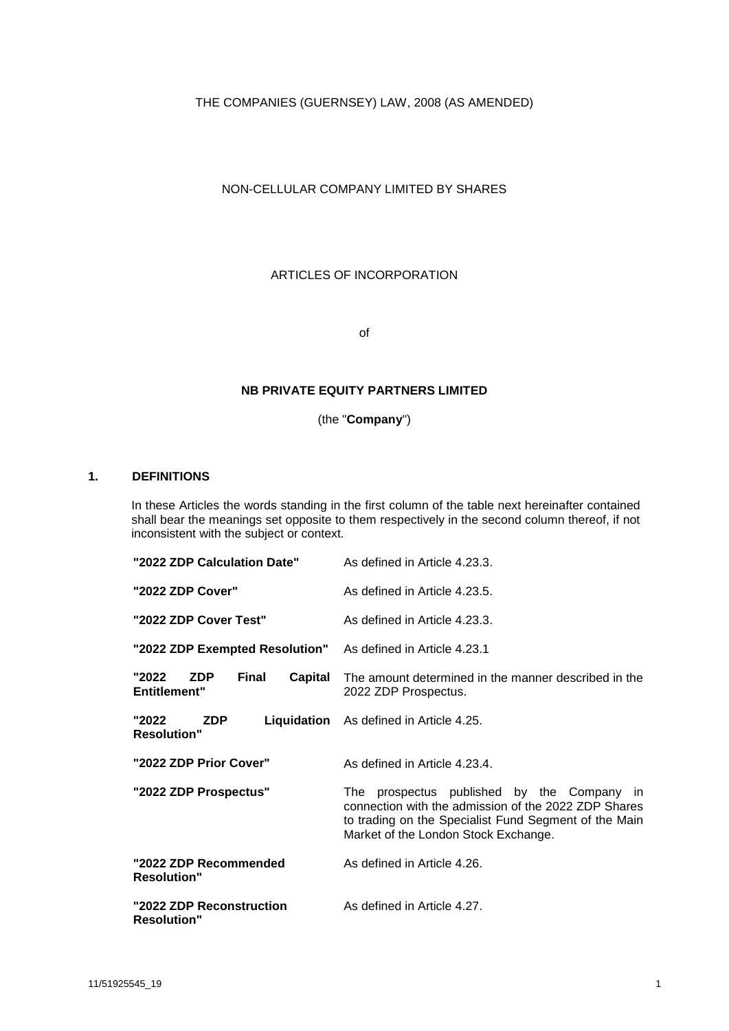THE COMPANIES (GUERNSEY) LAW, 2008 (AS AMENDED)

## NON-CELLULAR COMPANY LIMITED BY SHARES

ARTICLES OF INCORPORATION

of

## **NB PRIVATE EQUITY PARTNERS LIMITED**

(the "**Company**")

# <span id="page-2-0"></span>**1. DEFINITIONS**

In these Articles the words standing in the first column of the table next hereinafter contained shall bear the meanings set opposite to them respectively in the second column thereof, if not inconsistent with the subject or context.

| "2022 ZDP Calculation Date"                                 | As defined in Article 4.23.3.                                                                                                                                                                       |
|-------------------------------------------------------------|-----------------------------------------------------------------------------------------------------------------------------------------------------------------------------------------------------|
| "2022 ZDP Cover"                                            | As defined in Article 4.23.5.                                                                                                                                                                       |
| "2022 ZDP Cover Test"                                       | As defined in Article 4.23.3.                                                                                                                                                                       |
| "2022 ZDP Exempted Resolution" As defined in Article 4.23.1 |                                                                                                                                                                                                     |
| "2022<br>Final<br><b>ZDP</b><br><b>Entitlement"</b>         | <b>Capital</b> The amount determined in the manner described in the<br>2022 ZDP Prospectus.                                                                                                         |
| "2022<br><b>ZDP</b><br><b>Resolution"</b>                   | <b>Liquidation</b> As defined in Article 4.25.                                                                                                                                                      |
| "2022 ZDP Prior Cover"                                      | As defined in Article 4.23.4.                                                                                                                                                                       |
| "2022 ZDP Prospectus"                                       | The prospectus published by the Company in<br>connection with the admission of the 2022 ZDP Shares<br>to trading on the Specialist Fund Segment of the Main<br>Market of the London Stock Exchange. |
| "2022 ZDP Recommended<br><b>Resolution"</b>                 | As defined in Article 4.26.                                                                                                                                                                         |
| "2022 ZDP Reconstruction<br><b>Resolution"</b>              | As defined in Article 4.27.                                                                                                                                                                         |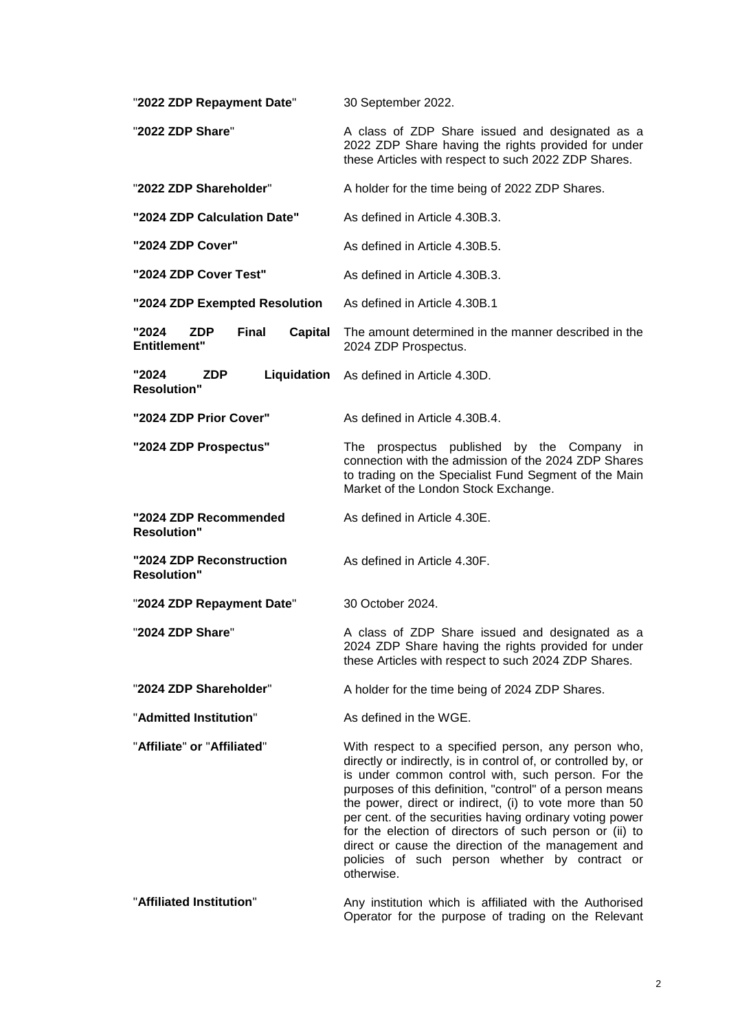| "2022 ZDP Repayment Date"                                             | 30 September 2022.                                                                                                                                                                                                                                                                                                                                                                                                                                                                                                                               |
|-----------------------------------------------------------------------|--------------------------------------------------------------------------------------------------------------------------------------------------------------------------------------------------------------------------------------------------------------------------------------------------------------------------------------------------------------------------------------------------------------------------------------------------------------------------------------------------------------------------------------------------|
| "2022 ZDP Share"                                                      | A class of ZDP Share issued and designated as a<br>2022 ZDP Share having the rights provided for under<br>these Articles with respect to such 2022 ZDP Shares.                                                                                                                                                                                                                                                                                                                                                                                   |
| "2022 ZDP Shareholder"                                                | A holder for the time being of 2022 ZDP Shares.                                                                                                                                                                                                                                                                                                                                                                                                                                                                                                  |
| "2024 ZDP Calculation Date"                                           | As defined in Article 4.30B.3.                                                                                                                                                                                                                                                                                                                                                                                                                                                                                                                   |
| "2024 ZDP Cover"                                                      | As defined in Article 4.30B.5.                                                                                                                                                                                                                                                                                                                                                                                                                                                                                                                   |
| "2024 ZDP Cover Test"                                                 | As defined in Article 4.30B.3.                                                                                                                                                                                                                                                                                                                                                                                                                                                                                                                   |
| "2024 ZDP Exempted Resolution                                         | As defined in Article 4.30B.1                                                                                                                                                                                                                                                                                                                                                                                                                                                                                                                    |
| "2024<br><b>Final</b><br><b>ZDP</b><br>Capital<br><b>Entitlement"</b> | The amount determined in the manner described in the<br>2024 ZDP Prospectus.                                                                                                                                                                                                                                                                                                                                                                                                                                                                     |
| "2024<br><b>ZDP</b><br><b>Resolution"</b>                             | Liquidation As defined in Article 4.30D.                                                                                                                                                                                                                                                                                                                                                                                                                                                                                                         |
| "2024 ZDP Prior Cover"                                                | As defined in Article 4.30B.4.                                                                                                                                                                                                                                                                                                                                                                                                                                                                                                                   |
| "2024 ZDP Prospectus"                                                 | The prospectus published by the Company<br>$\mathsf{I}$<br>connection with the admission of the 2024 ZDP Shares<br>to trading on the Specialist Fund Segment of the Main<br>Market of the London Stock Exchange.                                                                                                                                                                                                                                                                                                                                 |
| "2024 ZDP Recommended<br><b>Resolution"</b>                           | As defined in Article 4.30E.                                                                                                                                                                                                                                                                                                                                                                                                                                                                                                                     |
| "2024 ZDP Reconstruction<br><b>Resolution"</b>                        | As defined in Article 4.30F.                                                                                                                                                                                                                                                                                                                                                                                                                                                                                                                     |
| "2024 ZDP Repayment Date"                                             | 30 October 2024.                                                                                                                                                                                                                                                                                                                                                                                                                                                                                                                                 |
| "2024 ZDP Share"                                                      | A class of ZDP Share issued and designated as a<br>2024 ZDP Share having the rights provided for under<br>these Articles with respect to such 2024 ZDP Shares.                                                                                                                                                                                                                                                                                                                                                                                   |
| "2024 ZDP Shareholder"                                                | A holder for the time being of 2024 ZDP Shares.                                                                                                                                                                                                                                                                                                                                                                                                                                                                                                  |
| "Admitted Institution"                                                | As defined in the WGE.                                                                                                                                                                                                                                                                                                                                                                                                                                                                                                                           |
| "Affiliate" or "Affiliated"                                           | With respect to a specified person, any person who,<br>directly or indirectly, is in control of, or controlled by, or<br>is under common control with, such person. For the<br>purposes of this definition, "control" of a person means<br>the power, direct or indirect, (i) to vote more than 50<br>per cent. of the securities having ordinary voting power<br>for the election of directors of such person or (ii) to<br>direct or cause the direction of the management and<br>policies of such person whether by contract or<br>otherwise. |
| "Affiliated Institution"                                              | Any institution which is affiliated with the Authorised                                                                                                                                                                                                                                                                                                                                                                                                                                                                                          |

#### "**Affiliated Institution**" Any institution which is affiliated with the Authorised Operator for the purpose of trading on the Relevant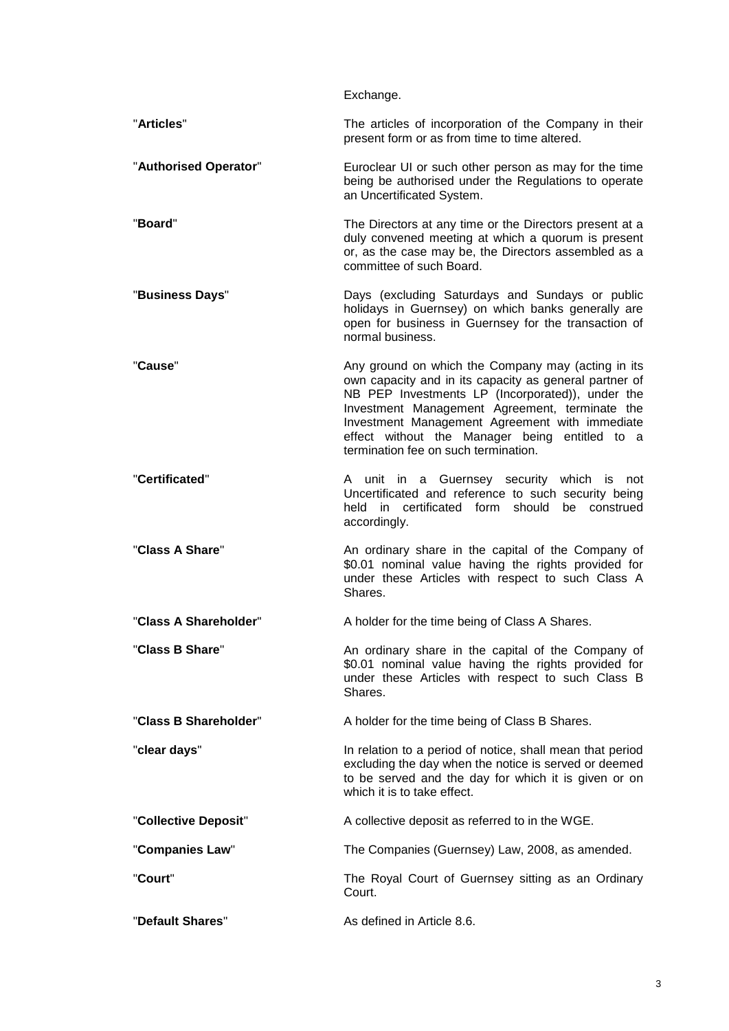|                       | Exchange.                                                                                                                                                                                                                                                                                                                                                      |
|-----------------------|----------------------------------------------------------------------------------------------------------------------------------------------------------------------------------------------------------------------------------------------------------------------------------------------------------------------------------------------------------------|
| "Articles"            | The articles of incorporation of the Company in their<br>present form or as from time to time altered.                                                                                                                                                                                                                                                         |
| "Authorised Operator" | Euroclear UI or such other person as may for the time<br>being be authorised under the Regulations to operate<br>an Uncertificated System.                                                                                                                                                                                                                     |
| "Board"               | The Directors at any time or the Directors present at a<br>duly convened meeting at which a quorum is present<br>or, as the case may be, the Directors assembled as a<br>committee of such Board.                                                                                                                                                              |
| "Business Days"       | Days (excluding Saturdays and Sundays or public<br>holidays in Guernsey) on which banks generally are<br>open for business in Guernsey for the transaction of<br>normal business                                                                                                                                                                               |
| "Cause"               | Any ground on which the Company may (acting in its<br>own capacity and in its capacity as general partner of<br>NB PEP Investments LP (Incorporated)), under the<br>Investment Management Agreement, terminate the<br>Investment Management Agreement with immediate<br>effect without the Manager being entitled to a<br>termination fee on such termination. |
| "Certificated"        | A unit in a Guernsey security which is not<br>Uncertificated and reference to such security being<br>held in certificated form should<br>be construed<br>accordingly.                                                                                                                                                                                          |
| "Class A Share"       | An ordinary share in the capital of the Company of<br>\$0.01 nominal value having the rights provided for<br>under these Articles with respect to such Class A<br>Shares.                                                                                                                                                                                      |
| "Class A Shareholder" | A holder for the time being of Class A Shares.                                                                                                                                                                                                                                                                                                                 |
| "Class B Share"       | An ordinary share in the capital of the Company of<br>\$0.01 nominal value having the rights provided for<br>under these Articles with respect to such Class B<br>Shares.                                                                                                                                                                                      |
| "Class B Shareholder" | A holder for the time being of Class B Shares.                                                                                                                                                                                                                                                                                                                 |
| "clear days"          | In relation to a period of notice, shall mean that period<br>excluding the day when the notice is served or deemed<br>to be served and the day for which it is given or on<br>which it is to take effect.                                                                                                                                                      |
| "Collective Deposit"  | A collective deposit as referred to in the WGE.                                                                                                                                                                                                                                                                                                                |
| "Companies Law"       | The Companies (Guernsey) Law, 2008, as amended.                                                                                                                                                                                                                                                                                                                |
| "Court"               | The Royal Court of Guernsey sitting as an Ordinary<br>Court.                                                                                                                                                                                                                                                                                                   |
| "Default Shares"      | As defined in Article 8.6.                                                                                                                                                                                                                                                                                                                                     |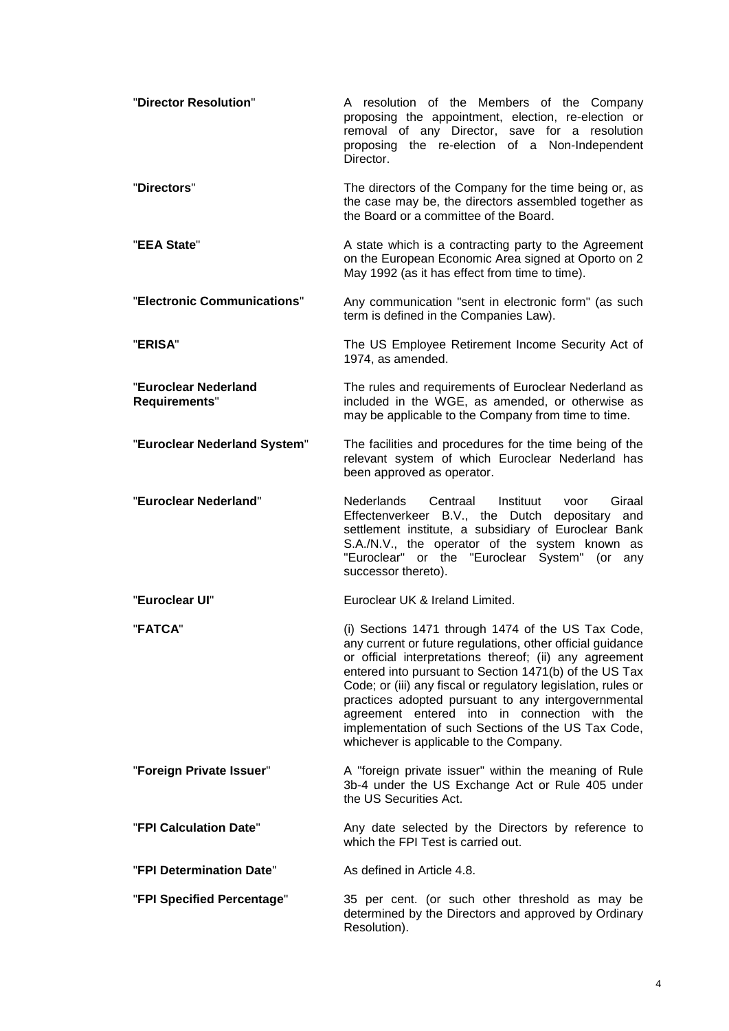| "Director Resolution"                 | A resolution of the Members of the Company<br>proposing the appointment, election, re-election or<br>removal of any Director, save for a resolution<br>proposing the re-election of a Non-Independent<br>Director.                                                                                                                                                                                                                                                                                               |
|---------------------------------------|------------------------------------------------------------------------------------------------------------------------------------------------------------------------------------------------------------------------------------------------------------------------------------------------------------------------------------------------------------------------------------------------------------------------------------------------------------------------------------------------------------------|
| "Directors"                           | The directors of the Company for the time being or, as<br>the case may be, the directors assembled together as<br>the Board or a committee of the Board.                                                                                                                                                                                                                                                                                                                                                         |
| "EEA State"                           | A state which is a contracting party to the Agreement<br>on the European Economic Area signed at Oporto on 2<br>May 1992 (as it has effect from time to time).                                                                                                                                                                                                                                                                                                                                                   |
| "Electronic Communications"           | Any communication "sent in electronic form" (as such<br>term is defined in the Companies Law).                                                                                                                                                                                                                                                                                                                                                                                                                   |
| "ERISA"                               | The US Employee Retirement Income Security Act of<br>1974, as amended.                                                                                                                                                                                                                                                                                                                                                                                                                                           |
| "Euroclear Nederland<br>Requirements" | The rules and requirements of Euroclear Nederland as<br>included in the WGE, as amended, or otherwise as<br>may be applicable to the Company from time to time.                                                                                                                                                                                                                                                                                                                                                  |
| "Euroclear Nederland System"          | The facilities and procedures for the time being of the<br>relevant system of which Euroclear Nederland has<br>been approved as operator.                                                                                                                                                                                                                                                                                                                                                                        |
| "Euroclear Nederland"                 | Centraal<br>Nederlands<br>Instituut<br>Giraal<br>voor<br>Effectenverkeer B.V., the Dutch depositary and<br>settlement institute, a subsidiary of Euroclear Bank<br>S.A./N.V., the operator of the system known as<br>"Euroclear" or the "Euroclear System" (or<br>any<br>successor thereto).                                                                                                                                                                                                                     |
| "Euroclear UI"                        | Euroclear UK & Ireland Limited.                                                                                                                                                                                                                                                                                                                                                                                                                                                                                  |
| "FATCA"                               | (i) Sections 1471 through 1474 of the US Tax Code,<br>any current or future regulations, other official guidance<br>or official interpretations thereof; (ii) any agreement<br>entered into pursuant to Section 1471(b) of the US Tax<br>Code; or (iii) any fiscal or regulatory legislation, rules or<br>practices adopted pursuant to any intergovernmental<br>agreement entered into in connection with the<br>implementation of such Sections of the US Tax Code,<br>whichever is applicable to the Company. |
| "Foreign Private Issuer"              | A "foreign private issuer" within the meaning of Rule<br>3b-4 under the US Exchange Act or Rule 405 under<br>the US Securities Act.                                                                                                                                                                                                                                                                                                                                                                              |
| "FPI Calculation Date"                | Any date selected by the Directors by reference to<br>which the FPI Test is carried out.                                                                                                                                                                                                                                                                                                                                                                                                                         |
| "FPI Determination Date"              | As defined in Article 4.8.                                                                                                                                                                                                                                                                                                                                                                                                                                                                                       |
| "FPI Specified Percentage"            | 35 per cent. (or such other threshold as may be<br>determined by the Directors and approved by Ordinary<br>Resolution).                                                                                                                                                                                                                                                                                                                                                                                          |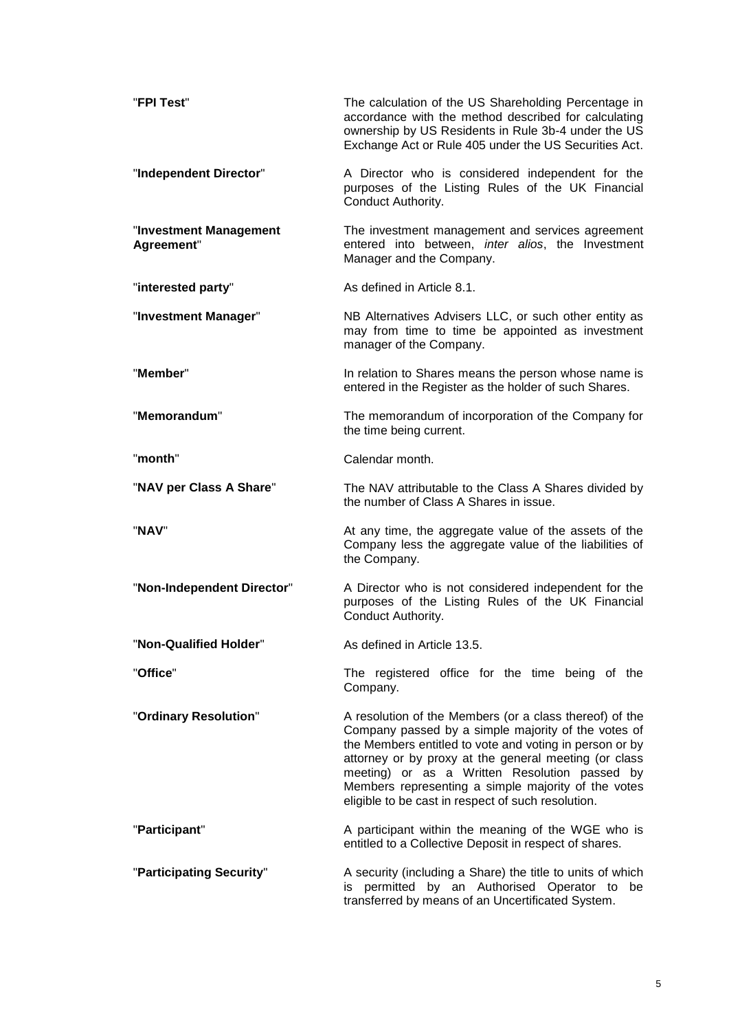| "FPI Test"                           | The calculation of the US Shareholding Percentage in<br>accordance with the method described for calculating<br>ownership by US Residents in Rule 3b-4 under the US<br>Exchange Act or Rule 405 under the US Securities Act.                                                                                                                                                                     |
|--------------------------------------|--------------------------------------------------------------------------------------------------------------------------------------------------------------------------------------------------------------------------------------------------------------------------------------------------------------------------------------------------------------------------------------------------|
| "Independent Director"               | A Director who is considered independent for the<br>purposes of the Listing Rules of the UK Financial<br>Conduct Authority.                                                                                                                                                                                                                                                                      |
| "Investment Management<br>Agreement" | The investment management and services agreement<br>entered into between, inter alios, the Investment<br>Manager and the Company.                                                                                                                                                                                                                                                                |
| "interested party"                   | As defined in Article 8.1.                                                                                                                                                                                                                                                                                                                                                                       |
| "Investment Manager"                 | NB Alternatives Advisers LLC, or such other entity as<br>may from time to time be appointed as investment<br>manager of the Company.                                                                                                                                                                                                                                                             |
| "Member"                             | In relation to Shares means the person whose name is<br>entered in the Register as the holder of such Shares.                                                                                                                                                                                                                                                                                    |
| "Memorandum"                         | The memorandum of incorporation of the Company for<br>the time being current.                                                                                                                                                                                                                                                                                                                    |
| "month"                              | Calendar month.                                                                                                                                                                                                                                                                                                                                                                                  |
| "NAV per Class A Share"              | The NAV attributable to the Class A Shares divided by<br>the number of Class A Shares in issue.                                                                                                                                                                                                                                                                                                  |
| "NAV"                                | At any time, the aggregate value of the assets of the<br>Company less the aggregate value of the liabilities of<br>the Company.                                                                                                                                                                                                                                                                  |
| "Non-Independent Director"           | A Director who is not considered independent for the<br>purposes of the Listing Rules of the UK Financial<br>Conduct Authority.                                                                                                                                                                                                                                                                  |
| 'Non-Qualified Holder"               | As defined in Article 13.5.                                                                                                                                                                                                                                                                                                                                                                      |
| "Office"                             | The registered office for the time being of the<br>Company.                                                                                                                                                                                                                                                                                                                                      |
| "Ordinary Resolution"                | A resolution of the Members (or a class thereof) of the<br>Company passed by a simple majority of the votes of<br>the Members entitled to vote and voting in person or by<br>attorney or by proxy at the general meeting (or class<br>meeting) or as a Written Resolution passed by<br>Members representing a simple majority of the votes<br>eligible to be cast in respect of such resolution. |
| "Participant"                        | A participant within the meaning of the WGE who is<br>entitled to a Collective Deposit in respect of shares.                                                                                                                                                                                                                                                                                     |
| "Participating Security"             | A security (including a Share) the title to units of which<br>is permitted by an Authorised Operator to<br>be<br>transferred by means of an Uncertificated System.                                                                                                                                                                                                                               |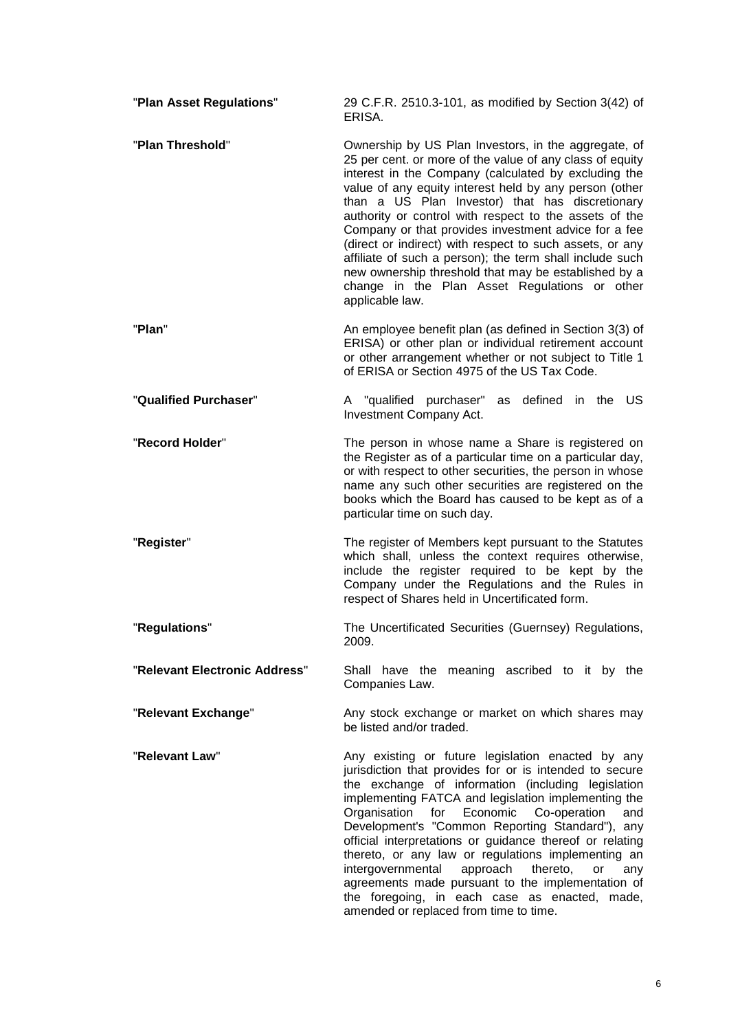| "Plan Asset Regulations"      | 29 C.F.R. 2510.3-101, as modified by Section 3(42) of<br>ERISA.                                                                                                                                                                                                                                                                                                                                                                                                                                                                                                                                                                                             |
|-------------------------------|-------------------------------------------------------------------------------------------------------------------------------------------------------------------------------------------------------------------------------------------------------------------------------------------------------------------------------------------------------------------------------------------------------------------------------------------------------------------------------------------------------------------------------------------------------------------------------------------------------------------------------------------------------------|
| "Plan Threshold"              | Ownership by US Plan Investors, in the aggregate, of<br>25 per cent. or more of the value of any class of equity<br>interest in the Company (calculated by excluding the<br>value of any equity interest held by any person (other<br>than a US Plan Investor) that has discretionary<br>authority or control with respect to the assets of the<br>Company or that provides investment advice for a fee<br>(direct or indirect) with respect to such assets, or any<br>affiliate of such a person); the term shall include such<br>new ownership threshold that may be established by a<br>change in the Plan Asset Regulations or other<br>applicable law. |
| "Plan"                        | An employee benefit plan (as defined in Section 3(3) of<br>ERISA) or other plan or individual retirement account<br>or other arrangement whether or not subject to Title 1<br>of ERISA or Section 4975 of the US Tax Code.                                                                                                                                                                                                                                                                                                                                                                                                                                  |
| "Qualified Purchaser"         | A "qualified purchaser" as defined in the US<br>Investment Company Act.                                                                                                                                                                                                                                                                                                                                                                                                                                                                                                                                                                                     |
| "Record Holder"               | The person in whose name a Share is registered on<br>the Register as of a particular time on a particular day,<br>or with respect to other securities, the person in whose<br>name any such other securities are registered on the<br>books which the Board has caused to be kept as of a<br>particular time on such day.                                                                                                                                                                                                                                                                                                                                   |
| "Register"                    | The register of Members kept pursuant to the Statutes<br>which shall, unless the context requires otherwise,<br>include the register required to be kept by the<br>Company under the Regulations and the Rules in<br>respect of Shares held in Uncertificated form.                                                                                                                                                                                                                                                                                                                                                                                         |
| "Regulations"                 | The Uncertificated Securities (Guernsey) Regulations,<br>2009.                                                                                                                                                                                                                                                                                                                                                                                                                                                                                                                                                                                              |
| "Relevant Electronic Address" | Shall have the meaning ascribed to it by the<br>Companies Law.                                                                                                                                                                                                                                                                                                                                                                                                                                                                                                                                                                                              |
| "Relevant Exchange"           | Any stock exchange or market on which shares may<br>be listed and/or traded.                                                                                                                                                                                                                                                                                                                                                                                                                                                                                                                                                                                |
| "Relevant Law"                | Any existing or future legislation enacted by any<br>jurisdiction that provides for or is intended to secure<br>the exchange of information (including legislation<br>implementing FATCA and legislation implementing the<br>Organisation for Economic Co-operation<br>and<br>Development's "Common Reporting Standard"), any<br>official interpretations or guidance thereof or relating<br>thereto, or any law or regulations implementing an<br>intergovernmental<br>approach<br>thereto,<br>or<br>any<br>agreements made pursuant to the implementation of<br>the foregoing, in each case as enacted, made,<br>amended or replaced from time to time.   |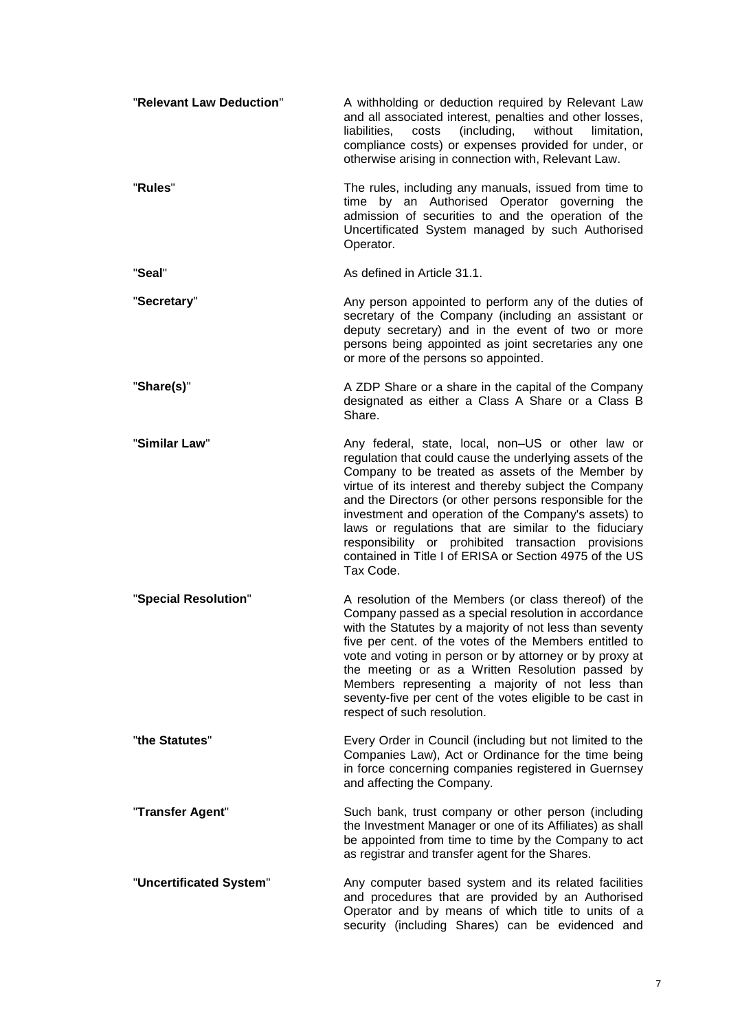| "Relevant Law Deduction" | A withholding or deduction required by Relevant Law<br>and all associated interest, penalties and other losses,<br>(including,<br>liabilities,<br>costs<br>without<br>limitation,<br>compliance costs) or expenses provided for under, or<br>otherwise arising in connection with, Relevant Law.                                                                                                                                                                                                                                       |
|--------------------------|----------------------------------------------------------------------------------------------------------------------------------------------------------------------------------------------------------------------------------------------------------------------------------------------------------------------------------------------------------------------------------------------------------------------------------------------------------------------------------------------------------------------------------------|
| "Rules"                  | The rules, including any manuals, issued from time to<br>time by an Authorised Operator governing the<br>admission of securities to and the operation of the<br>Uncertificated System managed by such Authorised<br>Operator.                                                                                                                                                                                                                                                                                                          |
| "Seal"                   | As defined in Article 31.1.                                                                                                                                                                                                                                                                                                                                                                                                                                                                                                            |
| "Secretary"              | Any person appointed to perform any of the duties of<br>secretary of the Company (including an assistant or<br>deputy secretary) and in the event of two or more<br>persons being appointed as joint secretaries any one<br>or more of the persons so appointed.                                                                                                                                                                                                                                                                       |
| "Share(s)"               | A ZDP Share or a share in the capital of the Company<br>designated as either a Class A Share or a Class B<br>Share.                                                                                                                                                                                                                                                                                                                                                                                                                    |
| "Similar Law"            | Any federal, state, local, non-US or other law or<br>regulation that could cause the underlying assets of the<br>Company to be treated as assets of the Member by<br>virtue of its interest and thereby subject the Company<br>and the Directors (or other persons responsible for the<br>investment and operation of the Company's assets) to<br>laws or regulations that are similar to the fiduciary<br>responsibility or prohibited transaction provisions<br>contained in Title I of ERISA or Section 4975 of the US<br>Tax Code. |
| "Special Resolution"     | A resolution of the Members (or class thereof) of the<br>Company passed as a special resolution in accordance<br>with the Statutes by a majority of not less than seventy<br>five per cent. of the votes of the Members entitled to<br>vote and voting in person or by attorney or by proxy at<br>the meeting or as a Written Resolution passed by<br>Members representing a majority of not less than<br>seventy-five per cent of the votes eligible to be cast in<br>respect of such resolution.                                     |
| "the Statutes"           | Every Order in Council (including but not limited to the<br>Companies Law), Act or Ordinance for the time being<br>in force concerning companies registered in Guernsey<br>and affecting the Company.                                                                                                                                                                                                                                                                                                                                  |
| "Transfer Agent"         | Such bank, trust company or other person (including<br>the Investment Manager or one of its Affiliates) as shall<br>be appointed from time to time by the Company to act<br>as registrar and transfer agent for the Shares.                                                                                                                                                                                                                                                                                                            |
| "Uncertificated System"  | Any computer based system and its related facilities<br>and procedures that are provided by an Authorised<br>Operator and by means of which title to units of a<br>security (including Shares) can be evidenced and                                                                                                                                                                                                                                                                                                                    |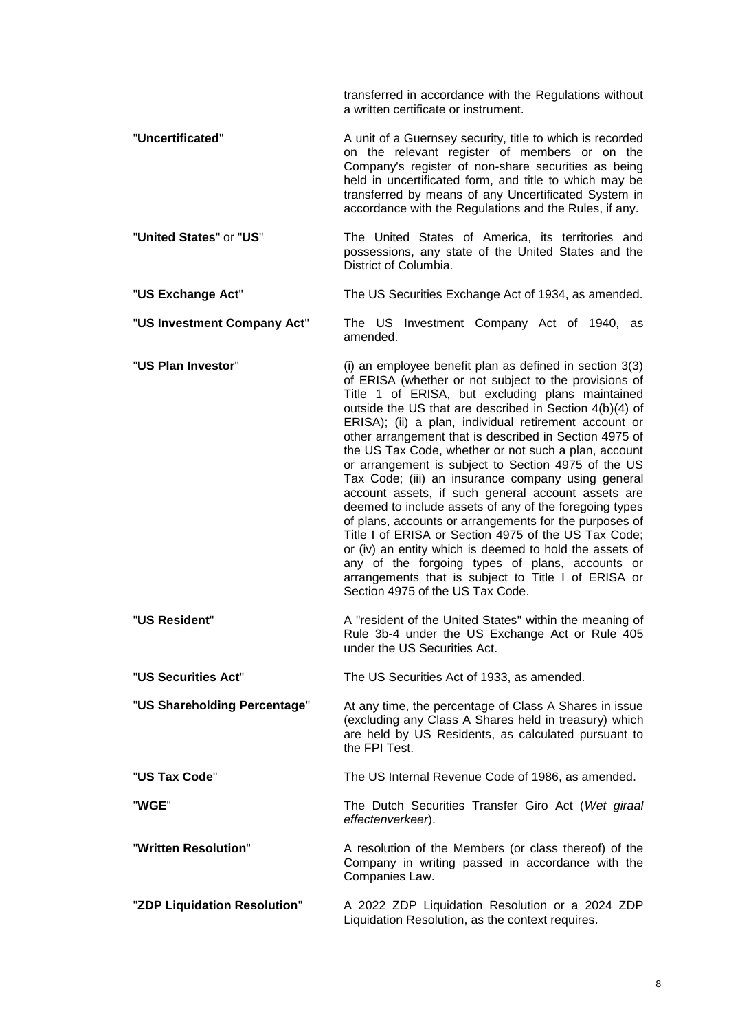transferred in accordance with the Regulations without a written certificate or instrument.

- "**Uncertificated**" A unit of a Guernsey security, title to which is recorded on the relevant register of members or on the Company's register of non-share securities as being held in uncertificated form, and title to which may be transferred by means of any Uncertificated System in accordance with the Regulations and the Rules, if any.
- "**United States**" or "**US**" The United States of America, its territories and possessions, any state of the United States and the District of Columbia.
- "**US Exchange Act**" The US Securities Exchange Act of 1934, as amended.

"**US Investment Company Act**" The US Investment Company Act of 1940, as amended.

- "**US Plan Investor**" (i) an employee benefit plan as defined in section 3(3) of ERISA (whether or not subject to the provisions of Title 1 of ERISA, but excluding plans maintained outside the US that are described in Section 4(b)(4) of ERISA); (ii) a plan, individual retirement account or other arrangement that is described in Section 4975 of the US Tax Code, whether or not such a plan, account or arrangement is subject to Section 4975 of the US Tax Code; (iii) an insurance company using general account assets, if such general account assets are deemed to include assets of any of the foregoing types of plans, accounts or arrangements for the purposes of Title I of ERISA or Section 4975 of the US Tax Code; or (iv) an entity which is deemed to hold the assets of any of the forgoing types of plans, accounts or arrangements that is subject to Title I of ERISA or Section 4975 of the US Tax Code.
- "US Resident" A "resident of the United States" within the meaning of Rule 3b-4 under the US Exchange Act or Rule 405 under the US Securities Act.

"**US Securities Act**" The US Securities Act of 1933, as amended.

"**US Shareholding Percentage**" At any time, the percentage of Class A Shares in issue (excluding any Class A Shares held in treasury) which are held by US Residents, as calculated pursuant to the FPI Test.

"**US Tax Code**" The US Internal Revenue Code of 1986, as amended.

"**WGE**" The Dutch Securities Transfer Giro Act (*Wet giraal effectenverkeer*).

"**Written Resolution**" A resolution of the Members (or class thereof) of the Company in writing passed in accordance with the Companies Law.

"**ZDP Liquidation Resolution**" A 2022 ZDP Liquidation Resolution or a 2024 ZDP Liquidation Resolution, as the context requires.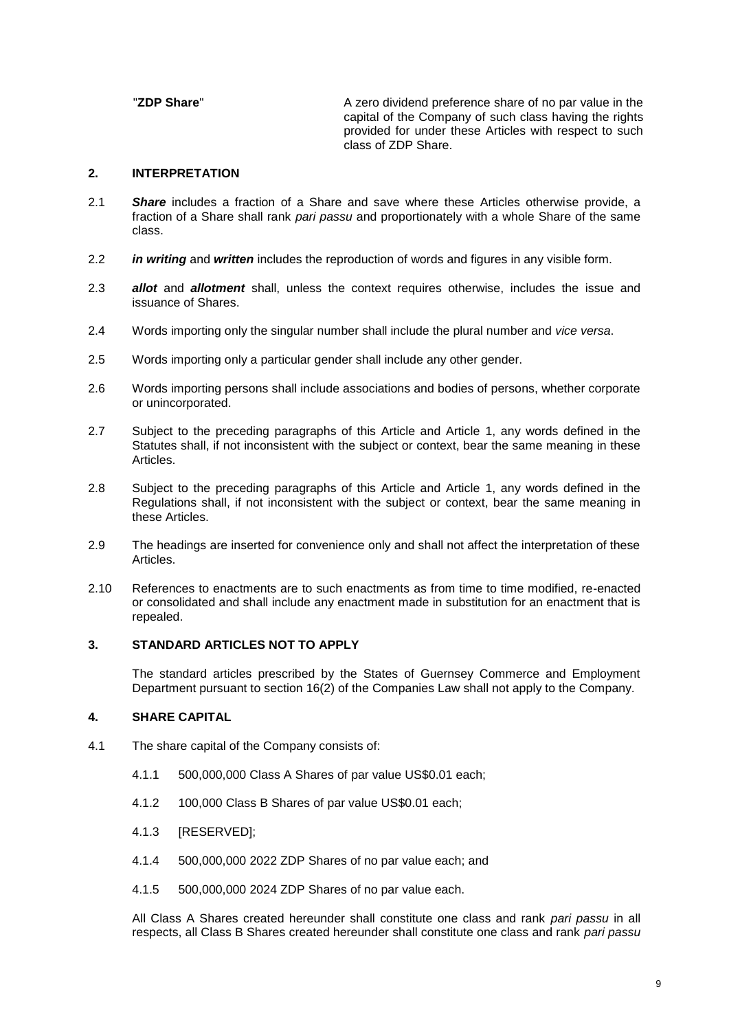"**ZDP Share**" A zero dividend preference share of no par value in the capital of the Company of such class having the rights provided for under these Articles with respect to such class of ZDP Share.

### **2. INTERPRETATION**

- 2.1 *Share* includes a fraction of a Share and save where these Articles otherwise provide, a fraction of a Share shall rank *pari passu* and proportionately with a whole Share of the same class.
- 2.2 *in writing* and *written* includes the reproduction of words and figures in any visible form.
- 2.3 *allot* and *allotment* shall, unless the context requires otherwise, includes the issue and issuance of Shares.
- 2.4 Words importing only the singular number shall include the plural number and *vice versa*.
- 2.5 Words importing only a particular gender shall include any other gender.
- 2.6 Words importing persons shall include associations and bodies of persons, whether corporate or unincorporated.
- 2.7 Subject to the preceding paragraphs of this Article and Article [1,](#page-2-0) any words defined in the Statutes shall, if not inconsistent with the subject or context, bear the same meaning in these Articles.
- 2.8 Subject to the preceding paragraphs of this Article and Article [1,](#page-2-0) any words defined in the Regulations shall, if not inconsistent with the subject or context, bear the same meaning in these Articles.
- 2.9 The headings are inserted for convenience only and shall not affect the interpretation of these Articles.
- 2.10 References to enactments are to such enactments as from time to time modified, re-enacted or consolidated and shall include any enactment made in substitution for an enactment that is repealed.

## **3. STANDARD ARTICLES NOT TO APPLY**

The standard articles prescribed by the States of Guernsey Commerce and Employment Department pursuant to section 16(2) of the Companies Law shall not apply to the Company.

## <span id="page-10-1"></span>**4. SHARE CAPITAL**

- <span id="page-10-0"></span>4.1 The share capital of the Company consists of:
	- 4.1.1 500,000,000 Class A Shares of par value US\$0.01 each;
	- 4.1.2 100,000 Class B Shares of par value US\$0.01 each;
	- 4.1.3 [RESERVED];
	- 4.1.4 500,000,000 2022 ZDP Shares of no par value each; and
	- 4.1.5 500,000,000 2024 ZDP Shares of no par value each.

All Class A Shares created hereunder shall constitute one class and rank *pari passu* in all respects, all Class B Shares created hereunder shall constitute one class and rank *pari passu*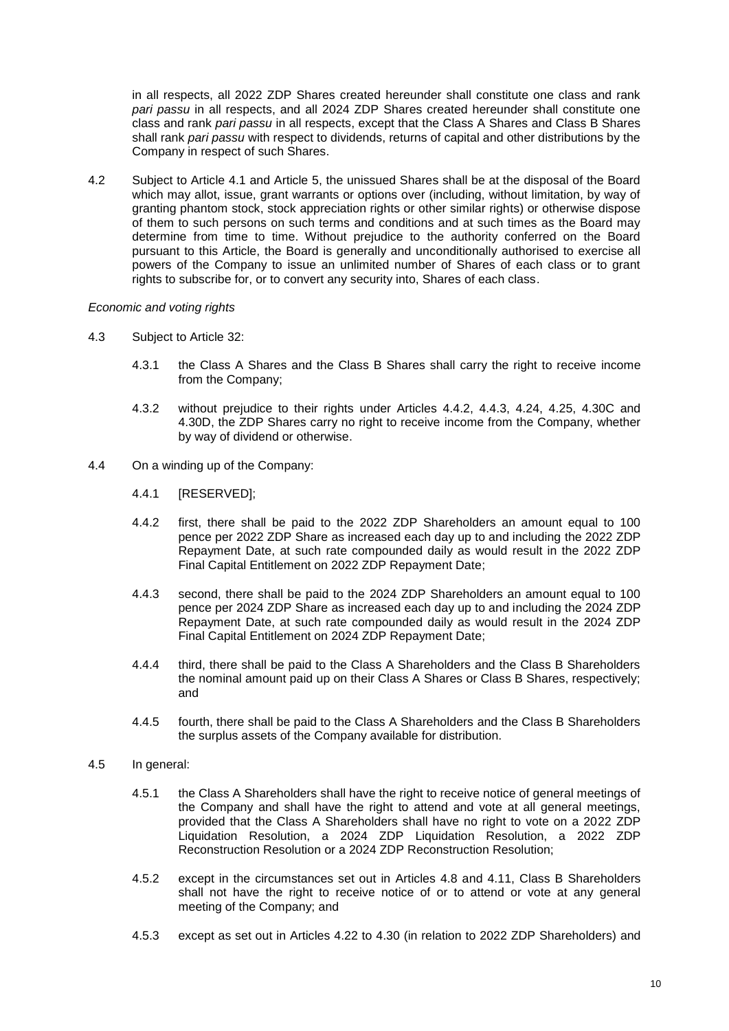in all respects, all 2022 ZDP Shares created hereunder shall constitute one class and rank *pari passu* in all respects, and all 2024 ZDP Shares created hereunder shall constitute one class and rank *pari passu* in all respects, except that the Class A Shares and Class B Shares shall rank *pari passu* with respect to dividends, returns of capital and other distributions by the Company in respect of such Shares.

4.2 Subject to Article [4.1](#page-10-0) and Article [5,](#page-21-0) the unissued Shares shall be at the disposal of the Board which may allot, issue, grant warrants or options over (including, without limitation, by way of granting phantom stock, stock appreciation rights or other similar rights) or otherwise dispose of them to such persons on such terms and conditions and at such times as the Board may determine from time to time. Without prejudice to the authority conferred on the Board pursuant to this Article, the Board is generally and unconditionally authorised to exercise all powers of the Company to issue an unlimited number of Shares of each class or to grant rights to subscribe for, or to convert any security into, Shares of each class.

#### *Economic and voting rights*

- 4.3 Subject to Article [32:](#page-44-1)
	- 4.3.1 the Class A Shares and the Class B Shares shall carry the right to receive income from the Company;
	- 4.3.2 without prejudice to their rights under Articles [4.4.2,](#page-11-0) [4.4.3,](#page-11-1) [4.24,](#page-15-4) [4.25,](#page-15-1) [4.30C](#page-18-3) and [4.30D,](#page-18-1) the ZDP Shares carry no right to receive income from the Company, whether by way of dividend or otherwise.
- <span id="page-11-2"></span><span id="page-11-1"></span><span id="page-11-0"></span>4.4 On a winding up of the Company:
	- 4.4.1 [RESERVED];
	- 4.4.2 first, there shall be paid to the 2022 ZDP Shareholders an amount equal to 100 pence per 2022 ZDP Share as increased each day up to and including the 2022 ZDP Repayment Date, at such rate compounded daily as would result in the 2022 ZDP Final Capital Entitlement on 2022 ZDP Repayment Date;
	- 4.4.3 second, there shall be paid to the 2024 ZDP Shareholders an amount equal to 100 pence per 2024 ZDP Share as increased each day up to and including the 2024 ZDP Repayment Date, at such rate compounded daily as would result in the 2024 ZDP Final Capital Entitlement on 2024 ZDP Repayment Date;
	- 4.4.4 third, there shall be paid to the Class A Shareholders and the Class B Shareholders the nominal amount paid up on their Class A Shares or Class B Shares, respectively; and
	- 4.4.5 fourth, there shall be paid to the Class A Shareholders and the Class B Shareholders the surplus assets of the Company available for distribution.

#### 4.5 In general:

- 4.5.1 the Class A Shareholders shall have the right to receive notice of general meetings of the Company and shall have the right to attend and vote at all general meetings, provided that the Class A Shareholders shall have no right to vote on a 2022 ZDP Liquidation Resolution, a 2024 ZDP Liquidation Resolution, a 2022 ZDP Reconstruction Resolution or a 2024 ZDP Reconstruction Resolution;
- 4.5.2 except in the circumstances set out in Articles [4.8](#page-12-0) and [4.11,](#page-12-1) Class B Shareholders shall not have the right to receive notice of or to attend or vote at any general meeting of the Company; and
- 4.5.3 except as set out in Articles [4.22](#page-13-0) to [4.30](#page-16-1) (in relation to 2022 ZDP Shareholders) and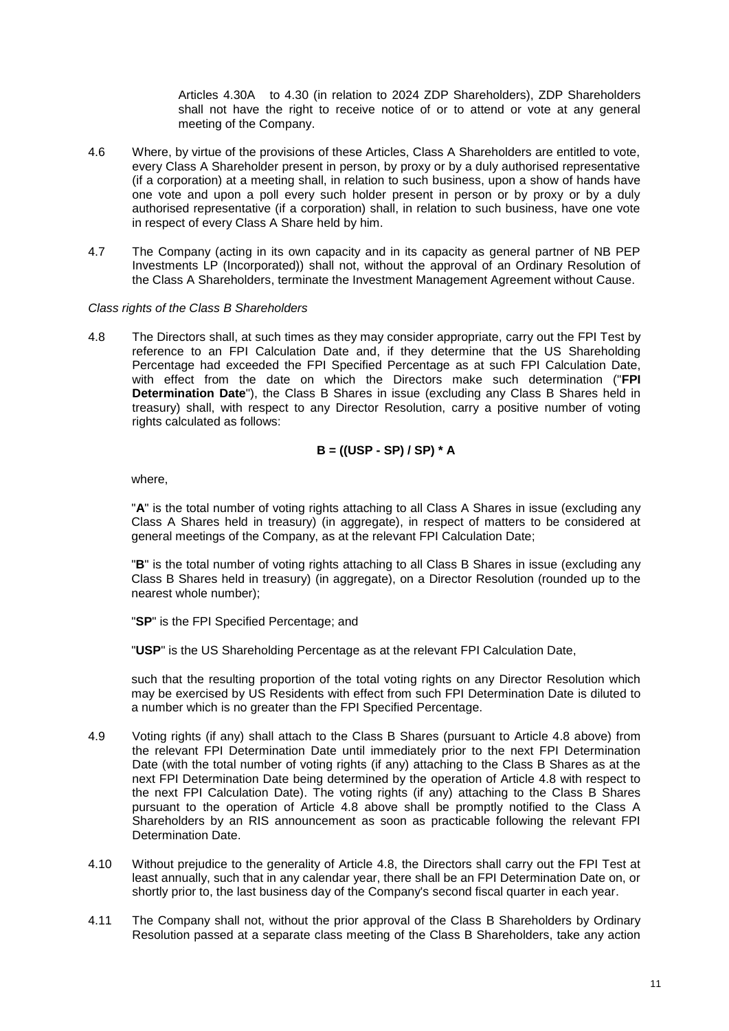Articles [4.30A](#page-16-2) to [4.30](#page-19-1) (in relation to 2024 ZDP Shareholders), ZDP Shareholders shall not have the right to receive notice of or to attend or vote at any general meeting of the Company.

- 4.6 Where, by virtue of the provisions of these Articles, Class A Shareholders are entitled to vote, every Class A Shareholder present in person, by proxy or by a duly authorised representative (if a corporation) at a meeting shall, in relation to such business, upon a show of hands have one vote and upon a poll every such holder present in person or by proxy or by a duly authorised representative (if a corporation) shall, in relation to such business, have one vote in respect of every Class A Share held by him.
- 4.7 The Company (acting in its own capacity and in its capacity as general partner of NB PEP Investments LP (Incorporated)) shall not, without the approval of an Ordinary Resolution of the Class A Shareholders, terminate the Investment Management Agreement without Cause.

### *Class rights of the Class B Shareholders*

<span id="page-12-0"></span>4.8 The Directors shall, at such times as they may consider appropriate, carry out the FPI Test by reference to an FPI Calculation Date and, if they determine that the US Shareholding Percentage had exceeded the FPI Specified Percentage as at such FPI Calculation Date, with effect from the date on which the Directors make such determination ("**FPI Determination Date**"), the Class B Shares in issue (excluding any Class B Shares held in treasury) shall, with respect to any Director Resolution, carry a positive number of voting rights calculated as follows:

# **B = ((USP - SP) / SP) \* A**

where,

"**A**" is the total number of voting rights attaching to all Class A Shares in issue (excluding any Class A Shares held in treasury) (in aggregate), in respect of matters to be considered at general meetings of the Company, as at the relevant FPI Calculation Date;

"**B**" is the total number of voting rights attaching to all Class B Shares in issue (excluding any Class B Shares held in treasury) (in aggregate), on a Director Resolution (rounded up to the nearest whole number);

"**SP**" is the FPI Specified Percentage; and

"**USP**" is the US Shareholding Percentage as at the relevant FPI Calculation Date,

such that the resulting proportion of the total voting rights on any Director Resolution which may be exercised by US Residents with effect from such FPI Determination Date is diluted to a number which is no greater than the FPI Specified Percentage.

- 4.9 Voting rights (if any) shall attach to the Class B Shares (pursuant to Article [4.8](#page-12-0) above) from the relevant FPI Determination Date until immediately prior to the next FPI Determination Date (with the total number of voting rights (if any) attaching to the Class B Shares as at the next FPI Determination Date being determined by the operation of Article [4.8](#page-12-0) with respect to the next FPI Calculation Date). The voting rights (if any) attaching to the Class B Shares pursuant to the operation of Article [4.8](#page-12-0) above shall be promptly notified to the Class A Shareholders by an RIS announcement as soon as practicable following the relevant FPI Determination Date.
- 4.10 Without prejudice to the generality of Article [4.8,](#page-12-0) the Directors shall carry out the FPI Test at least annually, such that in any calendar year, there shall be an FPI Determination Date on, or shortly prior to, the last business day of the Company's second fiscal quarter in each year.
- <span id="page-12-1"></span>4.11 The Company shall not, without the prior approval of the Class B Shareholders by Ordinary Resolution passed at a separate class meeting of the Class B Shareholders, take any action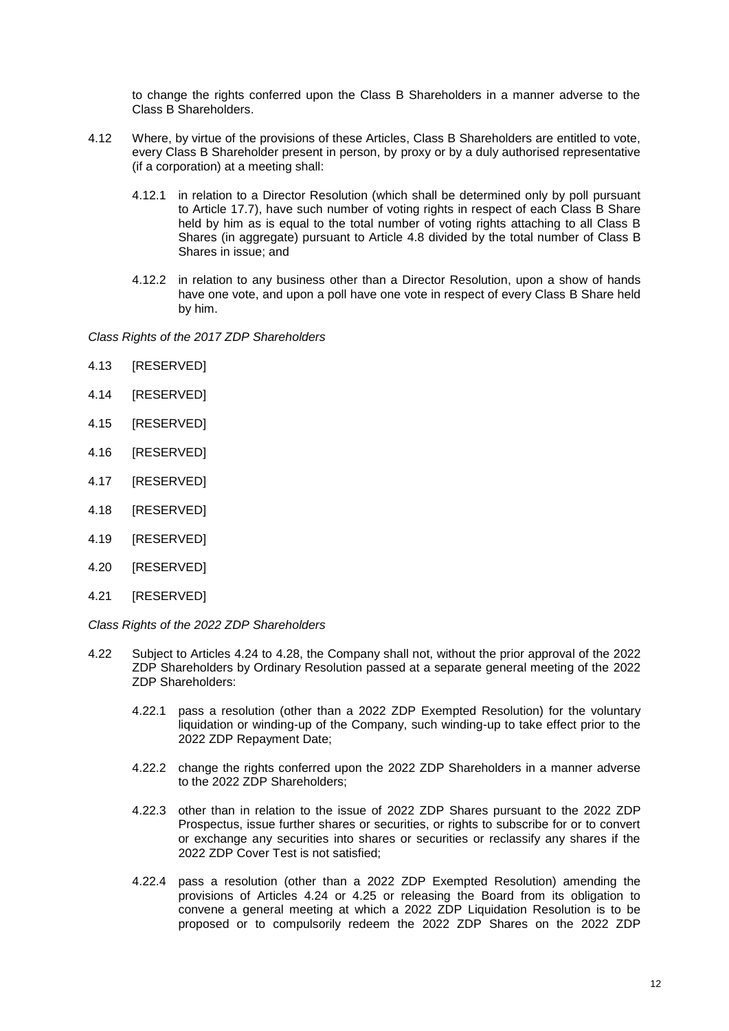to change the rights conferred upon the Class B Shareholders in a manner adverse to the Class B Shareholders.

- <span id="page-13-2"></span>4.12 Where, by virtue of the provisions of these Articles, Class B Shareholders are entitled to vote, every Class B Shareholder present in person, by proxy or by a duly authorised representative (if a corporation) at a meeting shall:
	- 4.12.1 in relation to a Director Resolution (which shall be determined only by poll pursuant to Article [17.7\)](#page-35-0), have such number of voting rights in respect of each Class B Share held by him as is equal to the total number of voting rights attaching to all Class B Shares (in aggregate) pursuant to Article [4.8](#page-12-0) divided by the total number of Class B Shares in issue; and
	- 4.12.2 in relation to any business other than a Director Resolution, upon a show of hands have one vote, and upon a poll have one vote in respect of every Class B Share held by him.

*Class Rights of the 2017 ZDP Shareholders*

- 4.13 [RESERVED]
- 4.14 [RESERVED]
- 4.15 [RESERVED]
- 4.16 **IRESERVEDI**
- 4.17 [RESERVED]
- 4.18 [RESERVED]
- 4.19 [RESERVED]
- 4.20 [RESERVED]
- 4.21 [RESERVED]

*Class Rights of the 2022 ZDP Shareholders*

- <span id="page-13-1"></span><span id="page-13-0"></span>4.22 Subject to Articles [4.24](#page-15-4) to [4.28,](#page-16-3) the Company shall not, without the prior approval of the 2022 ZDP Shareholders by Ordinary Resolution passed at a separate general meeting of the 2022 ZDP Shareholders:
	- 4.22.1 pass a resolution (other than a 2022 ZDP Exempted Resolution) for the voluntary liquidation or winding-up of the Company, such winding-up to take effect prior to the 2022 ZDP Repayment Date;
	- 4.22.2 change the rights conferred upon the 2022 ZDP Shareholders in a manner adverse to the 2022 ZDP Shareholders;
	- 4.22.3 other than in relation to the issue of 2022 ZDP Shares pursuant to the 2022 ZDP Prospectus, issue further shares or securities, or rights to subscribe for or to convert or exchange any securities into shares or securities or reclassify any shares if the 2022 ZDP Cover Test is not satisfied;
	- 4.22.4 pass a resolution (other than a 2022 ZDP Exempted Resolution) amending the provisions of Articles [4.24](#page-15-4) or [4.25](#page-15-1) or releasing the Board from its obligation to convene a general meeting at which a 2022 ZDP Liquidation Resolution is to be proposed or to compulsorily redeem the 2022 ZDP Shares on the 2022 ZDP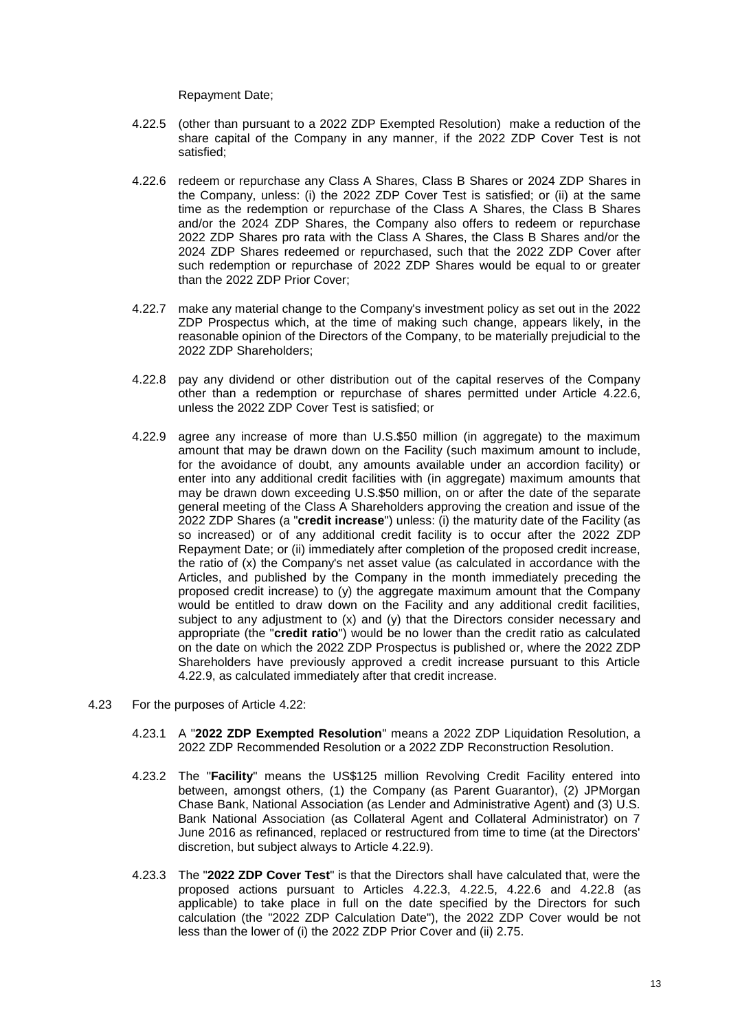Repayment Date;

- <span id="page-14-4"></span>4.22.5 (other than pursuant to a 2022 ZDP Exempted Resolution) make a reduction of the share capital of the Company in any manner, if the 2022 ZDP Cover Test is not satisfied;
- <span id="page-14-2"></span>4.22.6 redeem or repurchase any Class A Shares, Class B Shares or 2024 ZDP Shares in the Company, unless: (i) the 2022 ZDP Cover Test is satisfied; or (ii) at the same time as the redemption or repurchase of the Class A Shares, the Class B Shares and/or the 2024 ZDP Shares, the Company also offers to redeem or repurchase 2022 ZDP Shares pro rata with the Class A Shares, the Class B Shares and/or the 2024 ZDP Shares redeemed or repurchased, such that the 2022 ZDP Cover after such redemption or repurchase of 2022 ZDP Shares would be equal to or greater than the 2022 ZDP Prior Cover;
- 4.22.7 make any material change to the Company's investment policy as set out in the 2022 ZDP Prospectus which, at the time of making such change, appears likely, in the reasonable opinion of the Directors of the Company, to be materially prejudicial to the 2022 ZDP Shareholders;
- <span id="page-14-5"></span>4.22.8 pay any dividend or other distribution out of the capital reserves of the Company other than a redemption or repurchase of shares permitted under Article [4.22.6,](#page-14-2) unless the 2022 ZDP Cover Test is satisfied; or
- <span id="page-14-3"></span>4.22.9 agree any increase of more than U.S.\$50 million (in aggregate) to the maximum amount that may be drawn down on the Facility (such maximum amount to include, for the avoidance of doubt, any amounts available under an accordion facility) or enter into any additional credit facilities with (in aggregate) maximum amounts that may be drawn down exceeding U.S.\$50 million, on or after the date of the separate general meeting of the Class A Shareholders approving the creation and issue of the 2022 ZDP Shares (a "**credit increase**") unless: (i) the maturity date of the Facility (as so increased) or of any additional credit facility is to occur after the 2022 ZDP Repayment Date; or (ii) immediately after completion of the proposed credit increase, the ratio of (x) the Company's net asset value (as calculated in accordance with the Articles, and published by the Company in the month immediately preceding the proposed credit increase) to  $(y)$  the aggregate maximum amount that the Company would be entitled to draw down on the Facility and any additional credit facilities, subject to any adjustment to (x) and (y) that the Directors consider necessary and appropriate (the "**credit ratio**") would be no lower than the credit ratio as calculated on the date on which the 2022 ZDP Prospectus is published or, where the 2022 ZDP Shareholders have previously approved a credit increase pursuant to this Article [4.22.9,](#page-14-3) as calculated immediately after that credit increase.
- <span id="page-14-6"></span><span id="page-14-1"></span><span id="page-14-0"></span>4.23 For the purposes of Article [4.22:](#page-13-0)
	- 4.23.1 A "**2022 ZDP Exempted Resolution**" means a 2022 ZDP Liquidation Resolution, a 2022 ZDP Recommended Resolution or a 2022 ZDP Reconstruction Resolution.
	- 4.23.2 The "**Facility**" means the US\$125 million Revolving Credit Facility entered into between, amongst others, (1) the Company (as Parent Guarantor), (2) JPMorgan Chase Bank, National Association (as Lender and Administrative Agent) and (3) U.S. Bank National Association (as Collateral Agent and Collateral Administrator) on 7 June 2016 as refinanced, replaced or restructured from time to time (at the Directors' discretion, but subject always to Article [4.22.9\)](#page-14-3).
	- 4.23.3 The "**2022 ZDP Cover Test**" is that the Directors shall have calculated that, were the proposed actions pursuant to Articles [4.22.3,](#page-13-1) [4.22.5,](#page-14-4) [4.22.6](#page-14-2) and [4.22.8](#page-14-5) (as applicable) to take place in full on the date specified by the Directors for such calculation (the "2022 ZDP Calculation Date"), the 2022 ZDP Cover would be not less than the lower of (i) the 2022 ZDP Prior Cover and (ii) 2.75.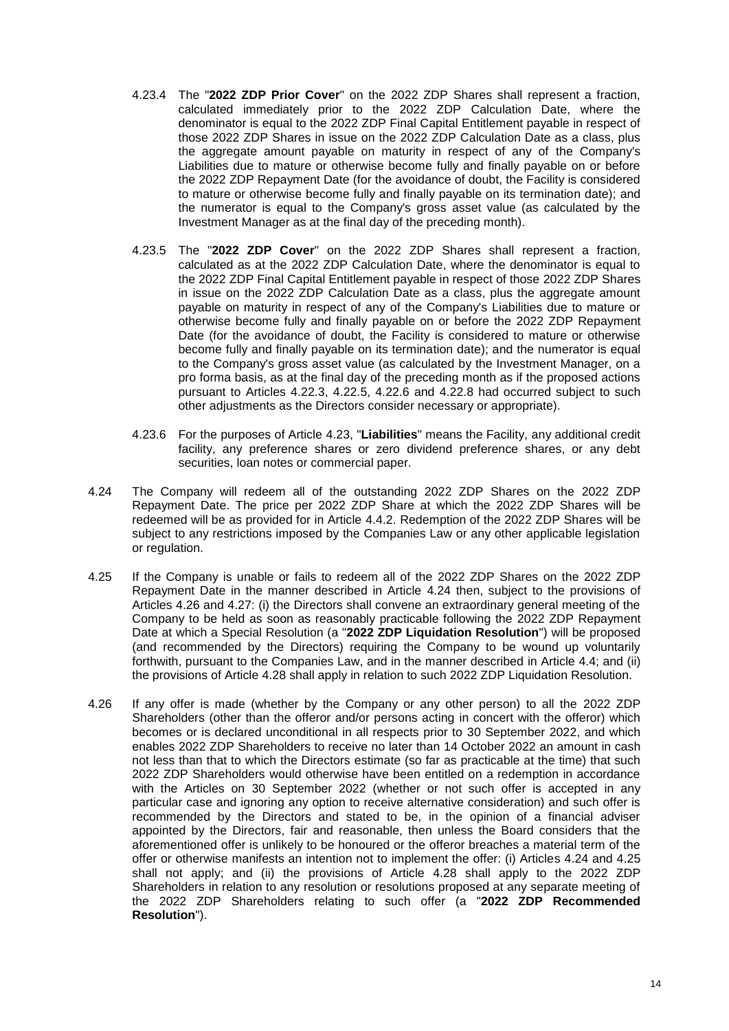- <span id="page-15-2"></span>4.23.4 The "**2022 ZDP Prior Cover**" on the 2022 ZDP Shares shall represent a fraction, calculated immediately prior to the 2022 ZDP Calculation Date, where the denominator is equal to the 2022 ZDP Final Capital Entitlement payable in respect of those 2022 ZDP Shares in issue on the 2022 ZDP Calculation Date as a class, plus the aggregate amount payable on maturity in respect of any of the Company's Liabilities due to mature or otherwise become fully and finally payable on or before the 2022 ZDP Repayment Date (for the avoidance of doubt, the Facility is considered to mature or otherwise become fully and finally payable on its termination date); and the numerator is equal to the Company's gross asset value (as calculated by the Investment Manager as at the final day of the preceding month).
- <span id="page-15-0"></span>4.23.5 The "**2022 ZDP Cover**" on the 2022 ZDP Shares shall represent a fraction, calculated as at the 2022 ZDP Calculation Date, where the denominator is equal to the 2022 ZDP Final Capital Entitlement payable in respect of those 2022 ZDP Shares in issue on the 2022 ZDP Calculation Date as a class, plus the aggregate amount payable on maturity in respect of any of the Company's Liabilities due to mature or otherwise become fully and finally payable on or before the 2022 ZDP Repayment Date (for the avoidance of doubt, the Facility is considered to mature or otherwise become fully and finally payable on its termination date); and the numerator is equal to the Company's gross asset value (as calculated by the Investment Manager, on a pro forma basis, as at the final day of the preceding month as if the proposed actions pursuant to Articles [4.22.3,](#page-13-1) [4.22.5,](#page-14-4) [4.22.6](#page-14-2) and [4.22.8](#page-14-5) had occurred subject to such other adjustments as the Directors consider necessary or appropriate).
- 4.23.6 For the purposes of Article [4.23,](#page-14-6) "**Liabilities**" means the Facility, any additional credit facility, any preference shares or zero dividend preference shares, or any debt securities, loan notes or commercial paper.
- <span id="page-15-4"></span>4.24 The Company will redeem all of the outstanding 2022 ZDP Shares on the 2022 ZDP Repayment Date. The price per 2022 ZDP Share at which the 2022 ZDP Shares will be redeemed will be as provided for in Article [4.4.2.](#page-11-0) Redemption of the 2022 ZDP Shares will be subject to any restrictions imposed by the Companies Law or any other applicable legislation or regulation.
- <span id="page-15-1"></span>4.25 If the Company is unable or fails to redeem all of the 2022 ZDP Shares on the 2022 ZDP Repayment Date in the manner described in Article [4.24](#page-15-4) then, subject to the provisions of Articles [4.26](#page-15-3) and [4.27:](#page-16-0) (i) the Directors shall convene an extraordinary general meeting of the Company to be held as soon as reasonably practicable following the 2022 ZDP Repayment Date at which a Special Resolution (a "**2022 ZDP Liquidation Resolution**") will be proposed (and recommended by the Directors) requiring the Company to be wound up voluntarily forthwith, pursuant to the Companies Law, and in the manner described in Article [4.4;](#page-11-2) and (ii) the provisions of Article [4.28](#page-16-3) shall apply in relation to such 2022 ZDP Liquidation Resolution.
- <span id="page-15-3"></span>4.26 If any offer is made (whether by the Company or any other person) to all the 2022 ZDP Shareholders (other than the offeror and/or persons acting in concert with the offeror) which becomes or is declared unconditional in all respects prior to 30 September 2022, and which enables 2022 ZDP Shareholders to receive no later than 14 October 2022 an amount in cash not less than that to which the Directors estimate (so far as practicable at the time) that such 2022 ZDP Shareholders would otherwise have been entitled on a redemption in accordance with the Articles on 30 September 2022 (whether or not such offer is accepted in any particular case and ignoring any option to receive alternative consideration) and such offer is recommended by the Directors and stated to be, in the opinion of a financial adviser appointed by the Directors, fair and reasonable, then unless the Board considers that the aforementioned offer is unlikely to be honoured or the offeror breaches a material term of the offer or otherwise manifests an intention not to implement the offer: (i) Articles [4.24](#page-15-4) and [4.25](#page-15-1) shall not apply; and (ii) the provisions of Article [4.28](#page-16-3) shall apply to the 2022 ZDP Shareholders in relation to any resolution or resolutions proposed at any separate meeting of the 2022 ZDP Shareholders relating to such offer (a "**2022 ZDP Recommended Resolution**").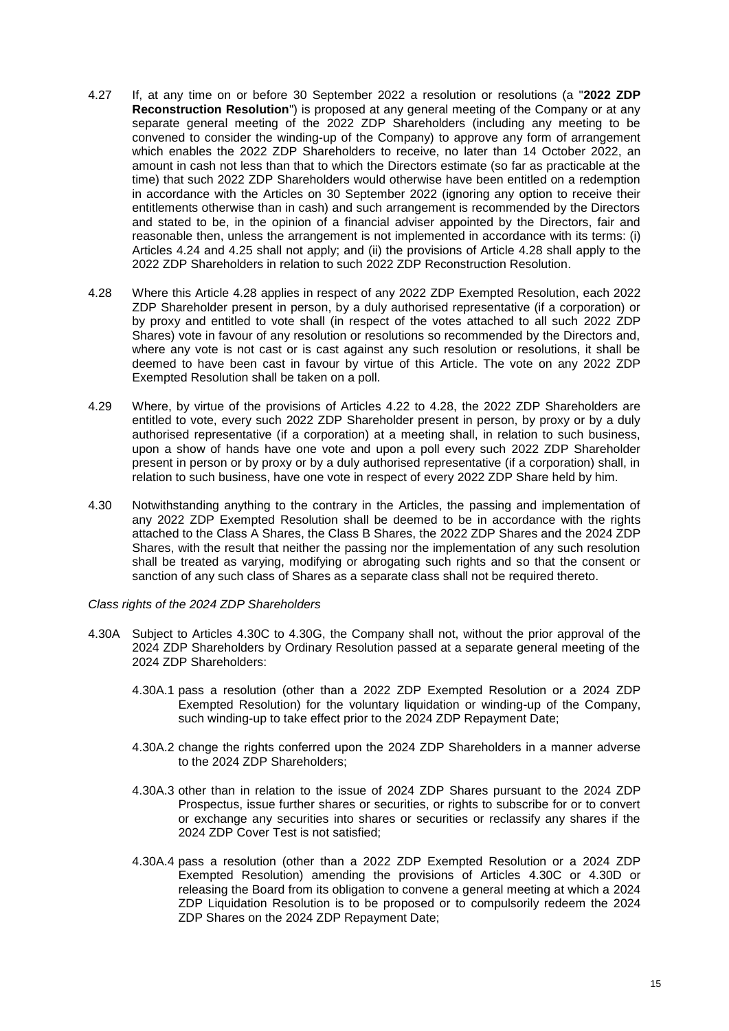- <span id="page-16-0"></span>4.27 If, at any time on or before 30 September 2022 a resolution or resolutions (a "**2022 ZDP Reconstruction Resolution**") is proposed at any general meeting of the Company or at any separate general meeting of the 2022 ZDP Shareholders (including any meeting to be convened to consider the winding-up of the Company) to approve any form of arrangement which enables the 2022 ZDP Shareholders to receive, no later than 14 October 2022, an amount in cash not less than that to which the Directors estimate (so far as practicable at the time) that such 2022 ZDP Shareholders would otherwise have been entitled on a redemption in accordance with the Articles on 30 September 2022 (ignoring any option to receive their entitlements otherwise than in cash) and such arrangement is recommended by the Directors and stated to be, in the opinion of a financial adviser appointed by the Directors, fair and reasonable then, unless the arrangement is not implemented in accordance with its terms: (i) Articles [4.24](#page-15-4) and [4.25](#page-15-1) shall not apply; and (ii) the provisions of Article [4.28](#page-16-3) shall apply to the 2022 ZDP Shareholders in relation to such 2022 ZDP Reconstruction Resolution.
- <span id="page-16-3"></span>4.28 Where this Article [4.28](#page-16-3) applies in respect of any 2022 ZDP Exempted Resolution, each 2022 ZDP Shareholder present in person, by a duly authorised representative (if a corporation) or by proxy and entitled to vote shall (in respect of the votes attached to all such 2022 ZDP Shares) vote in favour of any resolution or resolutions so recommended by the Directors and, where any vote is not cast or is cast against any such resolution or resolutions, it shall be deemed to have been cast in favour by virtue of this Article. The vote on any 2022 ZDP Exempted Resolution shall be taken on a poll.
- 4.29 Where, by virtue of the provisions of Articles [4.22](#page-13-0) to [4.28,](#page-16-3) the 2022 ZDP Shareholders are entitled to vote, every such 2022 ZDP Shareholder present in person, by proxy or by a duly authorised representative (if a corporation) at a meeting shall, in relation to such business, upon a show of hands have one vote and upon a poll every such 2022 ZDP Shareholder present in person or by proxy or by a duly authorised representative (if a corporation) shall, in relation to such business, have one vote in respect of every 2022 ZDP Share held by him.
- <span id="page-16-1"></span>4.30 Notwithstanding anything to the contrary in the Articles, the passing and implementation of any 2022 ZDP Exempted Resolution shall be deemed to be in accordance with the rights attached to the Class A Shares, the Class B Shares, the 2022 ZDP Shares and the 2024 ZDP Shares, with the result that neither the passing nor the implementation of any such resolution shall be treated as varying, modifying or abrogating such rights and so that the consent or sanction of any such class of Shares as a separate class shall not be required thereto.

#### *Class rights of the 2024 ZDP Shareholders*

- <span id="page-16-4"></span><span id="page-16-2"></span>4.30A Subject to Articles [4.30C](#page-18-3) to [4.30G,](#page-19-2) the Company shall not, without the prior approval of the 2024 ZDP Shareholders by Ordinary Resolution passed at a separate general meeting of the 2024 ZDP Shareholders:
	- 4.30A.1 pass a resolution (other than a 2022 ZDP Exempted Resolution or a 2024 ZDP Exempted Resolution) for the voluntary liquidation or winding-up of the Company, such winding-up to take effect prior to the 2024 ZDP Repayment Date;
	- 4.30A.2 change the rights conferred upon the 2024 ZDP Shareholders in a manner adverse to the 2024 ZDP Shareholders:
	- 4.30A.3 other than in relation to the issue of 2024 ZDP Shares pursuant to the 2024 ZDP Prospectus, issue further shares or securities, or rights to subscribe for or to convert or exchange any securities into shares or securities or reclassify any shares if the 2024 ZDP Cover Test is not satisfied;
	- 4.30A.4 pass a resolution (other than a 2022 ZDP Exempted Resolution or a 2024 ZDP Exempted Resolution) amending the provisions of Articles [4.30C](#page-18-3) or [4.30D](#page-18-1) or releasing the Board from its obligation to convene a general meeting at which a 2024 ZDP Liquidation Resolution is to be proposed or to compulsorily redeem the 2024 ZDP Shares on the 2024 ZDP Repayment Date;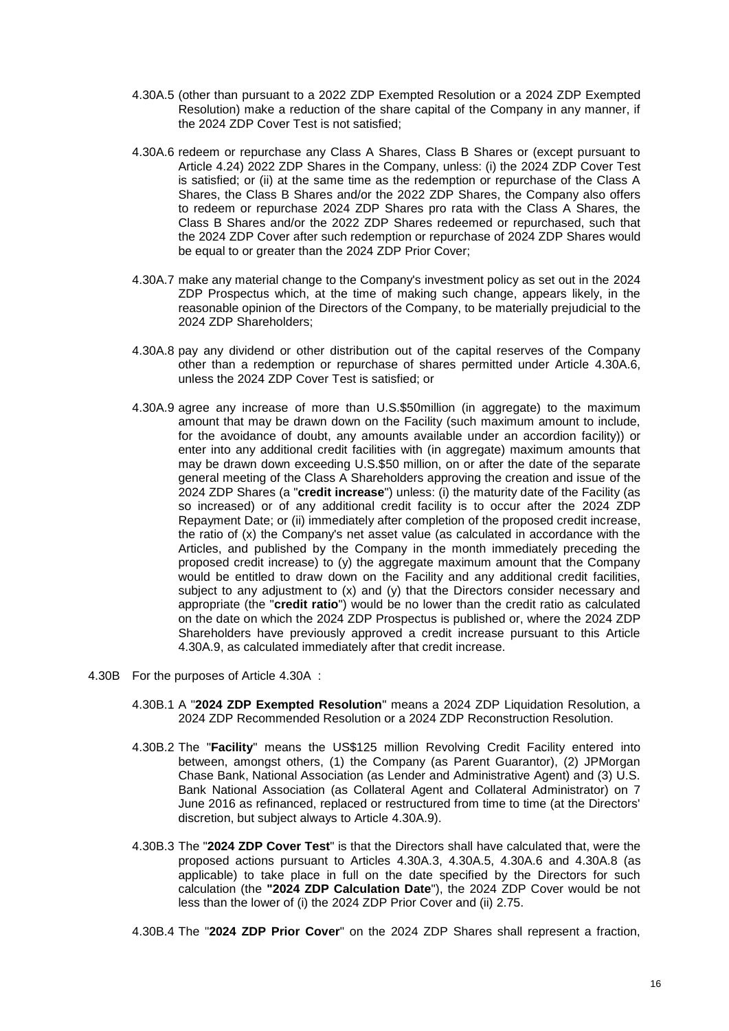- <span id="page-17-5"></span>4.30A.5 (other than pursuant to a 2022 ZDP Exempted Resolution or a 2024 ZDP Exempted Resolution) make a reduction of the share capital of the Company in any manner, if the 2024 ZDP Cover Test is not satisfied;
- <span id="page-17-3"></span>4.30A.6 redeem or repurchase any Class A Shares, Class B Shares or (except pursuant to Article [4.24\)](#page-15-4) 2022 ZDP Shares in the Company, unless: (i) the 2024 ZDP Cover Test is satisfied; or (ii) at the same time as the redemption or repurchase of the Class A Shares, the Class B Shares and/or the 2022 ZDP Shares, the Company also offers to redeem or repurchase 2024 ZDP Shares pro rata with the Class A Shares, the Class B Shares and/or the 2022 ZDP Shares redeemed or repurchased, such that the 2024 ZDP Cover after such redemption or repurchase of 2024 ZDP Shares would be equal to or greater than the 2024 ZDP Prior Cover;
- <span id="page-17-7"></span>4.30A.7 make any material change to the Company's investment policy as set out in the 2024 ZDP Prospectus which, at the time of making such change, appears likely, in the reasonable opinion of the Directors of the Company, to be materially prejudicial to the 2024 ZDP Shareholders;
- <span id="page-17-6"></span>4.30A.8 pay any dividend or other distribution out of the capital reserves of the Company other than a redemption or repurchase of shares permitted under Article [4.30A.6,](#page-17-3) unless the 2024 ZDP Cover Test is satisfied; or
- <span id="page-17-4"></span>4.30A.9 agree any increase of more than U.S.\$50million (in aggregate) to the maximum amount that may be drawn down on the Facility (such maximum amount to include, for the avoidance of doubt, any amounts available under an accordion facility)) or enter into any additional credit facilities with (in aggregate) maximum amounts that may be drawn down exceeding U.S.\$50 million, on or after the date of the separate general meeting of the Class A Shareholders approving the creation and issue of the 2024 ZDP Shares (a "**credit increase**") unless: (i) the maturity date of the Facility (as so increased) or of any additional credit facility is to occur after the 2024 ZDP Repayment Date; or (ii) immediately after completion of the proposed credit increase, the ratio of (x) the Company's net asset value (as calculated in accordance with the Articles, and published by the Company in the month immediately preceding the proposed credit increase) to (y) the aggregate maximum amount that the Company would be entitled to draw down on the Facility and any additional credit facilities, subject to any adjustment to  $(x)$  and  $(y)$  that the Directors consider necessary and appropriate (the "**credit ratio**") would be no lower than the credit ratio as calculated on the date on which the 2024 ZDP Prospectus is published or, where the 2024 ZDP Shareholders have previously approved a credit increase pursuant to this Article [4.30A.9,](#page-17-4) as calculated immediately after that credit increase.
- <span id="page-17-8"></span><span id="page-17-2"></span><span id="page-17-1"></span><span id="page-17-0"></span>4.30B For the purposes of Article [4.30A :](#page-16-2)
	- 4.30B.1 A "**2024 ZDP Exempted Resolution**" means a 2024 ZDP Liquidation Resolution, a 2024 ZDP Recommended Resolution or a 2024 ZDP Reconstruction Resolution.
	- 4.30B.2 The "**Facility**" means the US\$125 million Revolving Credit Facility entered into between, amongst others, (1) the Company (as Parent Guarantor), (2) JPMorgan Chase Bank, National Association (as Lender and Administrative Agent) and (3) U.S. Bank National Association (as Collateral Agent and Collateral Administrator) on 7 June 2016 as refinanced, replaced or restructured from time to time (at the Directors' discretion, but subject always to Article [4.30A.9\)](#page-17-4).
	- 4.30B.3 The "**2024 ZDP Cover Test**" is that the Directors shall have calculated that, were the proposed actions pursuant to Articles [4.30A.3,](#page-16-4) [4.30A.5,](#page-17-5) [4.30A.6](#page-17-3) and [4.30A.8](#page-17-6) (as applicable) to take place in full on the date specified by the Directors for such calculation (the **"2024 ZDP Calculation Date**"), the 2024 ZDP Cover would be not less than the lower of (i) the 2024 ZDP Prior Cover and (ii) 2.75.
	- 4.30B.4 The "**2024 ZDP Prior Cover**" on the 2024 ZDP Shares shall represent a fraction,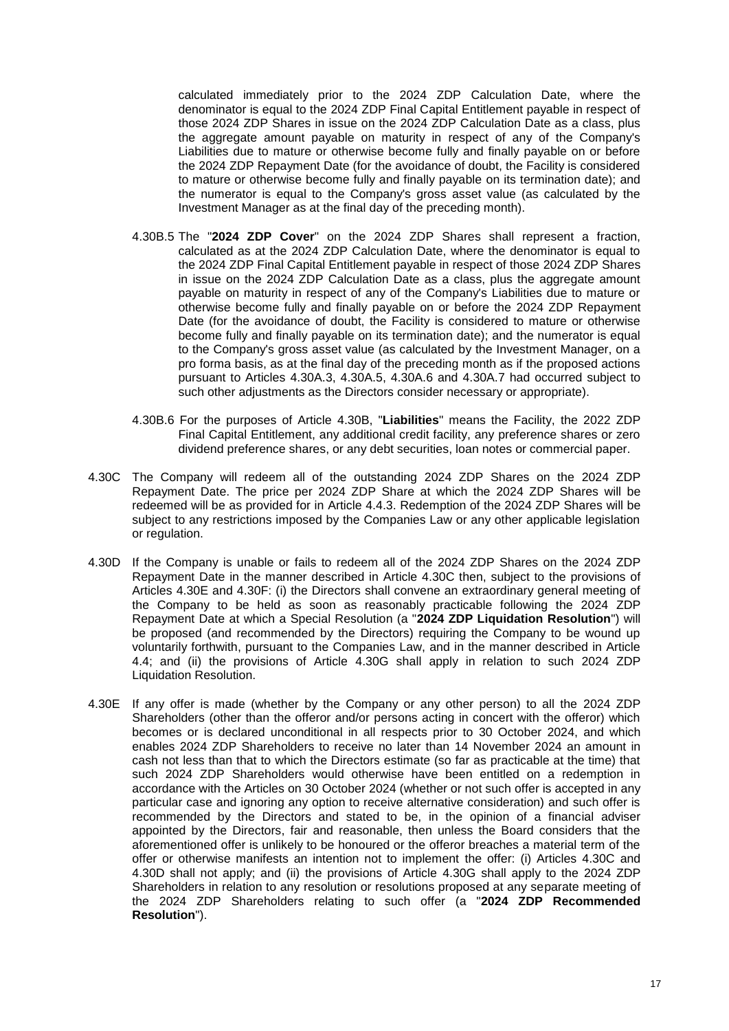calculated immediately prior to the 2024 ZDP Calculation Date, where the denominator is equal to the 2024 ZDP Final Capital Entitlement payable in respect of those 2024 ZDP Shares in issue on the 2024 ZDP Calculation Date as a class, plus the aggregate amount payable on maturity in respect of any of the Company's Liabilities due to mature or otherwise become fully and finally payable on or before the 2024 ZDP Repayment Date (for the avoidance of doubt, the Facility is considered to mature or otherwise become fully and finally payable on its termination date); and the numerator is equal to the Company's gross asset value (as calculated by the Investment Manager as at the final day of the preceding month).

- <span id="page-18-0"></span>4.30B.5 The "**2024 ZDP Cover**" on the 2024 ZDP Shares shall represent a fraction, calculated as at the 2024 ZDP Calculation Date, where the denominator is equal to the 2024 ZDP Final Capital Entitlement payable in respect of those 2024 ZDP Shares in issue on the 2024 ZDP Calculation Date as a class, plus the aggregate amount payable on maturity in respect of any of the Company's Liabilities due to mature or otherwise become fully and finally payable on or before the 2024 ZDP Repayment Date (for the avoidance of doubt, the Facility is considered to mature or otherwise become fully and finally payable on its termination date); and the numerator is equal to the Company's gross asset value (as calculated by the Investment Manager, on a pro forma basis, as at the final day of the preceding month as if the proposed actions pursuant to Articles [4.30A.3,](#page-16-4) [4.30A.5,](#page-17-5) [4.30A.6](#page-17-3) and [4.30A.7](#page-17-7) had occurred subject to such other adjustments as the Directors consider necessary or appropriate).
- 4.30B.6 For the purposes of Article [4.30B,](#page-17-8) "**Liabilities**" means the Facility, the 2022 ZDP Final Capital Entitlement, any additional credit facility, any preference shares or zero dividend preference shares, or any debt securities, loan notes or commercial paper.
- <span id="page-18-3"></span>4.30C The Company will redeem all of the outstanding 2024 ZDP Shares on the 2024 ZDP Repayment Date. The price per 2024 ZDP Share at which the 2024 ZDP Shares will be redeemed will be as provided for in Article [4.4.3.](#page-11-1) Redemption of the 2024 ZDP Shares will be subject to any restrictions imposed by the Companies Law or any other applicable legislation or regulation.
- <span id="page-18-1"></span>4.30D If the Company is unable or fails to redeem all of the 2024 ZDP Shares on the 2024 ZDP Repayment Date in the manner described in Article [4.30C](#page-18-3) then, subject to the provisions of Articles [4.30E](#page-18-2) and [4.30F:](#page-19-0) (i) the Directors shall convene an extraordinary general meeting of the Company to be held as soon as reasonably practicable following the 2024 ZDP Repayment Date at which a Special Resolution (a "**2024 ZDP Liquidation Resolution**") will be proposed (and recommended by the Directors) requiring the Company to be wound up voluntarily forthwith, pursuant to the Companies Law, and in the manner described in Article [4.4;](#page-11-2) and (ii) the provisions of Article [4.30G](#page-19-2) shall apply in relation to such 2024 ZDP Liquidation Resolution.
- <span id="page-18-2"></span>4.30E If any offer is made (whether by the Company or any other person) to all the 2024 ZDP Shareholders (other than the offeror and/or persons acting in concert with the offeror) which becomes or is declared unconditional in all respects prior to 30 October 2024, and which enables 2024 ZDP Shareholders to receive no later than 14 November 2024 an amount in cash not less than that to which the Directors estimate (so far as practicable at the time) that such 2024 ZDP Shareholders would otherwise have been entitled on a redemption in accordance with the Articles on 30 October 2024 (whether or not such offer is accepted in any particular case and ignoring any option to receive alternative consideration) and such offer is recommended by the Directors and stated to be, in the opinion of a financial adviser appointed by the Directors, fair and reasonable, then unless the Board considers that the aforementioned offer is unlikely to be honoured or the offeror breaches a material term of the offer or otherwise manifests an intention not to implement the offer: (i) Articles [4.30C](#page-18-3) and [4.30D](#page-18-1) shall not apply; and (ii) the provisions of Article [4.30G](#page-19-2) shall apply to the 2024 ZDP Shareholders in relation to any resolution or resolutions proposed at any separate meeting of the 2024 ZDP Shareholders relating to such offer (a "**2024 ZDP Recommended Resolution**").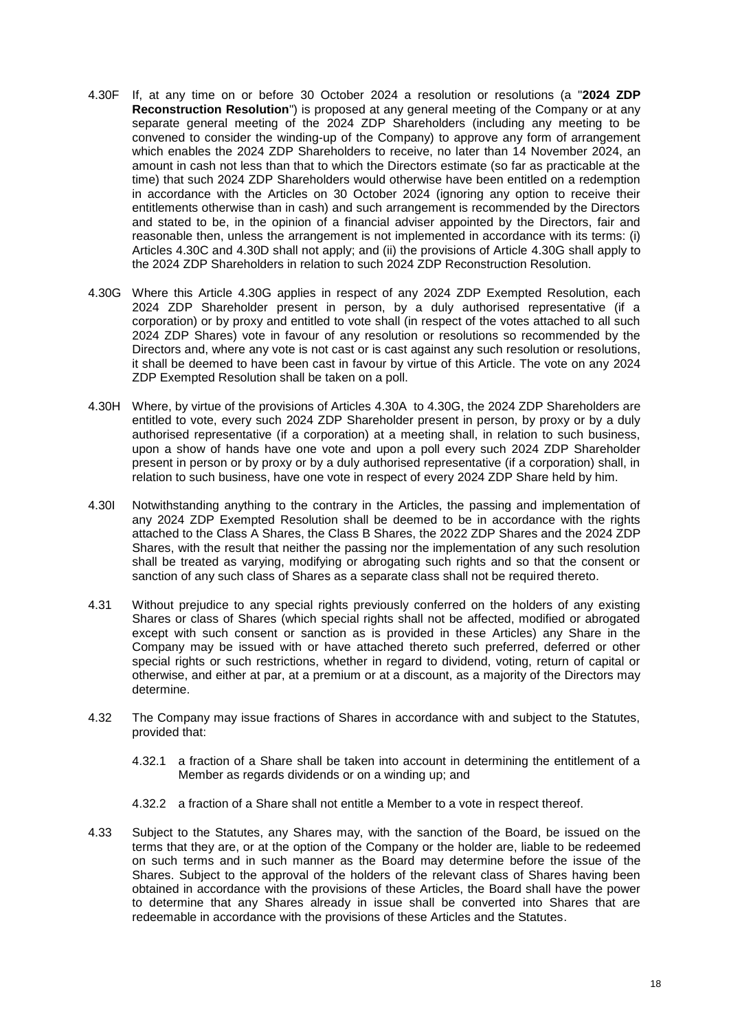- <span id="page-19-0"></span>4.30F If, at any time on or before 30 October 2024 a resolution or resolutions (a "**2024 ZDP Reconstruction Resolution**") is proposed at any general meeting of the Company or at any separate general meeting of the 2024 ZDP Shareholders (including any meeting to be convened to consider the winding-up of the Company) to approve any form of arrangement which enables the 2024 ZDP Shareholders to receive, no later than 14 November 2024, an amount in cash not less than that to which the Directors estimate (so far as practicable at the time) that such 2024 ZDP Shareholders would otherwise have been entitled on a redemption in accordance with the Articles on 30 October 2024 (ignoring any option to receive their entitlements otherwise than in cash) and such arrangement is recommended by the Directors and stated to be, in the opinion of a financial adviser appointed by the Directors, fair and reasonable then, unless the arrangement is not implemented in accordance with its terms: (i) Articles [4.30C](#page-18-3) and [4.30D](#page-18-1) shall not apply; and (ii) the provisions of Article [4.30G](#page-19-2) shall apply to the 2024 ZDP Shareholders in relation to such 2024 ZDP Reconstruction Resolution.
- <span id="page-19-2"></span>4.30G Where this Article [4.30G](#page-19-2) applies in respect of any 2024 ZDP Exempted Resolution, each 2024 ZDP Shareholder present in person, by a duly authorised representative (if a corporation) or by proxy and entitled to vote shall (in respect of the votes attached to all such 2024 ZDP Shares) vote in favour of any resolution or resolutions so recommended by the Directors and, where any vote is not cast or is cast against any such resolution or resolutions, it shall be deemed to have been cast in favour by virtue of this Article. The vote on any 2024 ZDP Exempted Resolution shall be taken on a poll.
- 4.30H Where, by virtue of the provisions of Articles [4.30A t](#page-16-2)o [4.30G,](#page-19-2) the 2024 ZDP Shareholders are entitled to vote, every such 2024 ZDP Shareholder present in person, by proxy or by a duly authorised representative (if a corporation) at a meeting shall, in relation to such business, upon a show of hands have one vote and upon a poll every such 2024 ZDP Shareholder present in person or by proxy or by a duly authorised representative (if a corporation) shall, in relation to such business, have one vote in respect of every 2024 ZDP Share held by him.
- <span id="page-19-1"></span>4.30I Notwithstanding anything to the contrary in the Articles, the passing and implementation of any 2024 ZDP Exempted Resolution shall be deemed to be in accordance with the rights attached to the Class A Shares, the Class B Shares, the 2022 ZDP Shares and the 2024 ZDP Shares, with the result that neither the passing nor the implementation of any such resolution shall be treated as varying, modifying or abrogating such rights and so that the consent or sanction of any such class of Shares as a separate class shall not be required thereto.
- 4.31 Without prejudice to any special rights previously conferred on the holders of any existing Shares or class of Shares (which special rights shall not be affected, modified or abrogated except with such consent or sanction as is provided in these Articles) any Share in the Company may be issued with or have attached thereto such preferred, deferred or other special rights or such restrictions, whether in regard to dividend, voting, return of capital or otherwise, and either at par, at a premium or at a discount, as a majority of the Directors may determine.
- 4.32 The Company may issue fractions of Shares in accordance with and subject to the Statutes, provided that:
	- 4.32.1 a fraction of a Share shall be taken into account in determining the entitlement of a Member as regards dividends or on a winding up; and
	- 4.32.2 a fraction of a Share shall not entitle a Member to a vote in respect thereof.
- 4.33 Subject to the Statutes, any Shares may, with the sanction of the Board, be issued on the terms that they are, or at the option of the Company or the holder are, liable to be redeemed on such terms and in such manner as the Board may determine before the issue of the Shares. Subject to the approval of the holders of the relevant class of Shares having been obtained in accordance with the provisions of these Articles, the Board shall have the power to determine that any Shares already in issue shall be converted into Shares that are redeemable in accordance with the provisions of these Articles and the Statutes.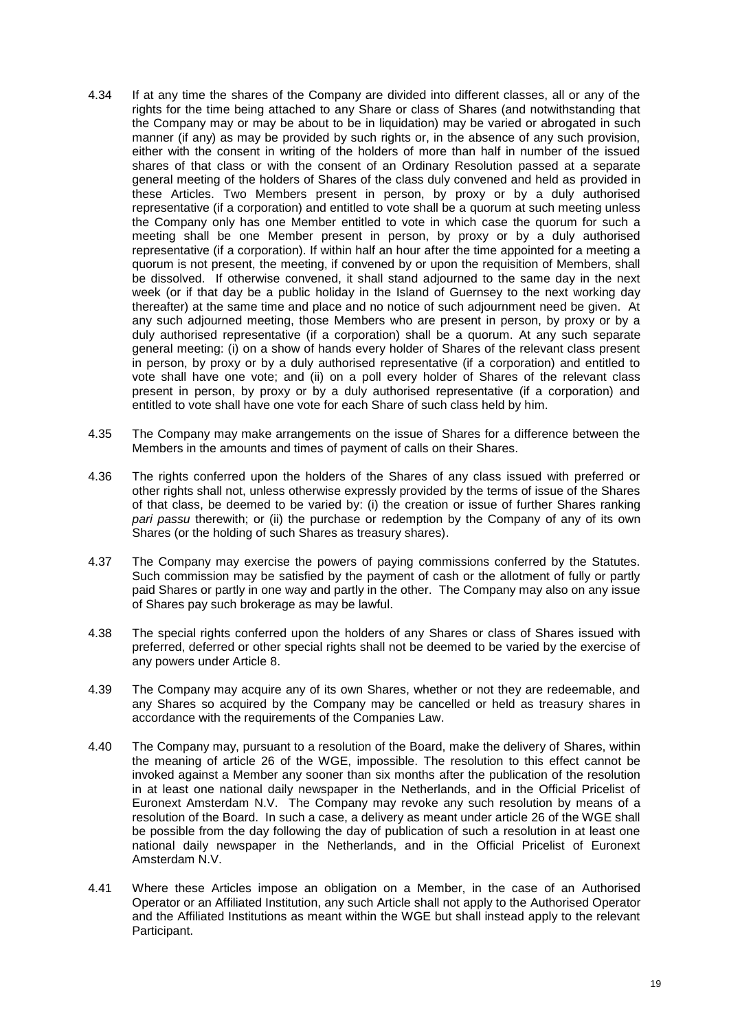- 4.34 If at any time the shares of the Company are divided into different classes, all or any of the rights for the time being attached to any Share or class of Shares (and notwithstanding that the Company may or may be about to be in liquidation) may be varied or abrogated in such manner (if any) as may be provided by such rights or, in the absence of any such provision, either with the consent in writing of the holders of more than half in number of the issued shares of that class or with the consent of an Ordinary Resolution passed at a separate general meeting of the holders of Shares of the class duly convened and held as provided in these Articles. Two Members present in person, by proxy or by a duly authorised representative (if a corporation) and entitled to vote shall be a quorum at such meeting unless the Company only has one Member entitled to vote in which case the quorum for such a meeting shall be one Member present in person, by proxy or by a duly authorised representative (if a corporation). If within half an hour after the time appointed for a meeting a quorum is not present, the meeting, if convened by or upon the requisition of Members, shall be dissolved. If otherwise convened, it shall stand adjourned to the same day in the next week (or if that day be a public holiday in the Island of Guernsey to the next working day thereafter) at the same time and place and no notice of such adjournment need be given. At any such adjourned meeting, those Members who are present in person, by proxy or by a duly authorised representative (if a corporation) shall be a quorum. At any such separate general meeting: (i) on a show of hands every holder of Shares of the relevant class present in person, by proxy or by a duly authorised representative (if a corporation) and entitled to vote shall have one vote; and (ii) on a poll every holder of Shares of the relevant class present in person, by proxy or by a duly authorised representative (if a corporation) and entitled to vote shall have one vote for each Share of such class held by him.
- 4.35 The Company may make arrangements on the issue of Shares for a difference between the Members in the amounts and times of payment of calls on their Shares.
- 4.36 The rights conferred upon the holders of the Shares of any class issued with preferred or other rights shall not, unless otherwise expressly provided by the terms of issue of the Shares of that class, be deemed to be varied by: (i) the creation or issue of further Shares ranking *pari passu* therewith; or (ii) the purchase or redemption by the Company of any of its own Shares (or the holding of such Shares as treasury shares).
- 4.37 The Company may exercise the powers of paying commissions conferred by the Statutes. Such commission may be satisfied by the payment of cash or the allotment of fully or partly paid Shares or partly in one way and partly in the other. The Company may also on any issue of Shares pay such brokerage as may be lawful.
- 4.38 The special rights conferred upon the holders of any Shares or class of Shares issued with preferred, deferred or other special rights shall not be deemed to be varied by the exercise of any powers under Article [8.](#page-23-1)
- 4.39 The Company may acquire any of its own Shares, whether or not they are redeemable, and any Shares so acquired by the Company may be cancelled or held as treasury shares in accordance with the requirements of the Companies Law.
- 4.40 The Company may, pursuant to a resolution of the Board, make the delivery of Shares, within the meaning of article 26 of the WGE, impossible. The resolution to this effect cannot be invoked against a Member any sooner than six months after the publication of the resolution in at least one national daily newspaper in the Netherlands, and in the Official Pricelist of Euronext Amsterdam N.V. The Company may revoke any such resolution by means of a resolution of the Board. In such a case, a delivery as meant under article 26 of the WGE shall be possible from the day following the day of publication of such a resolution in at least one national daily newspaper in the Netherlands, and in the Official Pricelist of Euronext Amsterdam N.V.
- 4.41 Where these Articles impose an obligation on a Member, in the case of an Authorised Operator or an Affiliated Institution, any such Article shall not apply to the Authorised Operator and the Affiliated Institutions as meant within the WGE but shall instead apply to the relevant Participant.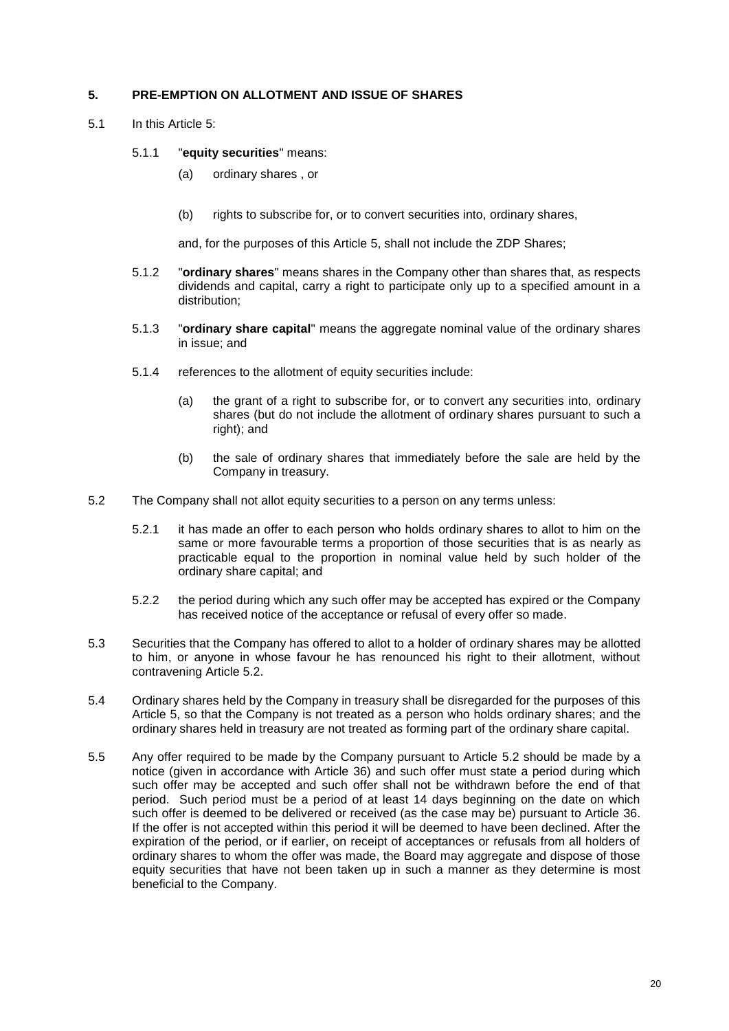## <span id="page-21-0"></span>**5. PRE-EMPTION ON ALLOTMENT AND ISSUE OF SHARES**

5.1 In this Article [5:](#page-21-0)

### 5.1.1 "**equity securities**" means:

- (a) ordinary shares , or
- (b) rights to subscribe for, or to convert securities into, ordinary shares,

and, for the purposes of this Article [5,](#page-21-0) shall not include the ZDP Shares;

- 5.1.2 "**ordinary shares**" means shares in the Company other than shares that, as respects dividends and capital, carry a right to participate only up to a specified amount in a distribution;
- 5.1.3 "**ordinary share capital**" means the aggregate nominal value of the ordinary shares in issue; and
- 5.1.4 references to the allotment of equity securities include:
	- (a) the grant of a right to subscribe for, or to convert any securities into, ordinary shares (but do not include the allotment of ordinary shares pursuant to such a right); and
	- (b) the sale of ordinary shares that immediately before the sale are held by the Company in treasury.
- <span id="page-21-1"></span>5.2 The Company shall not allot equity securities to a person on any terms unless:
	- 5.2.1 it has made an offer to each person who holds ordinary shares to allot to him on the same or more favourable terms a proportion of those securities that is as nearly as practicable equal to the proportion in nominal value held by such holder of the ordinary share capital; and
	- 5.2.2 the period during which any such offer may be accepted has expired or the Company has received notice of the acceptance or refusal of every offer so made.
- 5.3 Securities that the Company has offered to allot to a holder of ordinary shares may be allotted to him, or anyone in whose favour he has renounced his right to their allotment, without contravening Article [5.2.](#page-21-1)
- 5.4 Ordinary shares held by the Company in treasury shall be disregarded for the purposes of this Article [5,](#page-21-0) so that the Company is not treated as a person who holds ordinary shares; and the ordinary shares held in treasury are not treated as forming part of the ordinary share capital.
- 5.5 Any offer required to be made by the Company pursuant to Article [5.2](#page-21-1) should be made by a notice (given in accordance with Article [36\)](#page-46-0) and such offer must state a period during which such offer may be accepted and such offer shall not be withdrawn before the end of that period. Such period must be a period of at least 14 days beginning on the date on which such offer is deemed to be delivered or received (as the case may be) pursuant to Article [36.](#page-46-0) If the offer is not accepted within this period it will be deemed to have been declined. After the expiration of the period, or if earlier, on receipt of acceptances or refusals from all holders of ordinary shares to whom the offer was made, the Board may aggregate and dispose of those equity securities that have not been taken up in such a manner as they determine is most beneficial to the Company.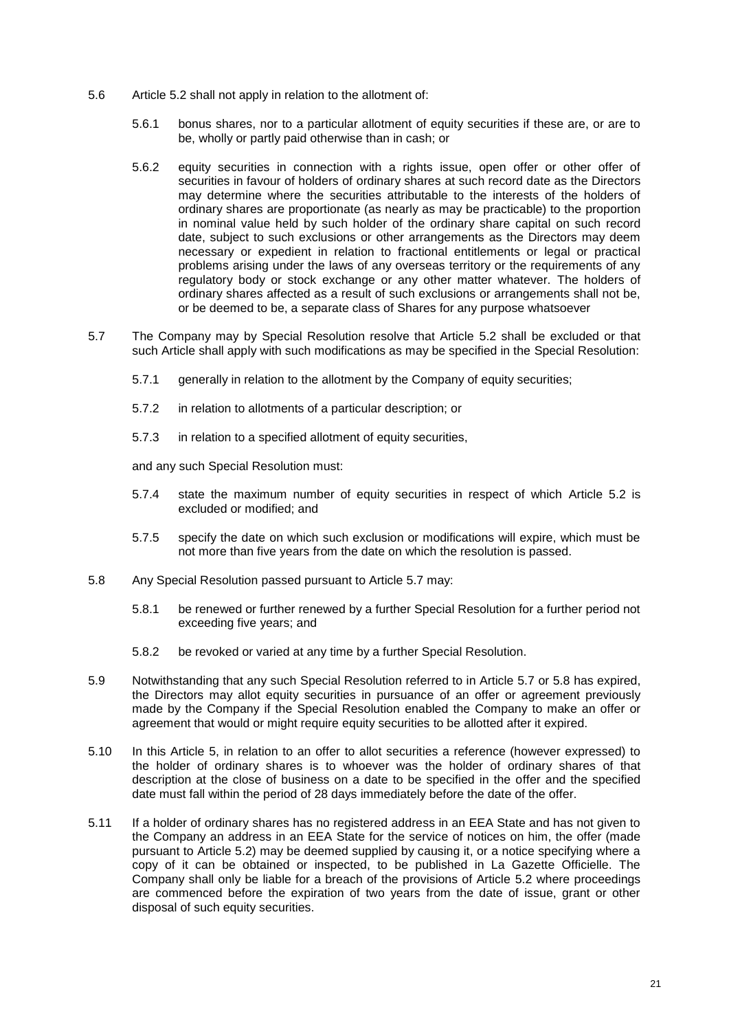- 5.6 Article [5.2](#page-21-1) shall not apply in relation to the allotment of:
	- 5.6.1 bonus shares, nor to a particular allotment of equity securities if these are, or are to be, wholly or partly paid otherwise than in cash; or
	- 5.6.2 equity securities in connection with a rights issue, open offer or other offer of securities in favour of holders of ordinary shares at such record date as the Directors may determine where the securities attributable to the interests of the holders of ordinary shares are proportionate (as nearly as may be practicable) to the proportion in nominal value held by such holder of the ordinary share capital on such record date, subject to such exclusions or other arrangements as the Directors may deem necessary or expedient in relation to fractional entitlements or legal or practical problems arising under the laws of any overseas territory or the requirements of any regulatory body or stock exchange or any other matter whatever. The holders of ordinary shares affected as a result of such exclusions or arrangements shall not be, or be deemed to be, a separate class of Shares for any purpose whatsoever
- <span id="page-22-0"></span>5.7 The Company may by Special Resolution resolve that Article [5.2](#page-21-1) shall be excluded or that such Article shall apply with such modifications as may be specified in the Special Resolution:
	- 5.7.1 generally in relation to the allotment by the Company of equity securities;
	- 5.7.2 in relation to allotments of a particular description; or
	- 5.7.3 in relation to a specified allotment of equity securities,

and any such Special Resolution must:

- 5.7.4 state the maximum number of equity securities in respect of which Article [5.2](#page-21-1) is excluded or modified; and
- 5.7.5 specify the date on which such exclusion or modifications will expire, which must be not more than five years from the date on which the resolution is passed.
- <span id="page-22-1"></span>5.8 Any Special Resolution passed pursuant to Article [5.7](#page-22-0) may:
	- 5.8.1 be renewed or further renewed by a further Special Resolution for a further period not exceeding five years; and
	- 5.8.2 be revoked or varied at any time by a further Special Resolution.
- 5.9 Notwithstanding that any such Special Resolution referred to in Article [5.7](#page-22-0) or [5.8](#page-22-1) has expired, the Directors may allot equity securities in pursuance of an offer or agreement previously made by the Company if the Special Resolution enabled the Company to make an offer or agreement that would or might require equity securities to be allotted after it expired.
- 5.10 In this Article [5,](#page-21-0) in relation to an offer to allot securities a reference (however expressed) to the holder of ordinary shares is to whoever was the holder of ordinary shares of that description at the close of business on a date to be specified in the offer and the specified date must fall within the period of 28 days immediately before the date of the offer.
- 5.11 If a holder of ordinary shares has no registered address in an EEA State and has not given to the Company an address in an EEA State for the service of notices on him, the offer (made pursuant to Article [5.2\)](#page-21-1) may be deemed supplied by causing it, or a notice specifying where a copy of it can be obtained or inspected, to be published in La Gazette Officielle. The Company shall only be liable for a breach of the provisions of Article [5.2](#page-21-1) where proceedings are commenced before the expiration of two years from the date of issue, grant or other disposal of such equity securities.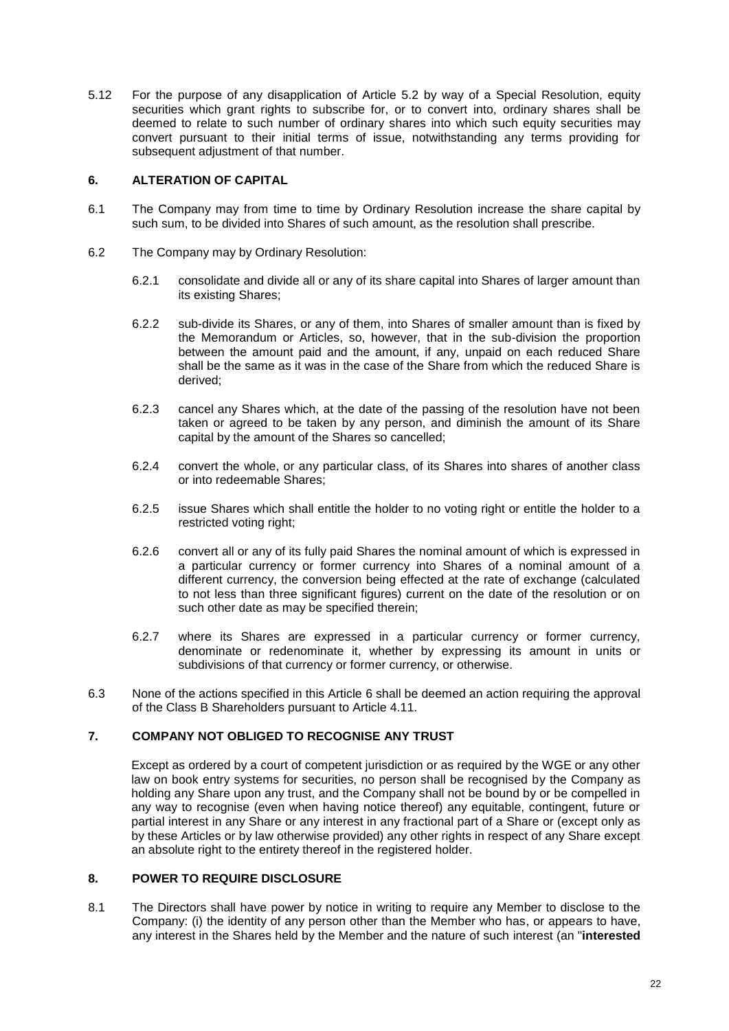5.12 For the purpose of any disapplication of Article [5.2](#page-21-1) by way of a Special Resolution, equity securities which grant rights to subscribe for, or to convert into, ordinary shares shall be deemed to relate to such number of ordinary shares into which such equity securities may convert pursuant to their initial terms of issue, notwithstanding any terms providing for subsequent adjustment of that number.

### <span id="page-23-2"></span>**6. ALTERATION OF CAPITAL**

- 6.1 The Company may from time to time by Ordinary Resolution increase the share capital by such sum, to be divided into Shares of such amount, as the resolution shall prescribe.
- 6.2 The Company may by Ordinary Resolution:
	- 6.2.1 consolidate and divide all or any of its share capital into Shares of larger amount than its existing Shares;
	- 6.2.2 sub-divide its Shares, or any of them, into Shares of smaller amount than is fixed by the Memorandum or Articles, so, however, that in the sub-division the proportion between the amount paid and the amount, if any, unpaid on each reduced Share shall be the same as it was in the case of the Share from which the reduced Share is derived;
	- 6.2.3 cancel any Shares which, at the date of the passing of the resolution have not been taken or agreed to be taken by any person, and diminish the amount of its Share capital by the amount of the Shares so cancelled;
	- 6.2.4 convert the whole, or any particular class, of its Shares into shares of another class or into redeemable Shares;
	- 6.2.5 issue Shares which shall entitle the holder to no voting right or entitle the holder to a restricted voting right;
	- 6.2.6 convert all or any of its fully paid Shares the nominal amount of which is expressed in a particular currency or former currency into Shares of a nominal amount of a different currency, the conversion being effected at the rate of exchange (calculated to not less than three significant figures) current on the date of the resolution or on such other date as may be specified therein;
	- 6.2.7 where its Shares are expressed in a particular currency or former currency, denominate or redenominate it, whether by expressing its amount in units or subdivisions of that currency or former currency, or otherwise.
- 6.3 None of the actions specified in this Article [6](#page-23-2) shall be deemed an action requiring the approval of the Class B Shareholders pursuant to Article [4.11.](#page-12-1)

## **7. COMPANY NOT OBLIGED TO RECOGNISE ANY TRUST**

Except as ordered by a court of competent jurisdiction or as required by the WGE or any other law on book entry systems for securities, no person shall be recognised by the Company as holding any Share upon any trust, and the Company shall not be bound by or be compelled in any way to recognise (even when having notice thereof) any equitable, contingent, future or partial interest in any Share or any interest in any fractional part of a Share or (except only as by these Articles or by law otherwise provided) any other rights in respect of any Share except an absolute right to the entirety thereof in the registered holder.

# <span id="page-23-1"></span>**8. POWER TO REQUIRE DISCLOSURE**

<span id="page-23-0"></span>8.1 The Directors shall have power by notice in writing to require any Member to disclose to the Company: (i) the identity of any person other than the Member who has, or appears to have, any interest in the Shares held by the Member and the nature of such interest (an "**interested**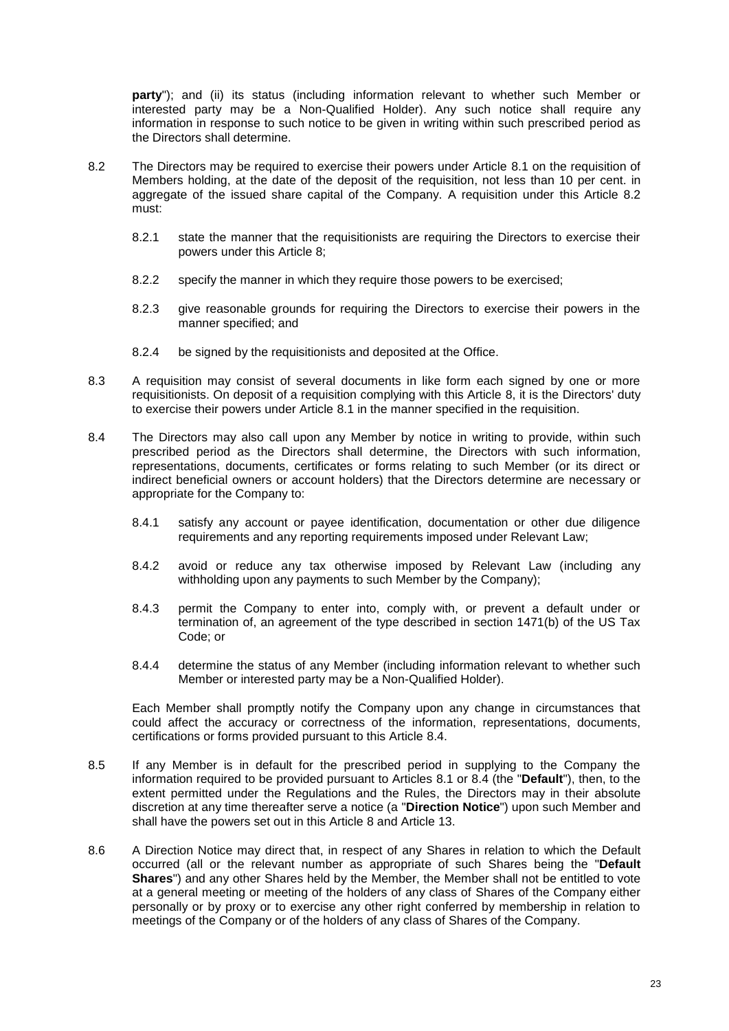party"); and (ii) its status (including information relevant to whether such Member or interested party may be a Non-Qualified Holder). Any such notice shall require any information in response to such notice to be given in writing within such prescribed period as the Directors shall determine.

- <span id="page-24-1"></span>8.2 The Directors may be required to exercise their powers under Article [8.1](#page-23-0) on the requisition of Members holding, at the date of the deposit of the requisition, not less than 10 per cent. in aggregate of the issued share capital of the Company. A requisition under this Article [8.2](#page-24-1) must:
	- 8.2.1 state the manner that the requisitionists are requiring the Directors to exercise their powers under this Article [8;](#page-23-1)
	- 8.2.2 specify the manner in which they require those powers to be exercised;
	- 8.2.3 give reasonable grounds for requiring the Directors to exercise their powers in the manner specified; and
	- 8.2.4 be signed by the requisitionists and deposited at the Office.
- 8.3 A requisition may consist of several documents in like form each signed by one or more requisitionists. On deposit of a requisition complying with this Article [8,](#page-23-1) it is the Directors' duty to exercise their powers under Article [8.1](#page-23-0) in the manner specified in the requisition.
- <span id="page-24-2"></span>8.4 The Directors may also call upon any Member by notice in writing to provide, within such prescribed period as the Directors shall determine, the Directors with such information, representations, documents, certificates or forms relating to such Member (or its direct or indirect beneficial owners or account holders) that the Directors determine are necessary or appropriate for the Company to:
	- 8.4.1 satisfy any account or payee identification, documentation or other due diligence requirements and any reporting requirements imposed under Relevant Law;
	- 8.4.2 avoid or reduce any tax otherwise imposed by Relevant Law (including any withholding upon any payments to such Member by the Company);
	- 8.4.3 permit the Company to enter into, comply with, or prevent a default under or termination of, an agreement of the type described in section 1471(b) of the US Tax Code; or
	- 8.4.4 determine the status of any Member (including information relevant to whether such Member or interested party may be a Non-Qualified Holder).

Each Member shall promptly notify the Company upon any change in circumstances that could affect the accuracy or correctness of the information, representations, documents, certifications or forms provided pursuant to this Article [8.4.](#page-24-2)

- 8.5 If any Member is in default for the prescribed period in supplying to the Company the information required to be provided pursuant to Articles [8.1](#page-23-0) or [8.4](#page-24-2) (the "**Default**"), then, to the extent permitted under the Regulations and the Rules, the Directors may in their absolute discretion at any time thereafter serve a notice (a "**Direction Notice**") upon such Member and shall have the powers set out in this Article [8](#page-23-1) and Article [13.](#page-29-0)
- <span id="page-24-0"></span>8.6 A Direction Notice may direct that, in respect of any Shares in relation to which the Default occurred (all or the relevant number as appropriate of such Shares being the "**Default Shares**") and any other Shares held by the Member, the Member shall not be entitled to vote at a general meeting or meeting of the holders of any class of Shares of the Company either personally or by proxy or to exercise any other right conferred by membership in relation to meetings of the Company or of the holders of any class of Shares of the Company.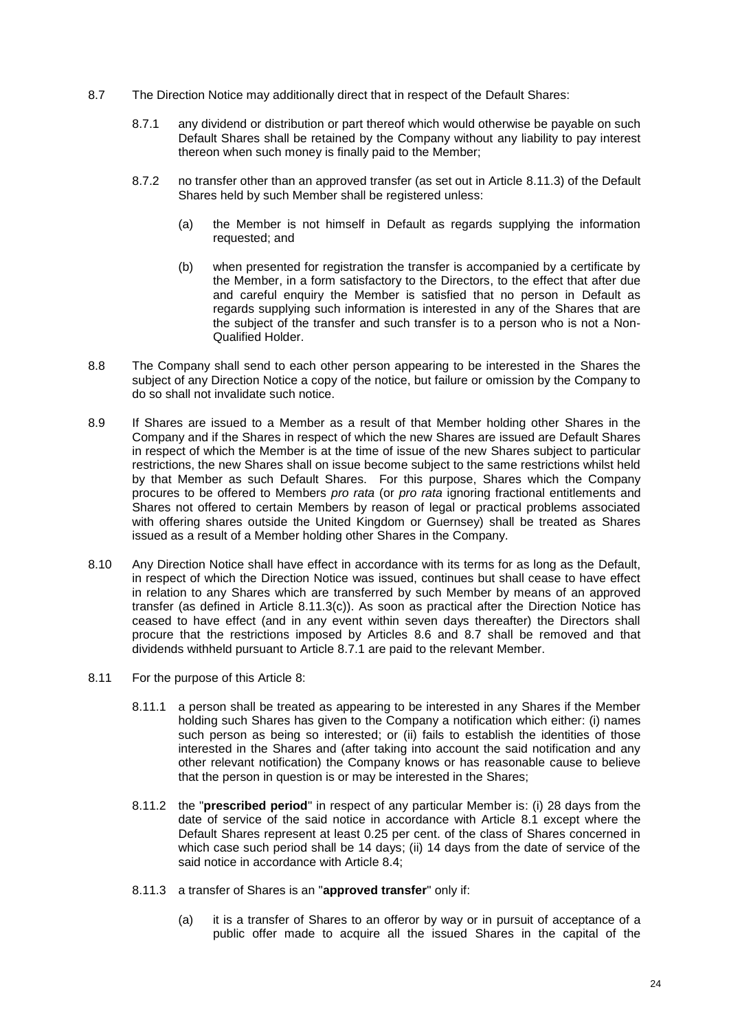- <span id="page-25-2"></span><span id="page-25-1"></span>8.7 The Direction Notice may additionally direct that in respect of the Default Shares:
	- 8.7.1 any dividend or distribution or part thereof which would otherwise be payable on such Default Shares shall be retained by the Company without any liability to pay interest thereon when such money is finally paid to the Member;
	- 8.7.2 no transfer other than an approved transfer (as set out in Article [8.11.3\)](#page-25-0) of the Default Shares held by such Member shall be registered unless:
		- (a) the Member is not himself in Default as regards supplying the information requested; and
		- (b) when presented for registration the transfer is accompanied by a certificate by the Member, in a form satisfactory to the Directors, to the effect that after due and careful enquiry the Member is satisfied that no person in Default as regards supplying such information is interested in any of the Shares that are the subject of the transfer and such transfer is to a person who is not a Non-Qualified Holder.
- 8.8 The Company shall send to each other person appearing to be interested in the Shares the subject of any Direction Notice a copy of the notice, but failure or omission by the Company to do so shall not invalidate such notice.
- 8.9 If Shares are issued to a Member as a result of that Member holding other Shares in the Company and if the Shares in respect of which the new Shares are issued are Default Shares in respect of which the Member is at the time of issue of the new Shares subject to particular restrictions, the new Shares shall on issue become subject to the same restrictions whilst held by that Member as such Default Shares. For this purpose, Shares which the Company procures to be offered to Members *pro rata* (or *pro rata* ignoring fractional entitlements and Shares not offered to certain Members by reason of legal or practical problems associated with offering shares outside the United Kingdom or Guernsey) shall be treated as Shares issued as a result of a Member holding other Shares in the Company.
- 8.10 Any Direction Notice shall have effect in accordance with its terms for as long as the Default, in respect of which the Direction Notice was issued, continues but shall cease to have effect in relation to any Shares which are transferred by such Member by means of an approved transfer (as defined in Article [8.11.3\(c\)\)](#page-26-0). As soon as practical after the Direction Notice has ceased to have effect (and in any event within seven days thereafter) the Directors shall procure that the restrictions imposed by Articles [8.6](#page-24-0) and [8.7](#page-25-1) shall be removed and that dividends withheld pursuant to Article [8.7.1](#page-25-2) are paid to the relevant Member.
- <span id="page-25-0"></span>8.11 For the purpose of this Article [8:](#page-23-1)
	- 8.11.1 a person shall be treated as appearing to be interested in any Shares if the Member holding such Shares has given to the Company a notification which either: (i) names such person as being so interested; or (ii) fails to establish the identities of those interested in the Shares and (after taking into account the said notification and any other relevant notification) the Company knows or has reasonable cause to believe that the person in question is or may be interested in the Shares;
	- 8.11.2 the "**prescribed period**" in respect of any particular Member is: (i) 28 days from the date of service of the said notice in accordance with Article [8.1](#page-23-0) except where the Default Shares represent at least 0.25 per cent. of the class of Shares concerned in which case such period shall be 14 days; (ii) 14 days from the date of service of the said notice in accordance with Article [8.4;](#page-24-2)
	- 8.11.3 a transfer of Shares is an "**approved transfer**" only if:
		- (a) it is a transfer of Shares to an offeror by way or in pursuit of acceptance of a public offer made to acquire all the issued Shares in the capital of the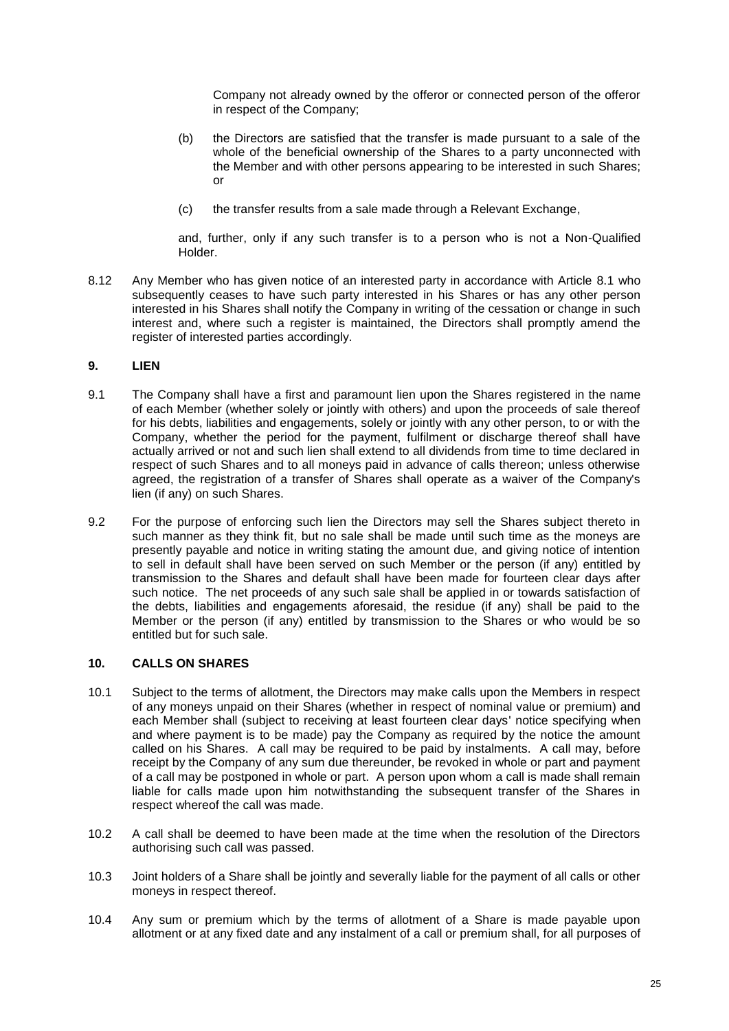Company not already owned by the offeror or connected person of the offeror in respect of the Company;

- (b) the Directors are satisfied that the transfer is made pursuant to a sale of the whole of the beneficial ownership of the Shares to a party unconnected with the Member and with other persons appearing to be interested in such Shares; or
- (c) the transfer results from a sale made through a Relevant Exchange,

and, further, only if any such transfer is to a person who is not a Non-Qualified Holder.

<span id="page-26-0"></span>8.12 Any Member who has given notice of an interested party in accordance with Article [8.1](#page-23-0) who subsequently ceases to have such party interested in his Shares or has any other person interested in his Shares shall notify the Company in writing of the cessation or change in such interest and, where such a register is maintained, the Directors shall promptly amend the register of interested parties accordingly.

### **9. LIEN**

- 9.1 The Company shall have a first and paramount lien upon the Shares registered in the name of each Member (whether solely or jointly with others) and upon the proceeds of sale thereof for his debts, liabilities and engagements, solely or jointly with any other person, to or with the Company, whether the period for the payment, fulfilment or discharge thereof shall have actually arrived or not and such lien shall extend to all dividends from time to time declared in respect of such Shares and to all moneys paid in advance of calls thereon; unless otherwise agreed, the registration of a transfer of Shares shall operate as a waiver of the Company's lien (if any) on such Shares.
- 9.2 For the purpose of enforcing such lien the Directors may sell the Shares subject thereto in such manner as they think fit, but no sale shall be made until such time as the moneys are presently payable and notice in writing stating the amount due, and giving notice of intention to sell in default shall have been served on such Member or the person (if any) entitled by transmission to the Shares and default shall have been made for fourteen clear days after such notice. The net proceeds of any such sale shall be applied in or towards satisfaction of the debts, liabilities and engagements aforesaid, the residue (if any) shall be paid to the Member or the person (if any) entitled by transmission to the Shares or who would be so entitled but for such sale.

## **10. CALLS ON SHARES**

- 10.1 Subject to the terms of allotment, the Directors may make calls upon the Members in respect of any moneys unpaid on their Shares (whether in respect of nominal value or premium) and each Member shall (subject to receiving at least fourteen clear days' notice specifying when and where payment is to be made) pay the Company as required by the notice the amount called on his Shares. A call may be required to be paid by instalments. A call may, before receipt by the Company of any sum due thereunder, be revoked in whole or part and payment of a call may be postponed in whole or part. A person upon whom a call is made shall remain liable for calls made upon him notwithstanding the subsequent transfer of the Shares in respect whereof the call was made.
- 10.2 A call shall be deemed to have been made at the time when the resolution of the Directors authorising such call was passed.
- 10.3 Joint holders of a Share shall be jointly and severally liable for the payment of all calls or other moneys in respect thereof.
- 10.4 Any sum or premium which by the terms of allotment of a Share is made payable upon allotment or at any fixed date and any instalment of a call or premium shall, for all purposes of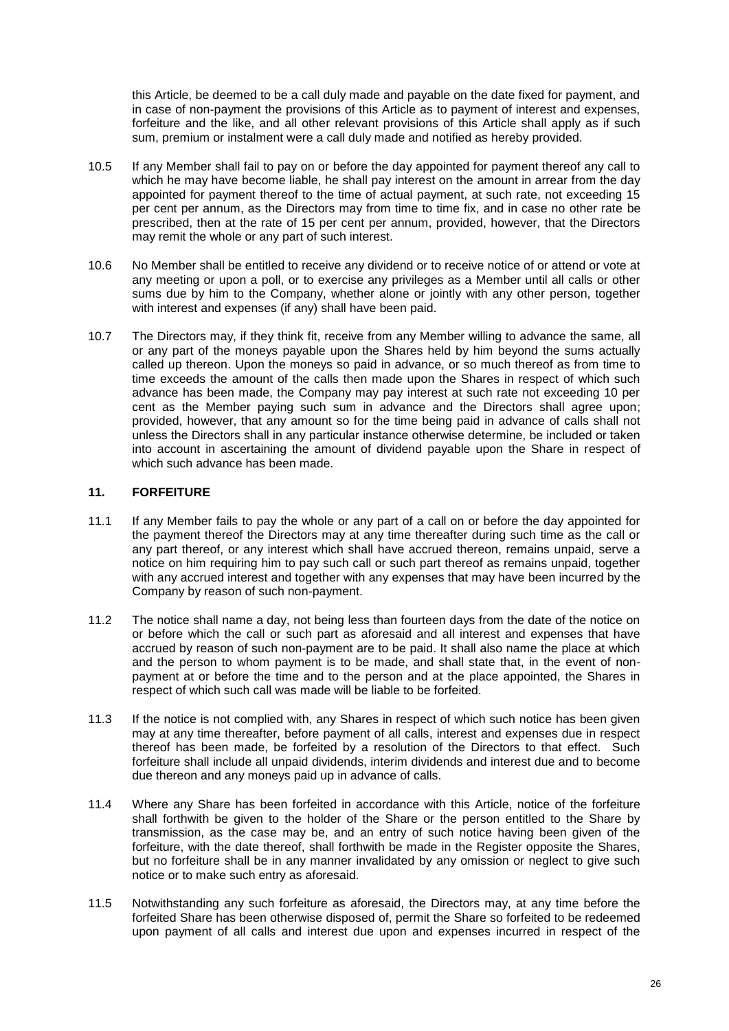this Article, be deemed to be a call duly made and payable on the date fixed for payment, and in case of non-payment the provisions of this Article as to payment of interest and expenses, forfeiture and the like, and all other relevant provisions of this Article shall apply as if such sum, premium or instalment were a call duly made and notified as hereby provided.

- 10.5 If any Member shall fail to pay on or before the day appointed for payment thereof any call to which he may have become liable, he shall pay interest on the amount in arrear from the day appointed for payment thereof to the time of actual payment, at such rate, not exceeding 15 per cent per annum, as the Directors may from time to time fix, and in case no other rate be prescribed, then at the rate of 15 per cent per annum, provided, however, that the Directors may remit the whole or any part of such interest.
- 10.6 No Member shall be entitled to receive any dividend or to receive notice of or attend or vote at any meeting or upon a poll, or to exercise any privileges as a Member until all calls or other sums due by him to the Company, whether alone or jointly with any other person, together with interest and expenses (if any) shall have been paid.
- 10.7 The Directors may, if they think fit, receive from any Member willing to advance the same, all or any part of the moneys payable upon the Shares held by him beyond the sums actually called up thereon. Upon the moneys so paid in advance, or so much thereof as from time to time exceeds the amount of the calls then made upon the Shares in respect of which such advance has been made, the Company may pay interest at such rate not exceeding 10 per cent as the Member paying such sum in advance and the Directors shall agree upon; provided, however, that any amount so for the time being paid in advance of calls shall not unless the Directors shall in any particular instance otherwise determine, be included or taken into account in ascertaining the amount of dividend payable upon the Share in respect of which such advance has been made.

## <span id="page-27-0"></span>**11. FORFEITURE**

- 11.1 If any Member fails to pay the whole or any part of a call on or before the day appointed for the payment thereof the Directors may at any time thereafter during such time as the call or any part thereof, or any interest which shall have accrued thereon, remains unpaid, serve a notice on him requiring him to pay such call or such part thereof as remains unpaid, together with any accrued interest and together with any expenses that may have been incurred by the Company by reason of such non-payment.
- 11.2 The notice shall name a day, not being less than fourteen days from the date of the notice on or before which the call or such part as aforesaid and all interest and expenses that have accrued by reason of such non-payment are to be paid. It shall also name the place at which and the person to whom payment is to be made, and shall state that, in the event of nonpayment at or before the time and to the person and at the place appointed, the Shares in respect of which such call was made will be liable to be forfeited.
- 11.3 If the notice is not complied with, any Shares in respect of which such notice has been given may at any time thereafter, before payment of all calls, interest and expenses due in respect thereof has been made, be forfeited by a resolution of the Directors to that effect. Such forfeiture shall include all unpaid dividends, interim dividends and interest due and to become due thereon and any moneys paid up in advance of calls.
- 11.4 Where any Share has been forfeited in accordance with this Article, notice of the forfeiture shall forthwith be given to the holder of the Share or the person entitled to the Share by transmission, as the case may be, and an entry of such notice having been given of the forfeiture, with the date thereof, shall forthwith be made in the Register opposite the Shares, but no forfeiture shall be in any manner invalidated by any omission or neglect to give such notice or to make such entry as aforesaid.
- 11.5 Notwithstanding any such forfeiture as aforesaid, the Directors may, at any time before the forfeited Share has been otherwise disposed of, permit the Share so forfeited to be redeemed upon payment of all calls and interest due upon and expenses incurred in respect of the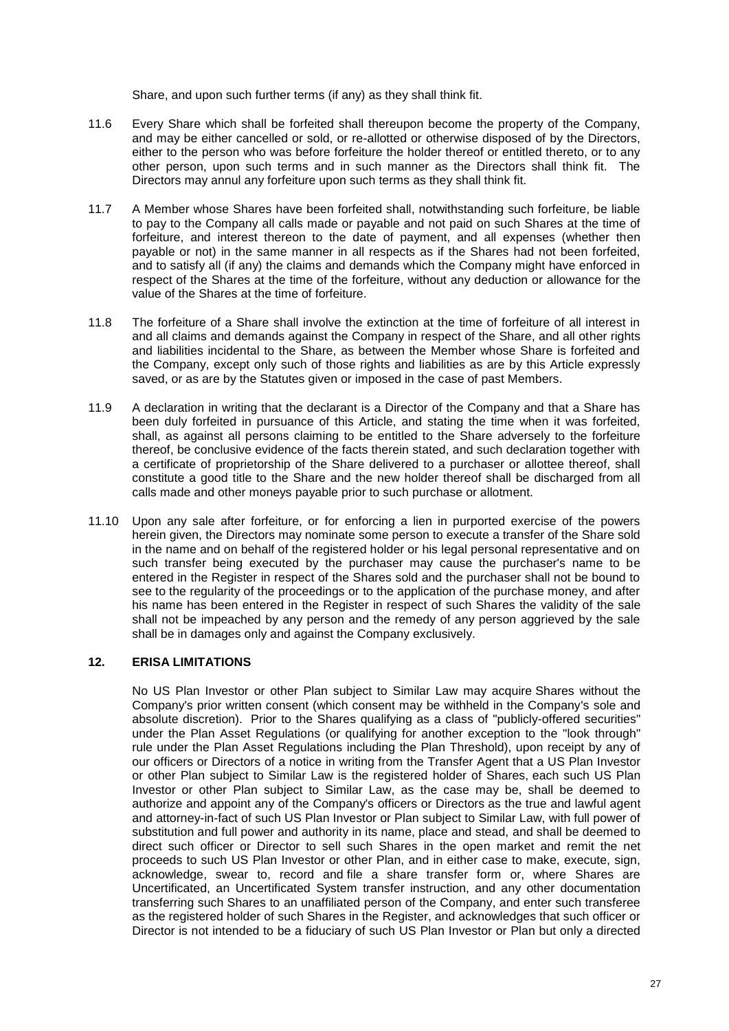Share, and upon such further terms (if any) as they shall think fit.

- 11.6 Every Share which shall be forfeited shall thereupon become the property of the Company, and may be either cancelled or sold, or re-allotted or otherwise disposed of by the Directors, either to the person who was before forfeiture the holder thereof or entitled thereto, or to any other person, upon such terms and in such manner as the Directors shall think fit. The Directors may annul any forfeiture upon such terms as they shall think fit.
- 11.7 A Member whose Shares have been forfeited shall, notwithstanding such forfeiture, be liable to pay to the Company all calls made or payable and not paid on such Shares at the time of forfeiture, and interest thereon to the date of payment, and all expenses (whether then payable or not) in the same manner in all respects as if the Shares had not been forfeited, and to satisfy all (if any) the claims and demands which the Company might have enforced in respect of the Shares at the time of the forfeiture, without any deduction or allowance for the value of the Shares at the time of forfeiture.
- 11.8 The forfeiture of a Share shall involve the extinction at the time of forfeiture of all interest in and all claims and demands against the Company in respect of the Share, and all other rights and liabilities incidental to the Share, as between the Member whose Share is forfeited and the Company, except only such of those rights and liabilities as are by this Article expressly saved, or as are by the Statutes given or imposed in the case of past Members.
- 11.9 A declaration in writing that the declarant is a Director of the Company and that a Share has been duly forfeited in pursuance of this Article, and stating the time when it was forfeited, shall, as against all persons claiming to be entitled to the Share adversely to the forfeiture thereof, be conclusive evidence of the facts therein stated, and such declaration together with a certificate of proprietorship of the Share delivered to a purchaser or allottee thereof, shall constitute a good title to the Share and the new holder thereof shall be discharged from all calls made and other moneys payable prior to such purchase or allotment.
- 11.10 Upon any sale after forfeiture, or for enforcing a lien in purported exercise of the powers herein given, the Directors may nominate some person to execute a transfer of the Share sold in the name and on behalf of the registered holder or his legal personal representative and on such transfer being executed by the purchaser may cause the purchaser's name to be entered in the Register in respect of the Shares sold and the purchaser shall not be bound to see to the regularity of the proceedings or to the application of the purchase money, and after his name has been entered in the Register in respect of such Shares the validity of the sale shall not be impeached by any person and the remedy of any person aggrieved by the sale shall be in damages only and against the Company exclusively.

## <span id="page-28-0"></span>**12. ERISA LIMITATIONS**

No US Plan Investor or other Plan subject to Similar Law may acquire Shares without the Company's prior written consent (which consent may be withheld in the Company's sole and absolute discretion). Prior to the Shares qualifying as a class of "publicly-offered securities" under the Plan Asset Regulations (or qualifying for another exception to the "look through" rule under the Plan Asset Regulations including the Plan Threshold), upon receipt by any of our officers or Directors of a notice in writing from the Transfer Agent that a US Plan Investor or other Plan subject to Similar Law is the registered holder of Shares, each such US Plan Investor or other Plan subject to Similar Law, as the case may be, shall be deemed to authorize and appoint any of the Company's officers or Directors as the true and lawful agent and attorney-in-fact of such US Plan Investor or Plan subject to Similar Law, with full power of substitution and full power and authority in its name, place and stead, and shall be deemed to direct such officer or Director to sell such Shares in the open market and remit the net proceeds to such US Plan Investor or other Plan, and in either case to make, execute, sign, acknowledge, swear to, record and file a share transfer form or, where Shares are Uncertificated, an Uncertificated System transfer instruction, and any other documentation transferring such Shares to an unaffiliated person of the Company, and enter such transferee as the registered holder of such Shares in the Register, and acknowledges that such officer or Director is not intended to be a fiduciary of such US Plan Investor or Plan but only a directed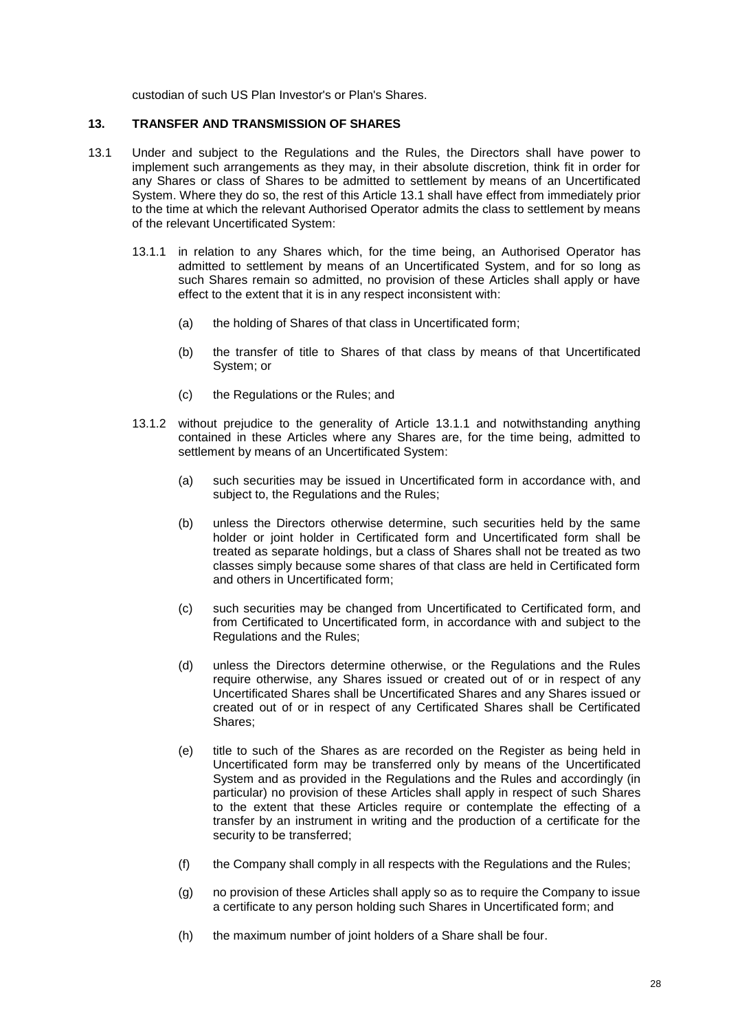custodian of such US Plan Investor's or Plan's Shares.

#### <span id="page-29-0"></span>**13. TRANSFER AND TRANSMISSION OF SHARES**

- <span id="page-29-2"></span><span id="page-29-1"></span>13.1 Under and subject to the Regulations and the Rules, the Directors shall have power to implement such arrangements as they may, in their absolute discretion, think fit in order for any Shares or class of Shares to be admitted to settlement by means of an Uncertificated System. Where they do so, the rest of this Article [13.1](#page-29-1) shall have effect from immediately prior to the time at which the relevant Authorised Operator admits the class to settlement by means of the relevant Uncertificated System:
	- 13.1.1 in relation to any Shares which, for the time being, an Authorised Operator has admitted to settlement by means of an Uncertificated System, and for so long as such Shares remain so admitted, no provision of these Articles shall apply or have effect to the extent that it is in any respect inconsistent with:
		- (a) the holding of Shares of that class in Uncertificated form;
		- (b) the transfer of title to Shares of that class by means of that Uncertificated System; or
		- (c) the Regulations or the Rules; and
	- 13.1.2 without prejudice to the generality of Article [13.1.1](#page-29-2) and notwithstanding anything contained in these Articles where any Shares are, for the time being, admitted to settlement by means of an Uncertificated System:
		- (a) such securities may be issued in Uncertificated form in accordance with, and subject to, the Regulations and the Rules:
		- (b) unless the Directors otherwise determine, such securities held by the same holder or joint holder in Certificated form and Uncertificated form shall be treated as separate holdings, but a class of Shares shall not be treated as two classes simply because some shares of that class are held in Certificated form and others in Uncertificated form;
		- (c) such securities may be changed from Uncertificated to Certificated form, and from Certificated to Uncertificated form, in accordance with and subject to the Regulations and the Rules;
		- (d) unless the Directors determine otherwise, or the Regulations and the Rules require otherwise, any Shares issued or created out of or in respect of any Uncertificated Shares shall be Uncertificated Shares and any Shares issued or created out of or in respect of any Certificated Shares shall be Certificated Shares;
		- (e) title to such of the Shares as are recorded on the Register as being held in Uncertificated form may be transferred only by means of the Uncertificated System and as provided in the Regulations and the Rules and accordingly (in particular) no provision of these Articles shall apply in respect of such Shares to the extent that these Articles require or contemplate the effecting of a transfer by an instrument in writing and the production of a certificate for the security to be transferred;
		- (f) the Company shall comply in all respects with the Regulations and the Rules;
		- (g) no provision of these Articles shall apply so as to require the Company to issue a certificate to any person holding such Shares in Uncertificated form; and
		- (h) the maximum number of joint holders of a Share shall be four.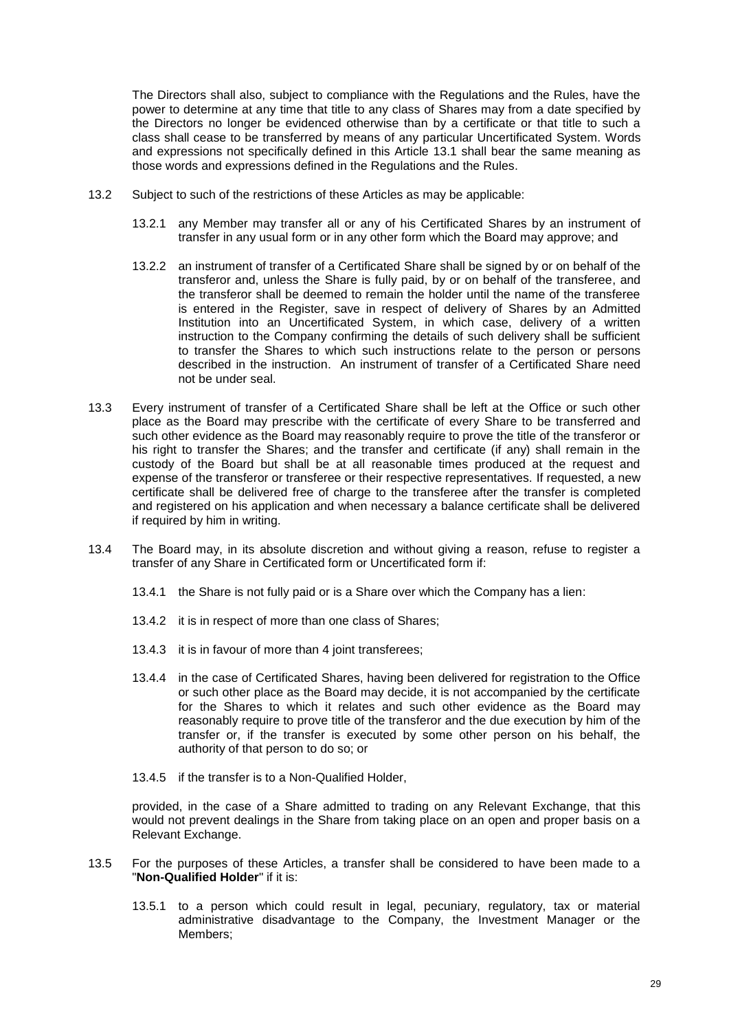The Directors shall also, subject to compliance with the Regulations and the Rules, have the power to determine at any time that title to any class of Shares may from a date specified by the Directors no longer be evidenced otherwise than by a certificate or that title to such a class shall cease to be transferred by means of any particular Uncertificated System. Words and expressions not specifically defined in this Article [13.1](#page-29-1) shall bear the same meaning as those words and expressions defined in the Regulations and the Rules.

- 13.2 Subject to such of the restrictions of these Articles as may be applicable:
	- 13.2.1 any Member may transfer all or any of his Certificated Shares by an instrument of transfer in any usual form or in any other form which the Board may approve; and
	- 13.2.2 an instrument of transfer of a Certificated Share shall be signed by or on behalf of the transferor and, unless the Share is fully paid, by or on behalf of the transferee, and the transferor shall be deemed to remain the holder until the name of the transferee is entered in the Register, save in respect of delivery of Shares by an Admitted Institution into an Uncertificated System, in which case, delivery of a written instruction to the Company confirming the details of such delivery shall be sufficient to transfer the Shares to which such instructions relate to the person or persons described in the instruction. An instrument of transfer of a Certificated Share need not be under seal.
- 13.3 Every instrument of transfer of a Certificated Share shall be left at the Office or such other place as the Board may prescribe with the certificate of every Share to be transferred and such other evidence as the Board may reasonably require to prove the title of the transferor or his right to transfer the Shares; and the transfer and certificate (if any) shall remain in the custody of the Board but shall be at all reasonable times produced at the request and expense of the transferor or transferee or their respective representatives. If requested, a new certificate shall be delivered free of charge to the transferee after the transfer is completed and registered on his application and when necessary a balance certificate shall be delivered if required by him in writing.
- 13.4 The Board may, in its absolute discretion and without giving a reason, refuse to register a transfer of any Share in Certificated form or Uncertificated form if:
	- 13.4.1 the Share is not fully paid or is a Share over which the Company has a lien:
	- 13.4.2 it is in respect of more than one class of Shares;
	- 13.4.3 it is in favour of more than 4 joint transferees;
	- 13.4.4 in the case of Certificated Shares, having been delivered for registration to the Office or such other place as the Board may decide, it is not accompanied by the certificate for the Shares to which it relates and such other evidence as the Board may reasonably require to prove title of the transferor and the due execution by him of the transfer or, if the transfer is executed by some other person on his behalf, the authority of that person to do so; or
	- 13.4.5 if the transfer is to a Non-Qualified Holder,

provided, in the case of a Share admitted to trading on any Relevant Exchange, that this would not prevent dealings in the Share from taking place on an open and proper basis on a Relevant Exchange.

- <span id="page-30-0"></span>13.5 For the purposes of these Articles, a transfer shall be considered to have been made to a "**Non-Qualified Holder**" if it is:
	- 13.5.1 to a person which could result in legal, pecuniary, regulatory, tax or material administrative disadvantage to the Company, the Investment Manager or the Members;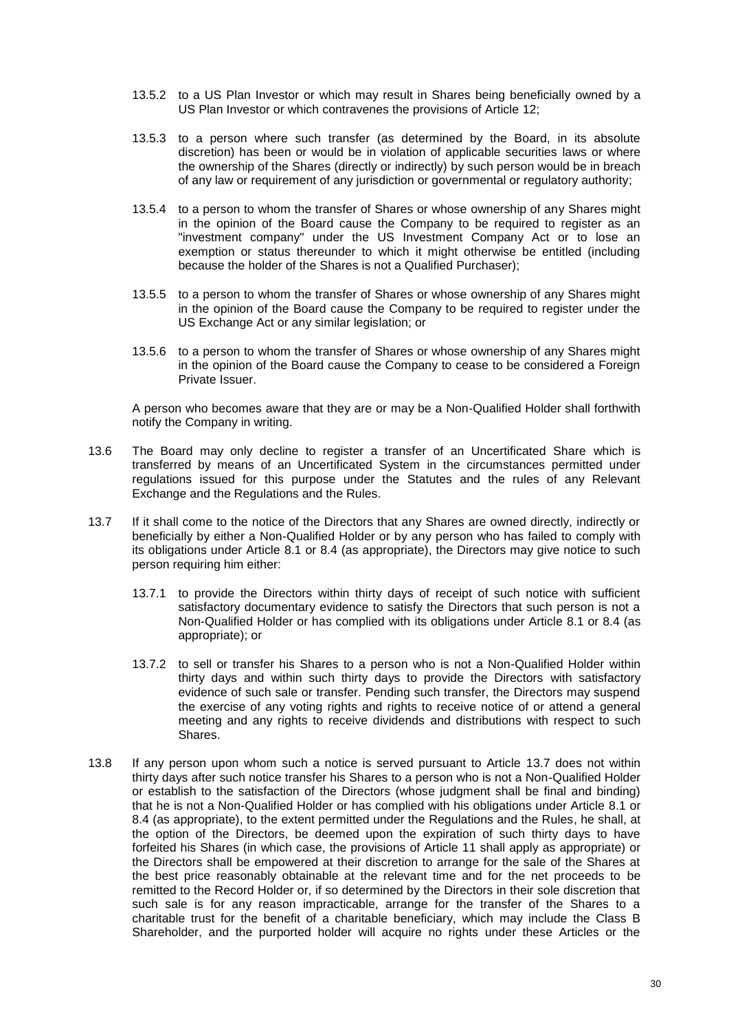- 13.5.2 to a US Plan Investor or which may result in Shares being beneficially owned by a US Plan Investor or which contravenes the provisions of Article [12;](#page-28-0)
- 13.5.3 to a person where such transfer (as determined by the Board, in its absolute discretion) has been or would be in violation of applicable securities laws or where the ownership of the Shares (directly or indirectly) by such person would be in breach of any law or requirement of any jurisdiction or governmental or regulatory authority;
- 13.5.4 to a person to whom the transfer of Shares or whose ownership of any Shares might in the opinion of the Board cause the Company to be required to register as an "investment company" under the US Investment Company Act or to lose an exemption or status thereunder to which it might otherwise be entitled (including because the holder of the Shares is not a Qualified Purchaser);
- 13.5.5 to a person to whom the transfer of Shares or whose ownership of any Shares might in the opinion of the Board cause the Company to be required to register under the US Exchange Act or any similar legislation; or
- 13.5.6 to a person to whom the transfer of Shares or whose ownership of any Shares might in the opinion of the Board cause the Company to cease to be considered a Foreign Private Issuer.

A person who becomes aware that they are or may be a Non-Qualified Holder shall forthwith notify the Company in writing.

- 13.6 The Board may only decline to register a transfer of an Uncertificated Share which is transferred by means of an Uncertificated System in the circumstances permitted under regulations issued for this purpose under the Statutes and the rules of any Relevant Exchange and the Regulations and the Rules.
- <span id="page-31-0"></span>13.7 If it shall come to the notice of the Directors that any Shares are owned directly, indirectly or beneficially by either a Non-Qualified Holder or by any person who has failed to comply with its obligations under Article [8.1](#page-23-0) or [8.4](#page-24-2) (as appropriate), the Directors may give notice to such person requiring him either:
	- 13.7.1 to provide the Directors within thirty days of receipt of such notice with sufficient satisfactory documentary evidence to satisfy the Directors that such person is not a Non-Qualified Holder or has complied with its obligations under Article [8.1](#page-23-0) or [8.4](#page-24-2) (as appropriate); or
	- 13.7.2 to sell or transfer his Shares to a person who is not a Non-Qualified Holder within thirty days and within such thirty days to provide the Directors with satisfactory evidence of such sale or transfer. Pending such transfer, the Directors may suspend the exercise of any voting rights and rights to receive notice of or attend a general meeting and any rights to receive dividends and distributions with respect to such Shares.
- 13.8 If any person upon whom such a notice is served pursuant to Article [13.7](#page-31-0) does not within thirty days after such notice transfer his Shares to a person who is not a Non-Qualified Holder or establish to the satisfaction of the Directors (whose judgment shall be final and binding) that he is not a Non-Qualified Holder or has complied with his obligations under Article [8.1](#page-23-0) or [8.4](#page-24-2) (as appropriate), to the extent permitted under the Regulations and the Rules, he shall, at the option of the Directors, be deemed upon the expiration of such thirty days to have forfeited his Shares (in which case, the provisions of Article [11](#page-27-0) shall apply as appropriate) or the Directors shall be empowered at their discretion to arrange for the sale of the Shares at the best price reasonably obtainable at the relevant time and for the net proceeds to be remitted to the Record Holder or, if so determined by the Directors in their sole discretion that such sale is for any reason impracticable, arrange for the transfer of the Shares to a charitable trust for the benefit of a charitable beneficiary, which may include the Class B Shareholder, and the purported holder will acquire no rights under these Articles or the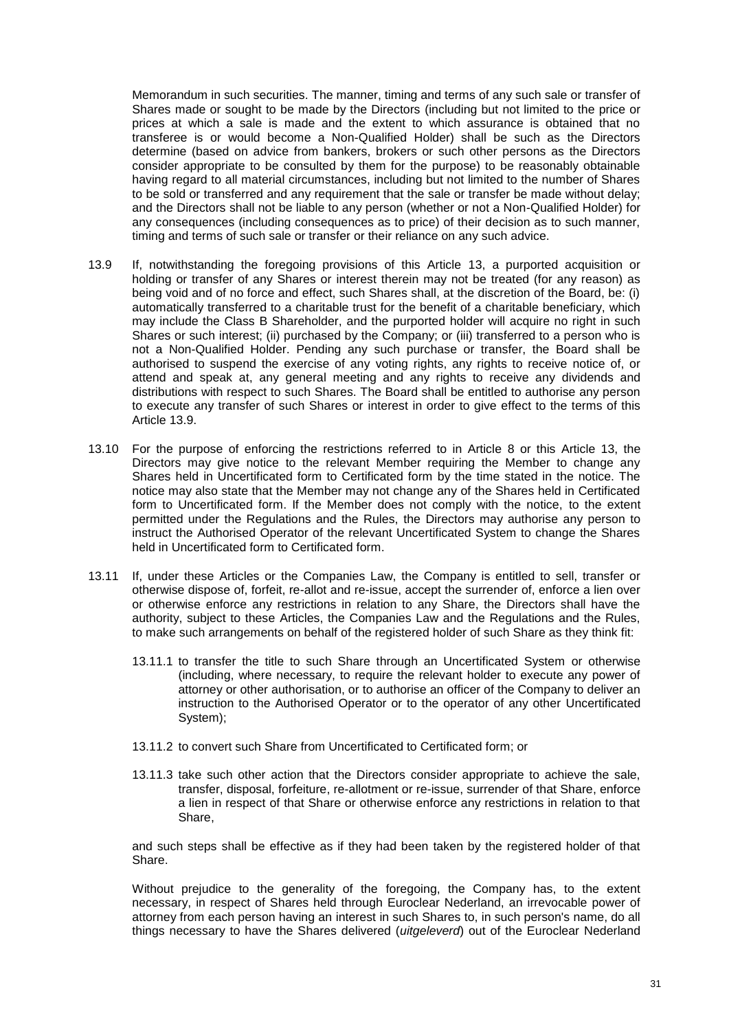Memorandum in such securities. The manner, timing and terms of any such sale or transfer of Shares made or sought to be made by the Directors (including but not limited to the price or prices at which a sale is made and the extent to which assurance is obtained that no transferee is or would become a Non-Qualified Holder) shall be such as the Directors determine (based on advice from bankers, brokers or such other persons as the Directors consider appropriate to be consulted by them for the purpose) to be reasonably obtainable having regard to all material circumstances, including but not limited to the number of Shares to be sold or transferred and any requirement that the sale or transfer be made without delay; and the Directors shall not be liable to any person (whether or not a Non-Qualified Holder) for any consequences (including consequences as to price) of their decision as to such manner, timing and terms of such sale or transfer or their reliance on any such advice.

- <span id="page-32-0"></span>13.9 If, notwithstanding the foregoing provisions of this Article 13, a purported acquisition or holding or transfer of any Shares or interest therein may not be treated (for any reason) as being void and of no force and effect, such Shares shall, at the discretion of the Board, be: (i) automatically transferred to a charitable trust for the benefit of a charitable beneficiary, which may include the Class B Shareholder, and the purported holder will acquire no right in such Shares or such interest; (ii) purchased by the Company; or (iii) transferred to a person who is not a Non-Qualified Holder. Pending any such purchase or transfer, the Board shall be authorised to suspend the exercise of any voting rights, any rights to receive notice of, or attend and speak at, any general meeting and any rights to receive any dividends and distributions with respect to such Shares. The Board shall be entitled to authorise any person to execute any transfer of such Shares or interest in order to give effect to the terms of this Article [13.9.](#page-32-0)
- 13.10 For the purpose of enforcing the restrictions referred to in Article [8](#page-23-1) or this Article [13,](#page-29-0) the Directors may give notice to the relevant Member requiring the Member to change any Shares held in Uncertificated form to Certificated form by the time stated in the notice. The notice may also state that the Member may not change any of the Shares held in Certificated form to Uncertificated form. If the Member does not comply with the notice, to the extent permitted under the Regulations and the Rules, the Directors may authorise any person to instruct the Authorised Operator of the relevant Uncertificated System to change the Shares held in Uncertificated form to Certificated form.
- 13.11 If, under these Articles or the Companies Law, the Company is entitled to sell, transfer or otherwise dispose of, forfeit, re-allot and re-issue, accept the surrender of, enforce a lien over or otherwise enforce any restrictions in relation to any Share, the Directors shall have the authority, subject to these Articles, the Companies Law and the Regulations and the Rules, to make such arrangements on behalf of the registered holder of such Share as they think fit:
	- 13.11.1 to transfer the title to such Share through an Uncertificated System or otherwise (including, where necessary, to require the relevant holder to execute any power of attorney or other authorisation, or to authorise an officer of the Company to deliver an instruction to the Authorised Operator or to the operator of any other Uncertificated System);
	- 13.11.2 to convert such Share from Uncertificated to Certificated form; or
	- 13.11.3 take such other action that the Directors consider appropriate to achieve the sale, transfer, disposal, forfeiture, re-allotment or re-issue, surrender of that Share, enforce a lien in respect of that Share or otherwise enforce any restrictions in relation to that Share,

and such steps shall be effective as if they had been taken by the registered holder of that Share.

Without prejudice to the generality of the foregoing, the Company has, to the extent necessary, in respect of Shares held through Euroclear Nederland, an irrevocable power of attorney from each person having an interest in such Shares to, in such person's name, do all things necessary to have the Shares delivered (*uitgeleverd*) out of the Euroclear Nederland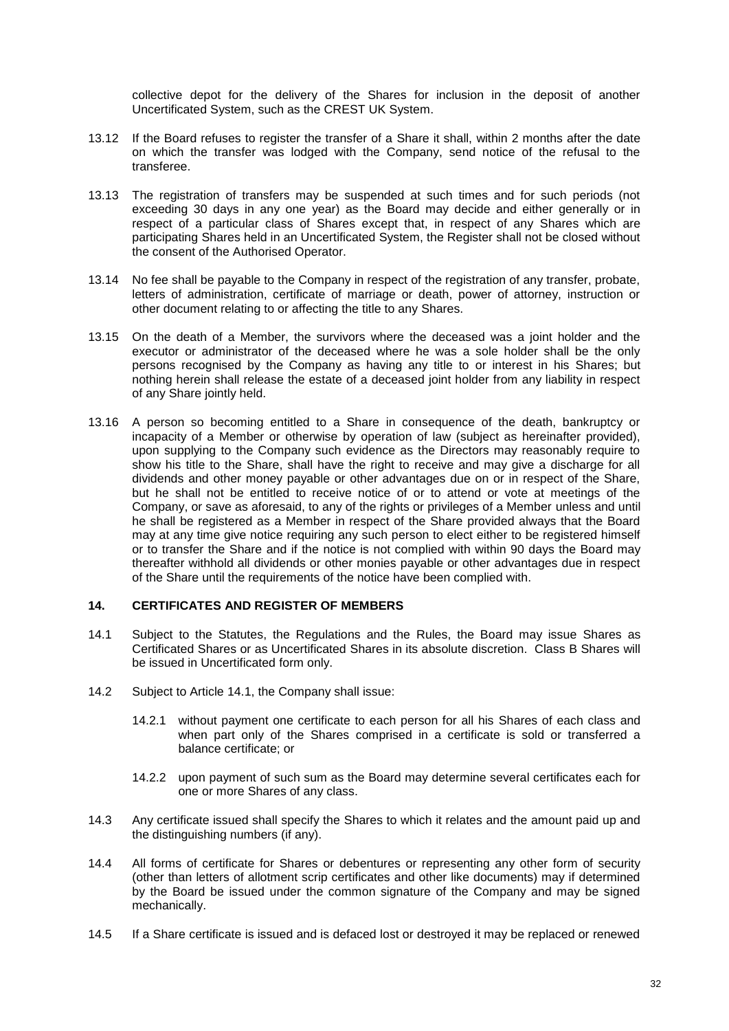collective depot for the delivery of the Shares for inclusion in the deposit of another Uncertificated System, such as the CREST UK System.

- 13.12 If the Board refuses to register the transfer of a Share it shall, within 2 months after the date on which the transfer was lodged with the Company, send notice of the refusal to the transferee.
- 13.13 The registration of transfers may be suspended at such times and for such periods (not exceeding 30 days in any one year) as the Board may decide and either generally or in respect of a particular class of Shares except that, in respect of any Shares which are participating Shares held in an Uncertificated System, the Register shall not be closed without the consent of the Authorised Operator.
- 13.14 No fee shall be payable to the Company in respect of the registration of any transfer, probate, letters of administration, certificate of marriage or death, power of attorney, instruction or other document relating to or affecting the title to any Shares.
- 13.15 On the death of a Member, the survivors where the deceased was a joint holder and the executor or administrator of the deceased where he was a sole holder shall be the only persons recognised by the Company as having any title to or interest in his Shares; but nothing herein shall release the estate of a deceased joint holder from any liability in respect of any Share jointly held.
- 13.16 A person so becoming entitled to a Share in consequence of the death, bankruptcy or incapacity of a Member or otherwise by operation of law (subject as hereinafter provided), upon supplying to the Company such evidence as the Directors may reasonably require to show his title to the Share, shall have the right to receive and may give a discharge for all dividends and other money payable or other advantages due on or in respect of the Share, but he shall not be entitled to receive notice of or to attend or vote at meetings of the Company, or save as aforesaid, to any of the rights or privileges of a Member unless and until he shall be registered as a Member in respect of the Share provided always that the Board may at any time give notice requiring any such person to elect either to be registered himself or to transfer the Share and if the notice is not complied with within 90 days the Board may thereafter withhold all dividends or other monies payable or other advantages due in respect of the Share until the requirements of the notice have been complied with.

### **14. CERTIFICATES AND REGISTER OF MEMBERS**

- <span id="page-33-0"></span>14.1 Subject to the Statutes, the Regulations and the Rules, the Board may issue Shares as Certificated Shares or as Uncertificated Shares in its absolute discretion. Class B Shares will be issued in Uncertificated form only.
- 14.2 Subject to Article [14.1,](#page-33-0) the Company shall issue:
	- 14.2.1 without payment one certificate to each person for all his Shares of each class and when part only of the Shares comprised in a certificate is sold or transferred a balance certificate; or
	- 14.2.2 upon payment of such sum as the Board may determine several certificates each for one or more Shares of any class.
- 14.3 Any certificate issued shall specify the Shares to which it relates and the amount paid up and the distinguishing numbers (if any).
- 14.4 All forms of certificate for Shares or debentures or representing any other form of security (other than letters of allotment scrip certificates and other like documents) may if determined by the Board be issued under the common signature of the Company and may be signed mechanically.
- 14.5 If a Share certificate is issued and is defaced lost or destroyed it may be replaced or renewed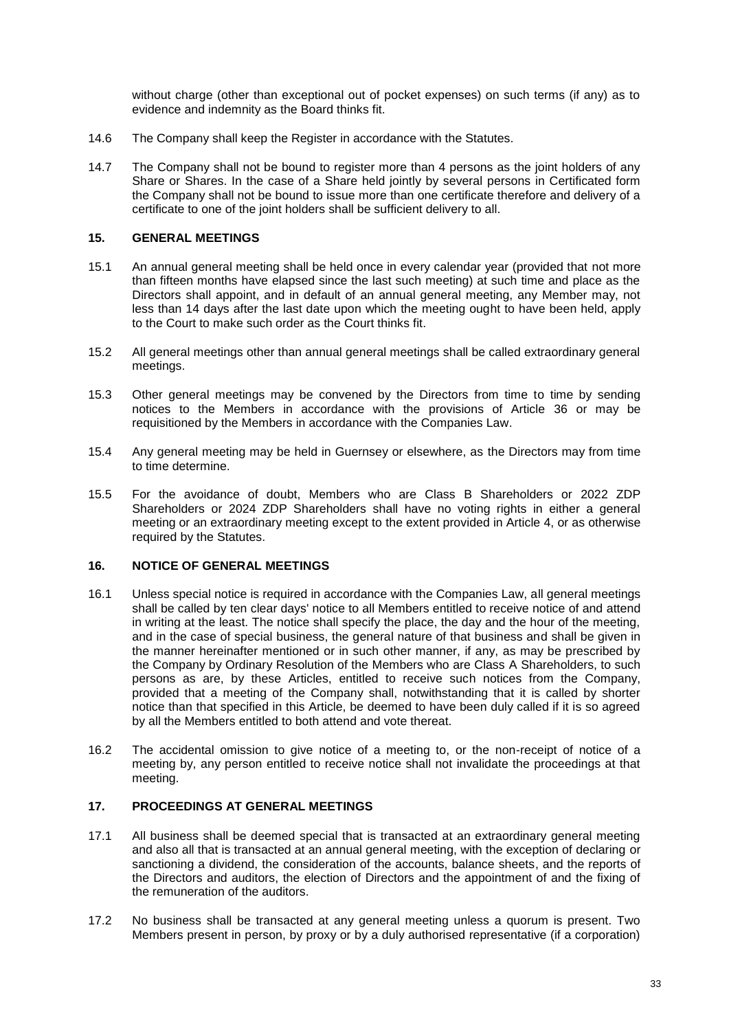without charge (other than exceptional out of pocket expenses) on such terms (if any) as to evidence and indemnity as the Board thinks fit.

- 14.6 The Company shall keep the Register in accordance with the Statutes.
- 14.7 The Company shall not be bound to register more than 4 persons as the joint holders of any Share or Shares. In the case of a Share held jointly by several persons in Certificated form the Company shall not be bound to issue more than one certificate therefore and delivery of a certificate to one of the joint holders shall be sufficient delivery to all.

#### **15. GENERAL MEETINGS**

- 15.1 An annual general meeting shall be held once in every calendar year (provided that not more than fifteen months have elapsed since the last such meeting) at such time and place as the Directors shall appoint, and in default of an annual general meeting, any Member may, not less than 14 days after the last date upon which the meeting ought to have been held, apply to the Court to make such order as the Court thinks fit.
- 15.2 All general meetings other than annual general meetings shall be called extraordinary general meetings.
- 15.3 Other general meetings may be convened by the Directors from time to time by sending notices to the Members in accordance with the provisions of Article [36](#page-46-0) or may be requisitioned by the Members in accordance with the Companies Law.
- 15.4 Any general meeting may be held in Guernsey or elsewhere, as the Directors may from time to time determine.
- 15.5 For the avoidance of doubt, Members who are Class B Shareholders or 2022 ZDP Shareholders or 2024 ZDP Shareholders shall have no voting rights in either a general meeting or an extraordinary meeting except to the extent provided in Article [4,](#page-10-1) or as otherwise required by the Statutes.

# **16. NOTICE OF GENERAL MEETINGS**

- 16.1 Unless special notice is required in accordance with the Companies Law, all general meetings shall be called by ten clear days' notice to all Members entitled to receive notice of and attend in writing at the least. The notice shall specify the place, the day and the hour of the meeting, and in the case of special business, the general nature of that business and shall be given in the manner hereinafter mentioned or in such other manner, if any, as may be prescribed by the Company by Ordinary Resolution of the Members who are Class A Shareholders, to such persons as are, by these Articles, entitled to receive such notices from the Company, provided that a meeting of the Company shall, notwithstanding that it is called by shorter notice than that specified in this Article, be deemed to have been duly called if it is so agreed by all the Members entitled to both attend and vote thereat.
- 16.2 The accidental omission to give notice of a meeting to, or the non-receipt of notice of a meeting by, any person entitled to receive notice shall not invalidate the proceedings at that meeting.

### **17. PROCEEDINGS AT GENERAL MEETINGS**

- 17.1 All business shall be deemed special that is transacted at an extraordinary general meeting and also all that is transacted at an annual general meeting, with the exception of declaring or sanctioning a dividend, the consideration of the accounts, balance sheets, and the reports of the Directors and auditors, the election of Directors and the appointment of and the fixing of the remuneration of the auditors.
- 17.2 No business shall be transacted at any general meeting unless a quorum is present. Two Members present in person, by proxy or by a duly authorised representative (if a corporation)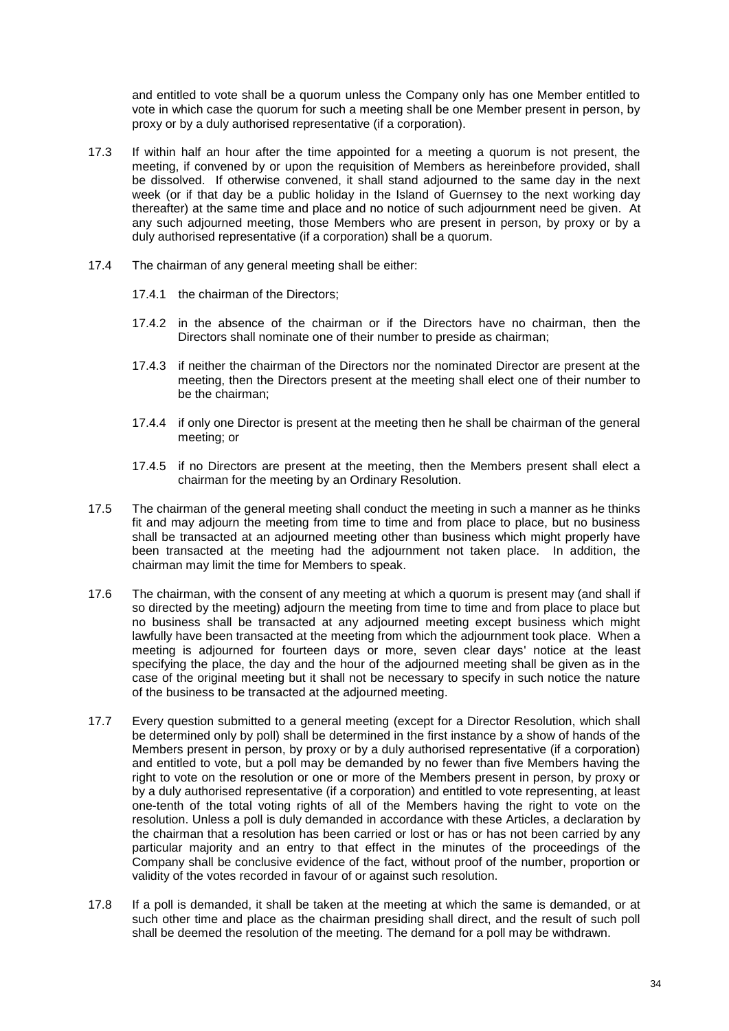and entitled to vote shall be a quorum unless the Company only has one Member entitled to vote in which case the quorum for such a meeting shall be one Member present in person, by proxy or by a duly authorised representative (if a corporation).

- 17.3 If within half an hour after the time appointed for a meeting a quorum is not present, the meeting, if convened by or upon the requisition of Members as hereinbefore provided, shall be dissolved. If otherwise convened, it shall stand adjourned to the same day in the next week (or if that day be a public holiday in the Island of Guernsey to the next working day thereafter) at the same time and place and no notice of such adjournment need be given. At any such adjourned meeting, those Members who are present in person, by proxy or by a duly authorised representative (if a corporation) shall be a quorum.
- 17.4 The chairman of any general meeting shall be either:
	- 17.4.1 the chairman of the Directors;
	- 17.4.2 in the absence of the chairman or if the Directors have no chairman, then the Directors shall nominate one of their number to preside as chairman;
	- 17.4.3 if neither the chairman of the Directors nor the nominated Director are present at the meeting, then the Directors present at the meeting shall elect one of their number to be the chairman;
	- 17.4.4 if only one Director is present at the meeting then he shall be chairman of the general meeting; or
	- 17.4.5 if no Directors are present at the meeting, then the Members present shall elect a chairman for the meeting by an Ordinary Resolution.
- 17.5 The chairman of the general meeting shall conduct the meeting in such a manner as he thinks fit and may adjourn the meeting from time to time and from place to place, but no business shall be transacted at an adjourned meeting other than business which might properly have been transacted at the meeting had the adjournment not taken place. In addition, the chairman may limit the time for Members to speak.
- 17.6 The chairman, with the consent of any meeting at which a quorum is present may (and shall if so directed by the meeting) adjourn the meeting from time to time and from place to place but no business shall be transacted at any adjourned meeting except business which might lawfully have been transacted at the meeting from which the adjournment took place. When a meeting is adjourned for fourteen days or more, seven clear days' notice at the least specifying the place, the day and the hour of the adjourned meeting shall be given as in the case of the original meeting but it shall not be necessary to specify in such notice the nature of the business to be transacted at the adjourned meeting.
- <span id="page-35-0"></span>17.7 Every question submitted to a general meeting (except for a Director Resolution, which shall be determined only by poll) shall be determined in the first instance by a show of hands of the Members present in person, by proxy or by a duly authorised representative (if a corporation) and entitled to vote, but a poll may be demanded by no fewer than five Members having the right to vote on the resolution or one or more of the Members present in person, by proxy or by a duly authorised representative (if a corporation) and entitled to vote representing, at least one-tenth of the total voting rights of all of the Members having the right to vote on the resolution. Unless a poll is duly demanded in accordance with these Articles, a declaration by the chairman that a resolution has been carried or lost or has or has not been carried by any particular majority and an entry to that effect in the minutes of the proceedings of the Company shall be conclusive evidence of the fact, without proof of the number, proportion or validity of the votes recorded in favour of or against such resolution.
- 17.8 If a poll is demanded, it shall be taken at the meeting at which the same is demanded, or at such other time and place as the chairman presiding shall direct, and the result of such poll shall be deemed the resolution of the meeting. The demand for a poll may be withdrawn.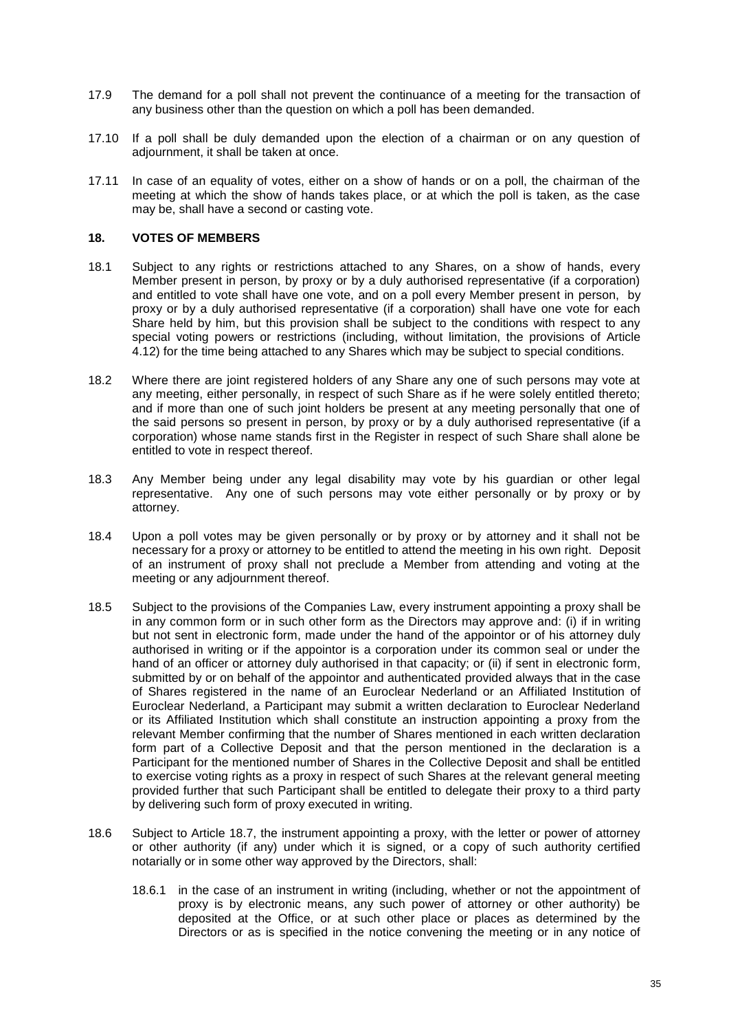- 17.9 The demand for a poll shall not prevent the continuance of a meeting for the transaction of any business other than the question on which a poll has been demanded.
- 17.10 If a poll shall be duly demanded upon the election of a chairman or on any question of adjournment, it shall be taken at once.
- 17.11 In case of an equality of votes, either on a show of hands or on a poll, the chairman of the meeting at which the show of hands takes place, or at which the poll is taken, as the case may be, shall have a second or casting vote.

### **18. VOTES OF MEMBERS**

- 18.1 Subject to any rights or restrictions attached to any Shares, on a show of hands, every Member present in person, by proxy or by a duly authorised representative (if a corporation) and entitled to vote shall have one vote, and on a poll every Member present in person, by proxy or by a duly authorised representative (if a corporation) shall have one vote for each Share held by him, but this provision shall be subject to the conditions with respect to any special voting powers or restrictions (including, without limitation, the provisions of Article [4.12\)](#page-13-2) for the time being attached to any Shares which may be subject to special conditions.
- 18.2 Where there are joint registered holders of any Share any one of such persons may vote at any meeting, either personally, in respect of such Share as if he were solely entitled thereto; and if more than one of such joint holders be present at any meeting personally that one of the said persons so present in person, by proxy or by a duly authorised representative (if a corporation) whose name stands first in the Register in respect of such Share shall alone be entitled to vote in respect thereof.
- 18.3 Any Member being under any legal disability may vote by his guardian or other legal representative. Any one of such persons may vote either personally or by proxy or by attorney.
- 18.4 Upon a poll votes may be given personally or by proxy or by attorney and it shall not be necessary for a proxy or attorney to be entitled to attend the meeting in his own right. Deposit of an instrument of proxy shall not preclude a Member from attending and voting at the meeting or any adjournment thereof.
- 18.5 Subject to the provisions of the Companies Law, every instrument appointing a proxy shall be in any common form or in such other form as the Directors may approve and: (i) if in writing but not sent in electronic form, made under the hand of the appointor or of his attorney duly authorised in writing or if the appointor is a corporation under its common seal or under the hand of an officer or attorney duly authorised in that capacity; or (ii) if sent in electronic form, submitted by or on behalf of the appointor and authenticated provided always that in the case of Shares registered in the name of an Euroclear Nederland or an Affiliated Institution of Euroclear Nederland, a Participant may submit a written declaration to Euroclear Nederland or its Affiliated Institution which shall constitute an instruction appointing a proxy from the relevant Member confirming that the number of Shares mentioned in each written declaration form part of a Collective Deposit and that the person mentioned in the declaration is a Participant for the mentioned number of Shares in the Collective Deposit and shall be entitled to exercise voting rights as a proxy in respect of such Shares at the relevant general meeting provided further that such Participant shall be entitled to delegate their proxy to a third party by delivering such form of proxy executed in writing.
- <span id="page-36-0"></span>18.6 Subject to Article [18.7,](#page-37-0) the instrument appointing a proxy, with the letter or power of attorney or other authority (if any) under which it is signed, or a copy of such authority certified notarially or in some other way approved by the Directors, shall:
	- 18.6.1 in the case of an instrument in writing (including, whether or not the appointment of proxy is by electronic means, any such power of attorney or other authority) be deposited at the Office, or at such other place or places as determined by the Directors or as is specified in the notice convening the meeting or in any notice of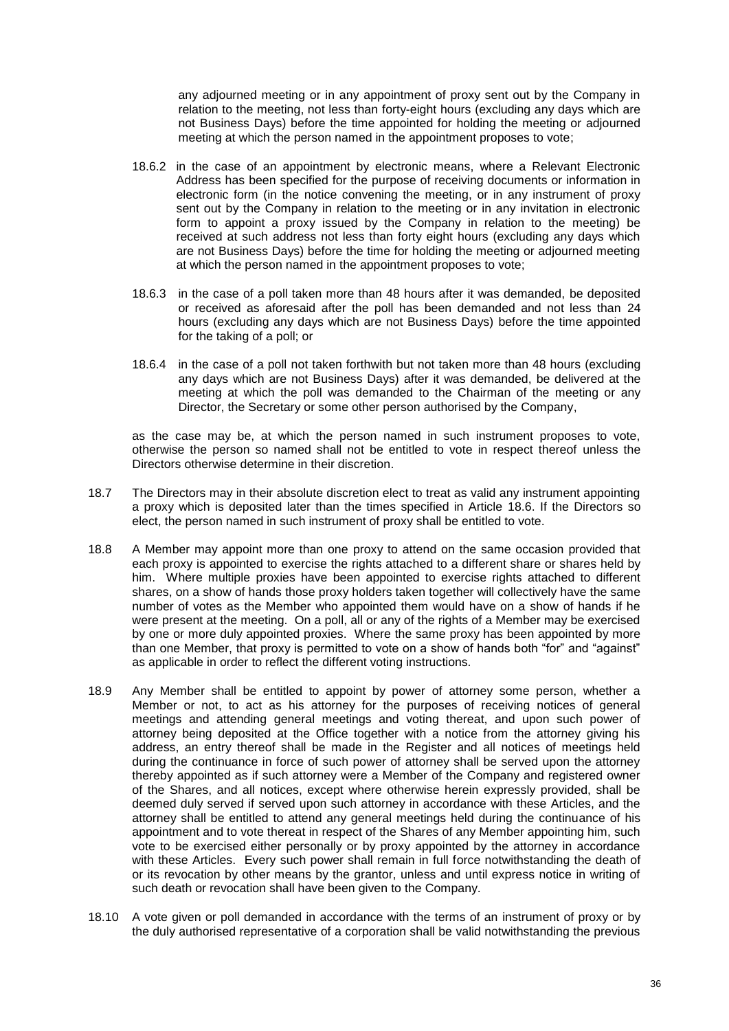any adjourned meeting or in any appointment of proxy sent out by the Company in relation to the meeting, not less than forty-eight hours (excluding any days which are not Business Days) before the time appointed for holding the meeting or adjourned meeting at which the person named in the appointment proposes to vote;

- 18.6.2 in the case of an appointment by electronic means, where a Relevant Electronic Address has been specified for the purpose of receiving documents or information in electronic form (in the notice convening the meeting, or in any instrument of proxy sent out by the Company in relation to the meeting or in any invitation in electronic form to appoint a proxy issued by the Company in relation to the meeting) be received at such address not less than forty eight hours (excluding any days which are not Business Days) before the time for holding the meeting or adjourned meeting at which the person named in the appointment proposes to vote;
- 18.6.3 in the case of a poll taken more than 48 hours after it was demanded, be deposited or received as aforesaid after the poll has been demanded and not less than 24 hours (excluding any days which are not Business Days) before the time appointed for the taking of a poll; or
- 18.6.4 in the case of a poll not taken forthwith but not taken more than 48 hours (excluding any days which are not Business Days) after it was demanded, be delivered at the meeting at which the poll was demanded to the Chairman of the meeting or any Director, the Secretary or some other person authorised by the Company,

as the case may be, at which the person named in such instrument proposes to vote, otherwise the person so named shall not be entitled to vote in respect thereof unless the Directors otherwise determine in their discretion.

- <span id="page-37-0"></span>18.7 The Directors may in their absolute discretion elect to treat as valid any instrument appointing a proxy which is deposited later than the times specified in Article [18.6.](#page-36-0) If the Directors so elect, the person named in such instrument of proxy shall be entitled to vote.
- 18.8 A Member may appoint more than one proxy to attend on the same occasion provided that each proxy is appointed to exercise the rights attached to a different share or shares held by him. Where multiple proxies have been appointed to exercise rights attached to different shares, on a show of hands those proxy holders taken together will collectively have the same number of votes as the Member who appointed them would have on a show of hands if he were present at the meeting. On a poll, all or any of the rights of a Member may be exercised by one or more duly appointed proxies. Where the same proxy has been appointed by more than one Member, that proxy is permitted to vote on a show of hands both "for" and "against" as applicable in order to reflect the different voting instructions*.*
- 18.9 Any Member shall be entitled to appoint by power of attorney some person, whether a Member or not, to act as his attorney for the purposes of receiving notices of general meetings and attending general meetings and voting thereat, and upon such power of attorney being deposited at the Office together with a notice from the attorney giving his address, an entry thereof shall be made in the Register and all notices of meetings held during the continuance in force of such power of attorney shall be served upon the attorney thereby appointed as if such attorney were a Member of the Company and registered owner of the Shares, and all notices, except where otherwise herein expressly provided, shall be deemed duly served if served upon such attorney in accordance with these Articles, and the attorney shall be entitled to attend any general meetings held during the continuance of his appointment and to vote thereat in respect of the Shares of any Member appointing him, such vote to be exercised either personally or by proxy appointed by the attorney in accordance with these Articles. Every such power shall remain in full force notwithstanding the death of or its revocation by other means by the grantor, unless and until express notice in writing of such death or revocation shall have been given to the Company.
- 18.10 A vote given or poll demanded in accordance with the terms of an instrument of proxy or by the duly authorised representative of a corporation shall be valid notwithstanding the previous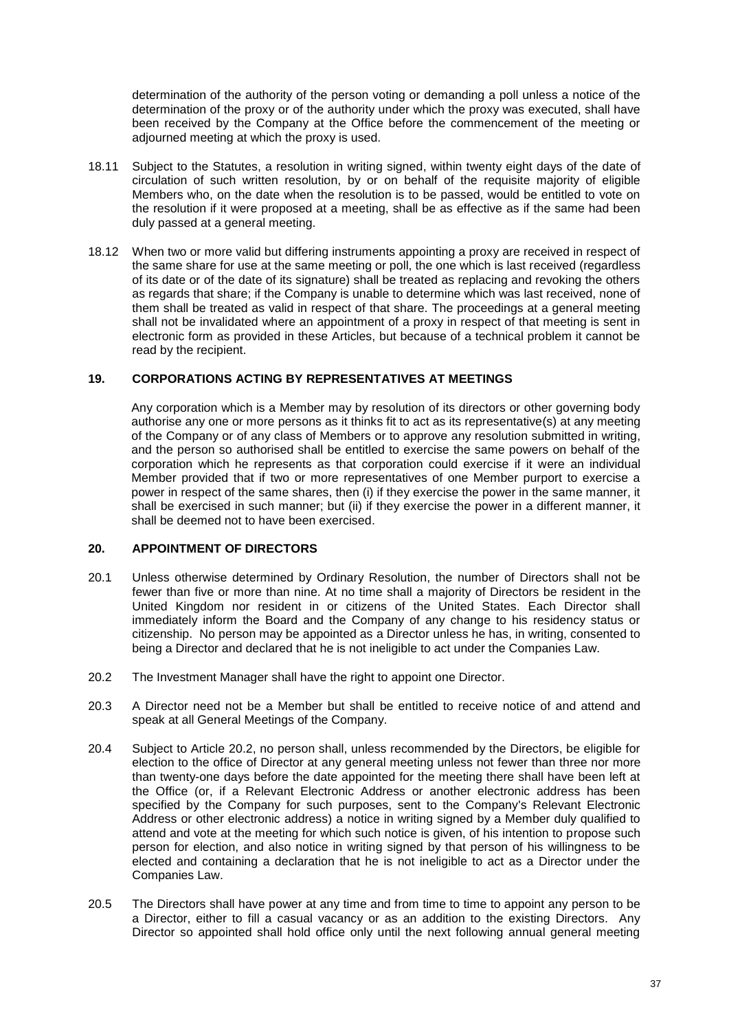determination of the authority of the person voting or demanding a poll unless a notice of the determination of the proxy or of the authority under which the proxy was executed, shall have been received by the Company at the Office before the commencement of the meeting or adjourned meeting at which the proxy is used.

- 18.11 Subject to the Statutes, a resolution in writing signed, within twenty eight days of the date of circulation of such written resolution, by or on behalf of the requisite majority of eligible Members who, on the date when the resolution is to be passed, would be entitled to vote on the resolution if it were proposed at a meeting, shall be as effective as if the same had been duly passed at a general meeting.
- 18.12 When two or more valid but differing instruments appointing a proxy are received in respect of the same share for use at the same meeting or poll, the one which is last received (regardless of its date or of the date of its signature) shall be treated as replacing and revoking the others as regards that share; if the Company is unable to determine which was last received, none of them shall be treated as valid in respect of that share. The proceedings at a general meeting shall not be invalidated where an appointment of a proxy in respect of that meeting is sent in electronic form as provided in these Articles, but because of a technical problem it cannot be read by the recipient.

### **19. CORPORATIONS ACTING BY REPRESENTATIVES AT MEETINGS**

Any corporation which is a Member may by resolution of its directors or other governing body authorise any one or more persons as it thinks fit to act as its representative(s) at any meeting of the Company or of any class of Members or to approve any resolution submitted in writing, and the person so authorised shall be entitled to exercise the same powers on behalf of the corporation which he represents as that corporation could exercise if it were an individual Member provided that if two or more representatives of one Member purport to exercise a power in respect of the same shares, then (i) if they exercise the power in the same manner, it shall be exercised in such manner; but (ii) if they exercise the power in a different manner, it shall be deemed not to have been exercised.

#### **20. APPOINTMENT OF DIRECTORS**

- <span id="page-38-2"></span>20.1 Unless otherwise determined by Ordinary Resolution, the number of Directors shall not be fewer than five or more than nine. At no time shall a majority of Directors be resident in the United Kingdom nor resident in or citizens of the United States. Each Director shall immediately inform the Board and the Company of any change to his residency status or citizenship. No person may be appointed as a Director unless he has, in writing, consented to being a Director and declared that he is not ineligible to act under the Companies Law.
- <span id="page-38-0"></span>20.2 The Investment Manager shall have the right to appoint one Director.
- 20.3 A Director need not be a Member but shall be entitled to receive notice of and attend and speak at all General Meetings of the Company.
- 20.4 Subject to Article [20.2,](#page-38-0) no person shall, unless recommended by the Directors, be eligible for election to the office of Director at any general meeting unless not fewer than three nor more than twenty-one days before the date appointed for the meeting there shall have been left at the Office (or, if a Relevant Electronic Address or another electronic address has been specified by the Company for such purposes, sent to the Company's Relevant Electronic Address or other electronic address) a notice in writing signed by a Member duly qualified to attend and vote at the meeting for which such notice is given, of his intention to propose such person for election, and also notice in writing signed by that person of his willingness to be elected and containing a declaration that he is not ineligible to act as a Director under the Companies Law.
- <span id="page-38-1"></span>20.5 The Directors shall have power at any time and from time to time to appoint any person to be a Director, either to fill a casual vacancy or as an addition to the existing Directors. Any Director so appointed shall hold office only until the next following annual general meeting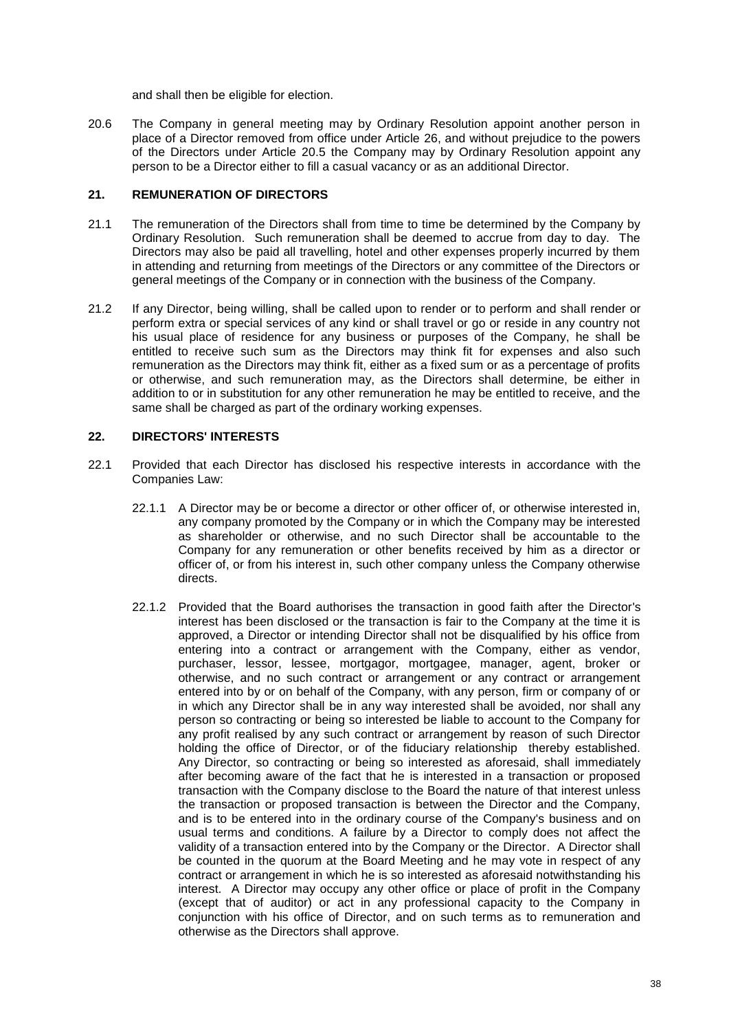and shall then be eligible for election.

20.6 The Company in general meeting may by Ordinary Resolution appoint another person in place of a Director removed from office under Article [26,](#page-41-0) and without prejudice to the powers of the Directors under Article [20.5](#page-38-1) the Company may by Ordinary Resolution appoint any person to be a Director either to fill a casual vacancy or as an additional Director.

## **21. REMUNERATION OF DIRECTORS**

- 21.1 The remuneration of the Directors shall from time to time be determined by the Company by Ordinary Resolution. Such remuneration shall be deemed to accrue from day to day. The Directors may also be paid all travelling, hotel and other expenses properly incurred by them in attending and returning from meetings of the Directors or any committee of the Directors or general meetings of the Company or in connection with the business of the Company.
- 21.2 If any Director, being willing, shall be called upon to render or to perform and shall render or perform extra or special services of any kind or shall travel or go or reside in any country not his usual place of residence for any business or purposes of the Company, he shall be entitled to receive such sum as the Directors may think fit for expenses and also such remuneration as the Directors may think fit, either as a fixed sum or as a percentage of profits or otherwise, and such remuneration may, as the Directors shall determine, be either in addition to or in substitution for any other remuneration he may be entitled to receive, and the same shall be charged as part of the ordinary working expenses.

### **22. DIRECTORS' INTERESTS**

- 22.1 Provided that each Director has disclosed his respective interests in accordance with the Companies Law:
	- 22.1.1 A Director may be or become a director or other officer of, or otherwise interested in, any company promoted by the Company or in which the Company may be interested as shareholder or otherwise, and no such Director shall be accountable to the Company for any remuneration or other benefits received by him as a director or officer of, or from his interest in, such other company unless the Company otherwise directs.
	- 22.1.2 Provided that the Board authorises the transaction in good faith after the Director's interest has been disclosed or the transaction is fair to the Company at the time it is approved, a Director or intending Director shall not be disqualified by his office from entering into a contract or arrangement with the Company, either as vendor, purchaser, lessor, lessee, mortgagor, mortgagee, manager, agent, broker or otherwise, and no such contract or arrangement or any contract or arrangement entered into by or on behalf of the Company, with any person, firm or company of or in which any Director shall be in any way interested shall be avoided, nor shall any person so contracting or being so interested be liable to account to the Company for any profit realised by any such contract or arrangement by reason of such Director holding the office of Director, or of the fiduciary relationship thereby established. Any Director, so contracting or being so interested as aforesaid, shall immediately after becoming aware of the fact that he is interested in a transaction or proposed transaction with the Company disclose to the Board the nature of that interest unless the transaction or proposed transaction is between the Director and the Company, and is to be entered into in the ordinary course of the Company's business and on usual terms and conditions. A failure by a Director to comply does not affect the validity of a transaction entered into by the Company or the Director. A Director shall be counted in the quorum at the Board Meeting and he may vote in respect of any contract or arrangement in which he is so interested as aforesaid notwithstanding his interest. A Director may occupy any other office or place of profit in the Company (except that of auditor) or act in any professional capacity to the Company in conjunction with his office of Director, and on such terms as to remuneration and otherwise as the Directors shall approve.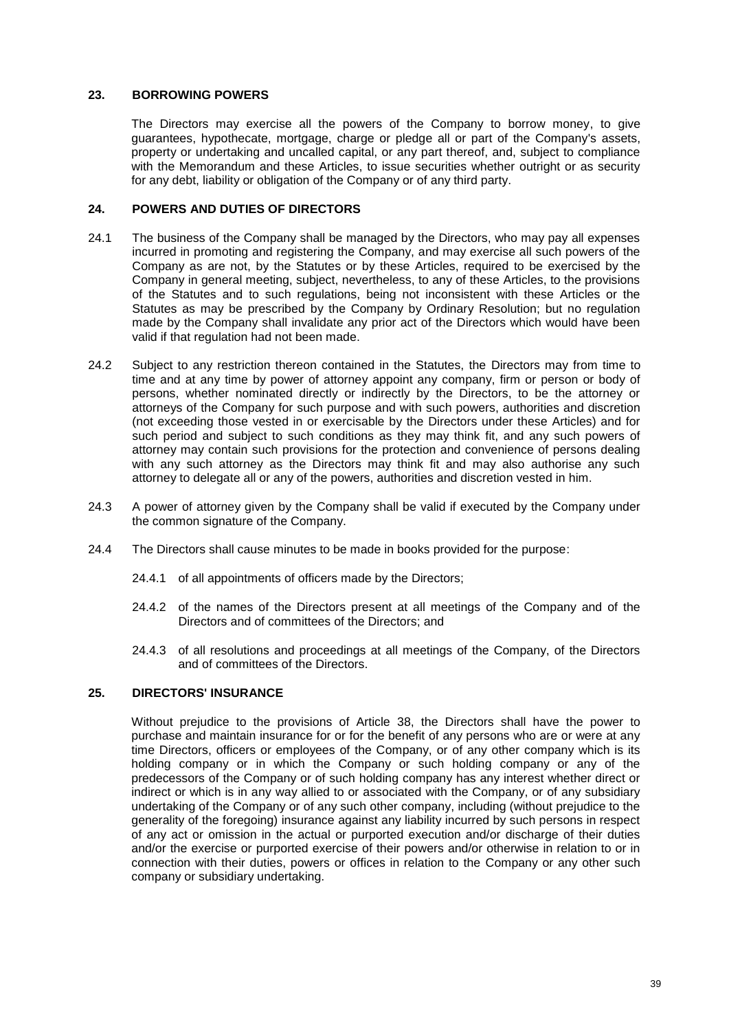### **23. BORROWING POWERS**

The Directors may exercise all the powers of the Company to borrow money, to give guarantees, hypothecate, mortgage, charge or pledge all or part of the Company's assets, property or undertaking and uncalled capital, or any part thereof, and, subject to compliance with the Memorandum and these Articles, to issue securities whether outright or as security for any debt, liability or obligation of the Company or of any third party.

## **24. POWERS AND DUTIES OF DIRECTORS**

- 24.1 The business of the Company shall be managed by the Directors, who may pay all expenses incurred in promoting and registering the Company, and may exercise all such powers of the Company as are not, by the Statutes or by these Articles, required to be exercised by the Company in general meeting, subject, nevertheless, to any of these Articles, to the provisions of the Statutes and to such regulations, being not inconsistent with these Articles or the Statutes as may be prescribed by the Company by Ordinary Resolution; but no regulation made by the Company shall invalidate any prior act of the Directors which would have been valid if that regulation had not been made.
- 24.2 Subject to any restriction thereon contained in the Statutes, the Directors may from time to time and at any time by power of attorney appoint any company, firm or person or body of persons, whether nominated directly or indirectly by the Directors, to be the attorney or attorneys of the Company for such purpose and with such powers, authorities and discretion (not exceeding those vested in or exercisable by the Directors under these Articles) and for such period and subject to such conditions as they may think fit, and any such powers of attorney may contain such provisions for the protection and convenience of persons dealing with any such attorney as the Directors may think fit and may also authorise any such attorney to delegate all or any of the powers, authorities and discretion vested in him.
- 24.3 A power of attorney given by the Company shall be valid if executed by the Company under the common signature of the Company.
- 24.4 The Directors shall cause minutes to be made in books provided for the purpose:
	- 24.4.1 of all appointments of officers made by the Directors;
	- 24.4.2 of the names of the Directors present at all meetings of the Company and of the Directors and of committees of the Directors; and
	- 24.4.3 of all resolutions and proceedings at all meetings of the Company, of the Directors and of committees of the Directors.

#### **25. DIRECTORS' INSURANCE**

Without prejudice to the provisions of Article [38,](#page-48-0) the Directors shall have the power to purchase and maintain insurance for or for the benefit of any persons who are or were at any time Directors, officers or employees of the Company, or of any other company which is its holding company or in which the Company or such holding company or any of the predecessors of the Company or of such holding company has any interest whether direct or indirect or which is in any way allied to or associated with the Company, or of any subsidiary undertaking of the Company or of any such other company, including (without prejudice to the generality of the foregoing) insurance against any liability incurred by such persons in respect of any act or omission in the actual or purported execution and/or discharge of their duties and/or the exercise or purported exercise of their powers and/or otherwise in relation to or in connection with their duties, powers or offices in relation to the Company or any other such company or subsidiary undertaking.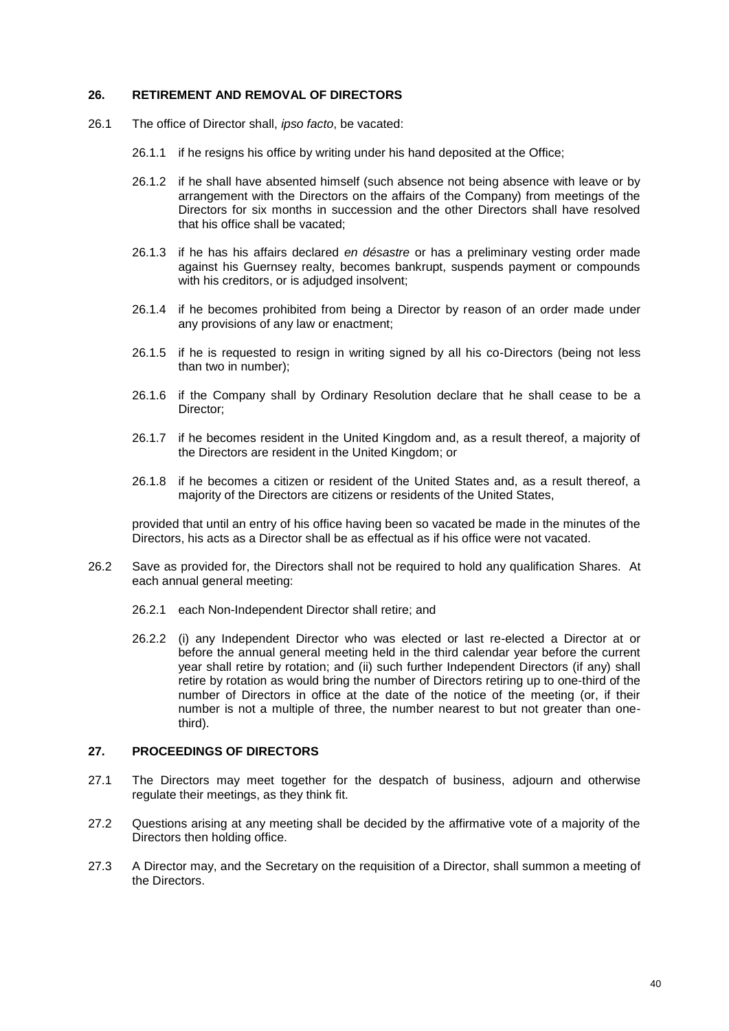### <span id="page-41-0"></span>**26. RETIREMENT AND REMOVAL OF DIRECTORS**

- 26.1 The office of Director shall, *ipso facto*, be vacated:
	- 26.1.1 if he resigns his office by writing under his hand deposited at the Office;
	- 26.1.2 if he shall have absented himself (such absence not being absence with leave or by arrangement with the Directors on the affairs of the Company) from meetings of the Directors for six months in succession and the other Directors shall have resolved that his office shall be vacated;
	- 26.1.3 if he has his affairs declared *en désastre* or has a preliminary vesting order made against his Guernsey realty, becomes bankrupt, suspends payment or compounds with his creditors, or is adjudged insolvent;
	- 26.1.4 if he becomes prohibited from being a Director by reason of an order made under any provisions of any law or enactment;
	- 26.1.5 if he is requested to resign in writing signed by all his co-Directors (being not less than two in number);
	- 26.1.6 if the Company shall by Ordinary Resolution declare that he shall cease to be a Director;
	- 26.1.7 if he becomes resident in the United Kingdom and, as a result thereof, a majority of the Directors are resident in the United Kingdom; or
	- 26.1.8 if he becomes a citizen or resident of the United States and, as a result thereof, a majority of the Directors are citizens or residents of the United States,

provided that until an entry of his office having been so vacated be made in the minutes of the Directors, his acts as a Director shall be as effectual as if his office were not vacated.

- 26.2 Save as provided for, the Directors shall not be required to hold any qualification Shares. At each annual general meeting:
	- 26.2.1 each Non-Independent Director shall retire; and
	- 26.2.2 (i) any Independent Director who was elected or last re-elected a Director at or before the annual general meeting held in the third calendar year before the current year shall retire by rotation; and (ii) such further Independent Directors (if any) shall retire by rotation as would bring the number of Directors retiring up to one-third of the number of Directors in office at the date of the notice of the meeting (or, if their number is not a multiple of three, the number nearest to but not greater than onethird).

### **27. PROCEEDINGS OF DIRECTORS**

- 27.1 The Directors may meet together for the despatch of business, adjourn and otherwise regulate their meetings, as they think fit.
- 27.2 Questions arising at any meeting shall be decided by the affirmative vote of a majority of the Directors then holding office.
- 27.3 A Director may, and the Secretary on the requisition of a Director, shall summon a meeting of the Directors.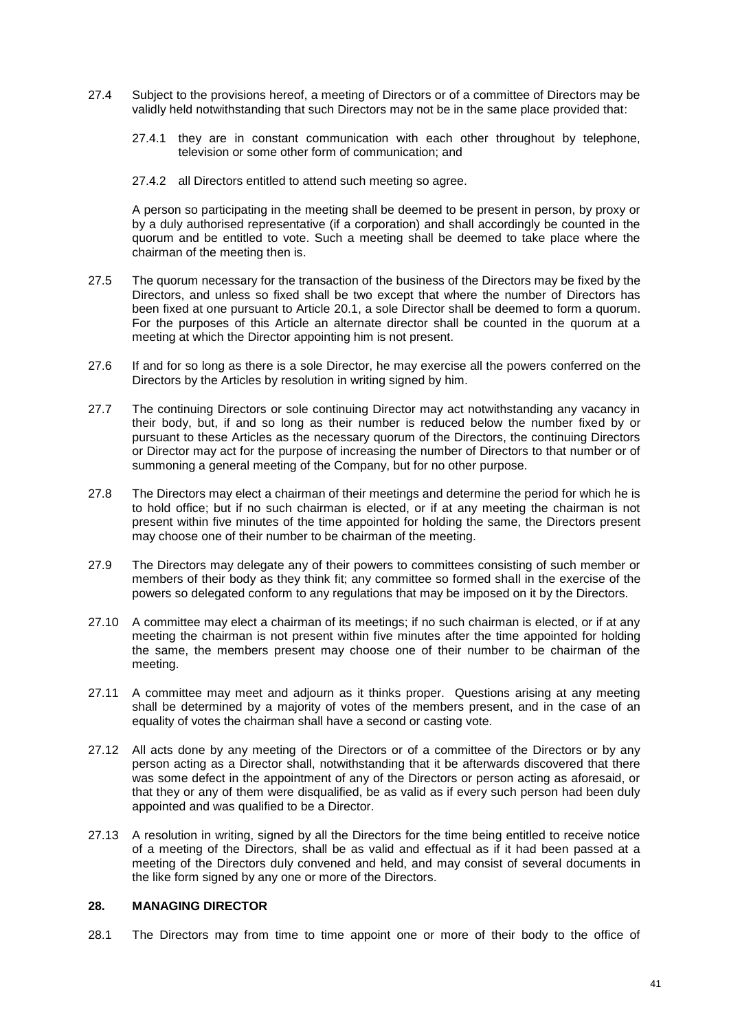- 27.4 Subject to the provisions hereof, a meeting of Directors or of a committee of Directors may be validly held notwithstanding that such Directors may not be in the same place provided that:
	- 27.4.1 they are in constant communication with each other throughout by telephone, television or some other form of communication; and
	- 27.4.2 all Directors entitled to attend such meeting so agree.

A person so participating in the meeting shall be deemed to be present in person, by proxy or by a duly authorised representative (if a corporation) and shall accordingly be counted in the quorum and be entitled to vote. Such a meeting shall be deemed to take place where the chairman of the meeting then is.

- 27.5 The quorum necessary for the transaction of the business of the Directors may be fixed by the Directors, and unless so fixed shall be two except that where the number of Directors has been fixed at one pursuant to Article [20.1,](#page-38-2) a sole Director shall be deemed to form a quorum. For the purposes of this Article an alternate director shall be counted in the quorum at a meeting at which the Director appointing him is not present.
- 27.6 If and for so long as there is a sole Director, he may exercise all the powers conferred on the Directors by the Articles by resolution in writing signed by him.
- 27.7 The continuing Directors or sole continuing Director may act notwithstanding any vacancy in their body, but, if and so long as their number is reduced below the number fixed by or pursuant to these Articles as the necessary quorum of the Directors, the continuing Directors or Director may act for the purpose of increasing the number of Directors to that number or of summoning a general meeting of the Company, but for no other purpose.
- 27.8 The Directors may elect a chairman of their meetings and determine the period for which he is to hold office; but if no such chairman is elected, or if at any meeting the chairman is not present within five minutes of the time appointed for holding the same, the Directors present may choose one of their number to be chairman of the meeting.
- 27.9 The Directors may delegate any of their powers to committees consisting of such member or members of their body as they think fit; any committee so formed shall in the exercise of the powers so delegated conform to any regulations that may be imposed on it by the Directors.
- 27.10 A committee may elect a chairman of its meetings; if no such chairman is elected, or if at any meeting the chairman is not present within five minutes after the time appointed for holding the same, the members present may choose one of their number to be chairman of the meeting.
- 27.11 A committee may meet and adjourn as it thinks proper. Questions arising at any meeting shall be determined by a majority of votes of the members present, and in the case of an equality of votes the chairman shall have a second or casting vote.
- 27.12 All acts done by any meeting of the Directors or of a committee of the Directors or by any person acting as a Director shall, notwithstanding that it be afterwards discovered that there was some defect in the appointment of any of the Directors or person acting as aforesaid, or that they or any of them were disqualified, be as valid as if every such person had been duly appointed and was qualified to be a Director.
- 27.13 A resolution in writing, signed by all the Directors for the time being entitled to receive notice of a meeting of the Directors, shall be as valid and effectual as if it had been passed at a meeting of the Directors duly convened and held, and may consist of several documents in the like form signed by any one or more of the Directors.

### **28. MANAGING DIRECTOR**

28.1 The Directors may from time to time appoint one or more of their body to the office of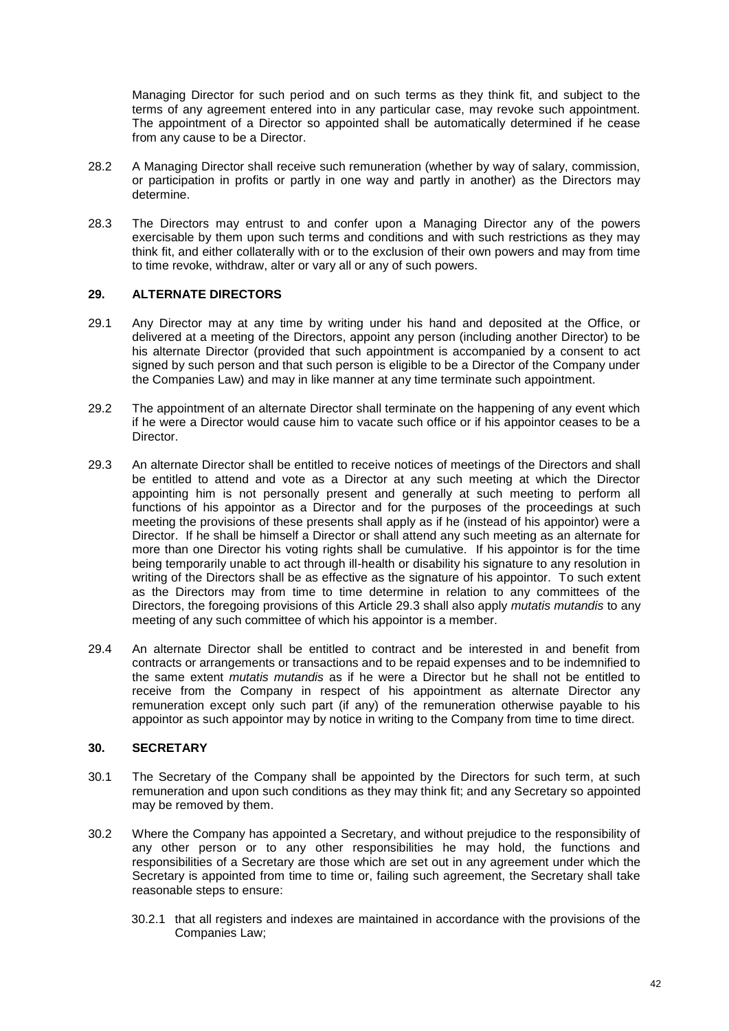Managing Director for such period and on such terms as they think fit, and subject to the terms of any agreement entered into in any particular case, may revoke such appointment. The appointment of a Director so appointed shall be automatically determined if he cease from any cause to be a Director.

- 28.2 A Managing Director shall receive such remuneration (whether by way of salary, commission, or participation in profits or partly in one way and partly in another) as the Directors may determine.
- 28.3 The Directors may entrust to and confer upon a Managing Director any of the powers exercisable by them upon such terms and conditions and with such restrictions as they may think fit, and either collaterally with or to the exclusion of their own powers and may from time to time revoke, withdraw, alter or vary all or any of such powers.

## **29. ALTERNATE DIRECTORS**

- 29.1 Any Director may at any time by writing under his hand and deposited at the Office, or delivered at a meeting of the Directors, appoint any person (including another Director) to be his alternate Director (provided that such appointment is accompanied by a consent to act signed by such person and that such person is eligible to be a Director of the Company under the Companies Law) and may in like manner at any time terminate such appointment.
- 29.2 The appointment of an alternate Director shall terminate on the happening of any event which if he were a Director would cause him to vacate such office or if his appointor ceases to be a Director.
- <span id="page-43-0"></span>29.3 An alternate Director shall be entitled to receive notices of meetings of the Directors and shall be entitled to attend and vote as a Director at any such meeting at which the Director appointing him is not personally present and generally at such meeting to perform all functions of his appointor as a Director and for the purposes of the proceedings at such meeting the provisions of these presents shall apply as if he (instead of his appointor) were a Director. If he shall be himself a Director or shall attend any such meeting as an alternate for more than one Director his voting rights shall be cumulative. If his appointor is for the time being temporarily unable to act through ill-health or disability his signature to any resolution in writing of the Directors shall be as effective as the signature of his appointor. To such extent as the Directors may from time to time determine in relation to any committees of the Directors, the foregoing provisions of this Article [29.3](#page-43-0) shall also apply *mutatis mutandis* to any meeting of any such committee of which his appointor is a member.
- 29.4 An alternate Director shall be entitled to contract and be interested in and benefit from contracts or arrangements or transactions and to be repaid expenses and to be indemnified to the same extent *mutatis mutandis* as if he were a Director but he shall not be entitled to receive from the Company in respect of his appointment as alternate Director any remuneration except only such part (if any) of the remuneration otherwise payable to his appointor as such appointor may by notice in writing to the Company from time to time direct.

## **30. SECRETARY**

- 30.1 The Secretary of the Company shall be appointed by the Directors for such term, at such remuneration and upon such conditions as they may think fit; and any Secretary so appointed may be removed by them.
- 30.2 Where the Company has appointed a Secretary, and without prejudice to the responsibility of any other person or to any other responsibilities he may hold, the functions and responsibilities of a Secretary are those which are set out in any agreement under which the Secretary is appointed from time to time or, failing such agreement, the Secretary shall take reasonable steps to ensure:
	- 30.2.1 that all registers and indexes are maintained in accordance with the provisions of the Companies Law;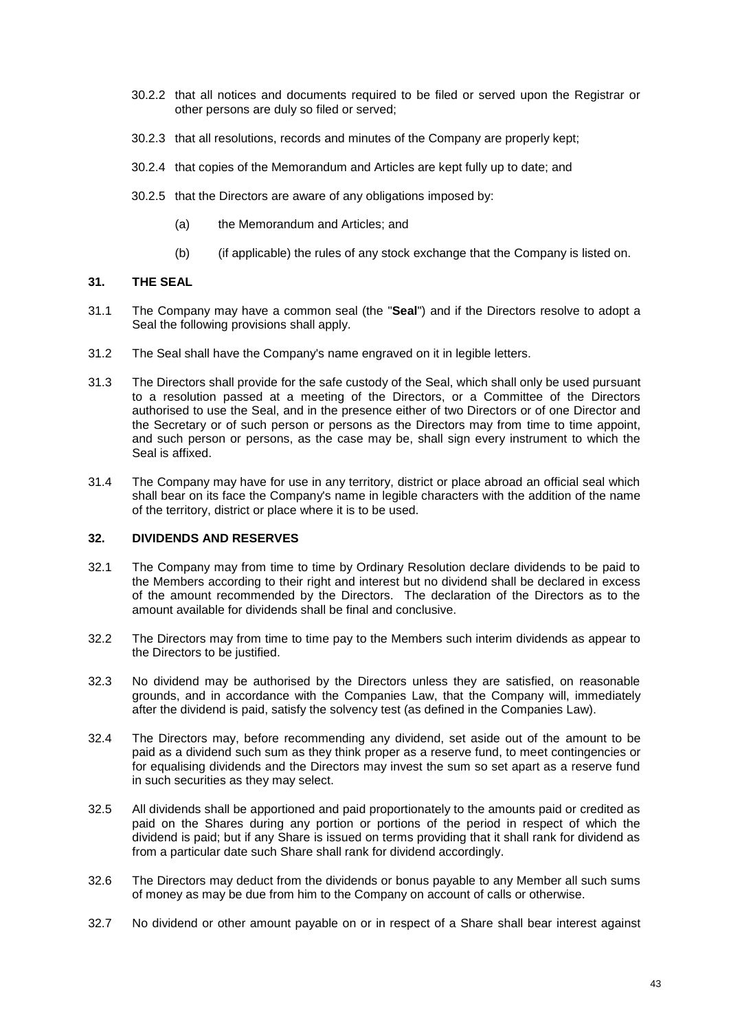- 30.2.2 that all notices and documents required to be filed or served upon the Registrar or other persons are duly so filed or served;
- 30.2.3 that all resolutions, records and minutes of the Company are properly kept;
- 30.2.4 that copies of the Memorandum and Articles are kept fully up to date; and
- 30.2.5 that the Directors are aware of any obligations imposed by:
	- (a) the Memorandum and Articles; and
	- (b) (if applicable) the rules of any stock exchange that the Company is listed on.

### **31. THE SEAL**

- <span id="page-44-0"></span>31.1 The Company may have a common seal (the "**Seal**") and if the Directors resolve to adopt a Seal the following provisions shall apply.
- 31.2 The Seal shall have the Company's name engraved on it in legible letters.
- 31.3 The Directors shall provide for the safe custody of the Seal, which shall only be used pursuant to a resolution passed at a meeting of the Directors, or a Committee of the Directors authorised to use the Seal, and in the presence either of two Directors or of one Director and the Secretary or of such person or persons as the Directors may from time to time appoint, and such person or persons, as the case may be, shall sign every instrument to which the Seal is affixed.
- 31.4 The Company may have for use in any territory, district or place abroad an official seal which shall bear on its face the Company's name in legible characters with the addition of the name of the territory, district or place where it is to be used.

## <span id="page-44-1"></span>**32. DIVIDENDS AND RESERVES**

- 32.1 The Company may from time to time by Ordinary Resolution declare dividends to be paid to the Members according to their right and interest but no dividend shall be declared in excess of the amount recommended by the Directors. The declaration of the Directors as to the amount available for dividends shall be final and conclusive.
- 32.2 The Directors may from time to time pay to the Members such interim dividends as appear to the Directors to be justified.
- 32.3 No dividend may be authorised by the Directors unless they are satisfied, on reasonable grounds, and in accordance with the Companies Law, that the Company will, immediately after the dividend is paid, satisfy the solvency test (as defined in the Companies Law).
- 32.4 The Directors may, before recommending any dividend, set aside out of the amount to be paid as a dividend such sum as they think proper as a reserve fund, to meet contingencies or for equalising dividends and the Directors may invest the sum so set apart as a reserve fund in such securities as they may select.
- 32.5 All dividends shall be apportioned and paid proportionately to the amounts paid or credited as paid on the Shares during any portion or portions of the period in respect of which the dividend is paid; but if any Share is issued on terms providing that it shall rank for dividend as from a particular date such Share shall rank for dividend accordingly.
- 32.6 The Directors may deduct from the dividends or bonus payable to any Member all such sums of money as may be due from him to the Company on account of calls or otherwise.
- 32.7 No dividend or other amount payable on or in respect of a Share shall bear interest against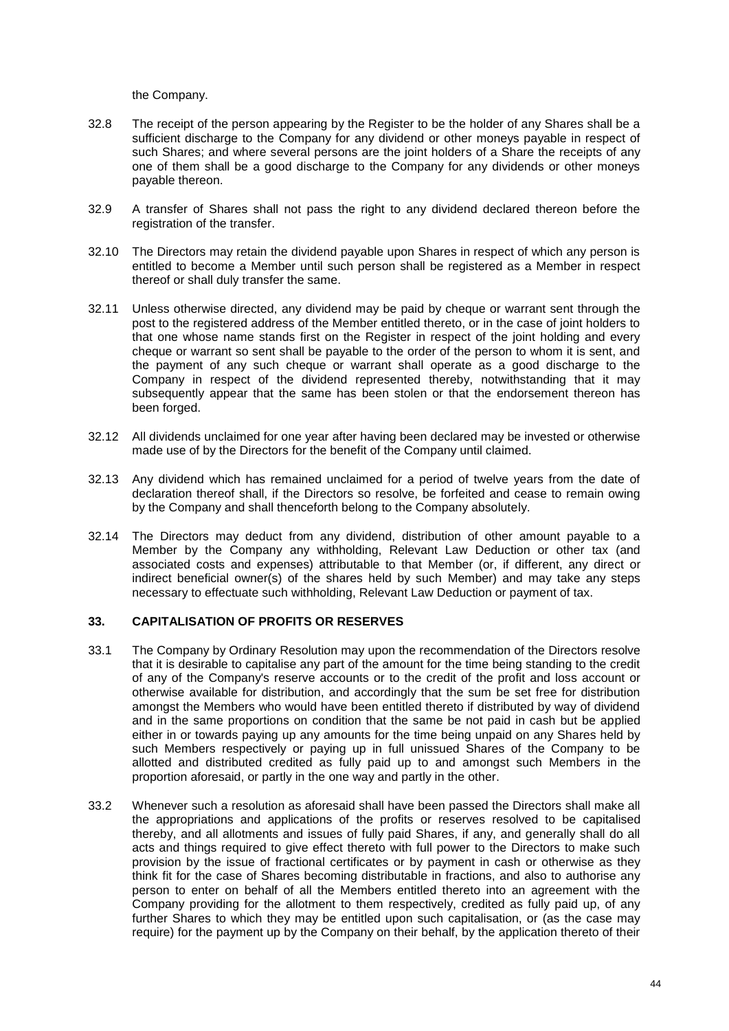the Company.

- 32.8 The receipt of the person appearing by the Register to be the holder of any Shares shall be a sufficient discharge to the Company for any dividend or other moneys payable in respect of such Shares; and where several persons are the joint holders of a Share the receipts of any one of them shall be a good discharge to the Company for any dividends or other moneys payable thereon.
- 32.9 A transfer of Shares shall not pass the right to any dividend declared thereon before the registration of the transfer.
- 32.10 The Directors may retain the dividend payable upon Shares in respect of which any person is entitled to become a Member until such person shall be registered as a Member in respect thereof or shall duly transfer the same.
- 32.11 Unless otherwise directed, any dividend may be paid by cheque or warrant sent through the post to the registered address of the Member entitled thereto, or in the case of joint holders to that one whose name stands first on the Register in respect of the joint holding and every cheque or warrant so sent shall be payable to the order of the person to whom it is sent, and the payment of any such cheque or warrant shall operate as a good discharge to the Company in respect of the dividend represented thereby, notwithstanding that it may subsequently appear that the same has been stolen or that the endorsement thereon has been forged.
- 32.12 All dividends unclaimed for one year after having been declared may be invested or otherwise made use of by the Directors for the benefit of the Company until claimed.
- 32.13 Any dividend which has remained unclaimed for a period of twelve years from the date of declaration thereof shall, if the Directors so resolve, be forfeited and cease to remain owing by the Company and shall thenceforth belong to the Company absolutely.
- 32.14 The Directors may deduct from any dividend, distribution of other amount payable to a Member by the Company any withholding, Relevant Law Deduction or other tax (and associated costs and expenses) attributable to that Member (or, if different, any direct or indirect beneficial owner(s) of the shares held by such Member) and may take any steps necessary to effectuate such withholding, Relevant Law Deduction or payment of tax.

### **33. CAPITALISATION OF PROFITS OR RESERVES**

- 33.1 The Company by Ordinary Resolution may upon the recommendation of the Directors resolve that it is desirable to capitalise any part of the amount for the time being standing to the credit of any of the Company's reserve accounts or to the credit of the profit and loss account or otherwise available for distribution, and accordingly that the sum be set free for distribution amongst the Members who would have been entitled thereto if distributed by way of dividend and in the same proportions on condition that the same be not paid in cash but be applied either in or towards paying up any amounts for the time being unpaid on any Shares held by such Members respectively or paying up in full unissued Shares of the Company to be allotted and distributed credited as fully paid up to and amongst such Members in the proportion aforesaid, or partly in the one way and partly in the other.
- 33.2 Whenever such a resolution as aforesaid shall have been passed the Directors shall make all the appropriations and applications of the profits or reserves resolved to be capitalised thereby, and all allotments and issues of fully paid Shares, if any, and generally shall do all acts and things required to give effect thereto with full power to the Directors to make such provision by the issue of fractional certificates or by payment in cash or otherwise as they think fit for the case of Shares becoming distributable in fractions, and also to authorise any person to enter on behalf of all the Members entitled thereto into an agreement with the Company providing for the allotment to them respectively, credited as fully paid up, of any further Shares to which they may be entitled upon such capitalisation, or (as the case may require) for the payment up by the Company on their behalf, by the application thereto of their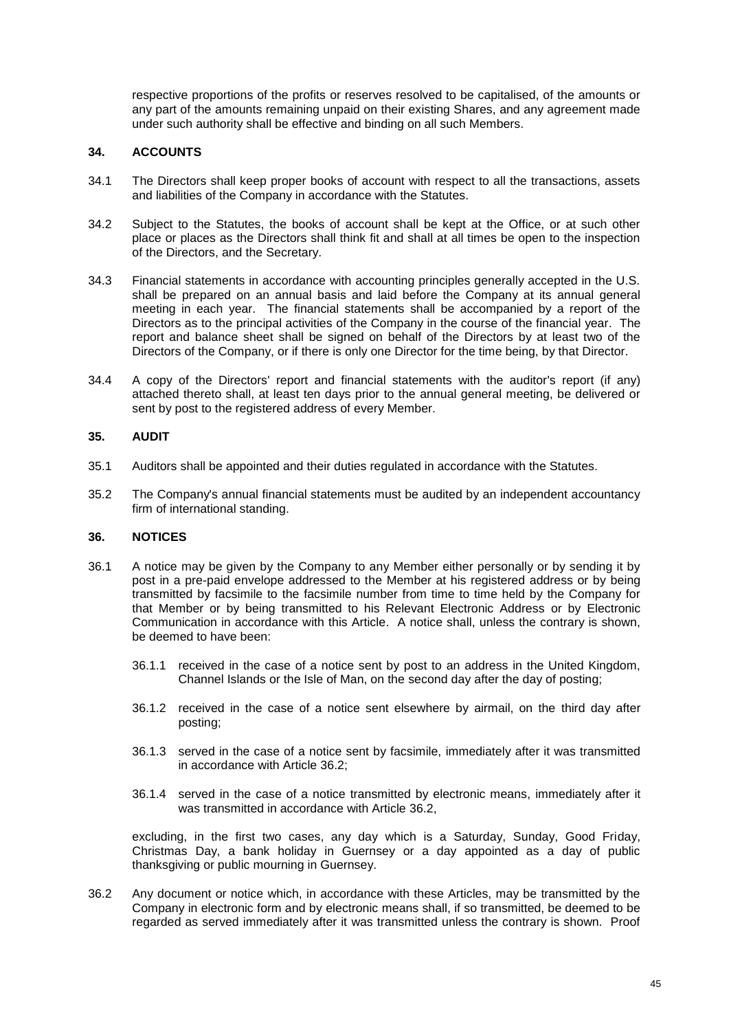respective proportions of the profits or reserves resolved to be capitalised, of the amounts or any part of the amounts remaining unpaid on their existing Shares, and any agreement made under such authority shall be effective and binding on all such Members.

## **34. ACCOUNTS**

- 34.1 The Directors shall keep proper books of account with respect to all the transactions, assets and liabilities of the Company in accordance with the Statutes.
- 34.2 Subject to the Statutes, the books of account shall be kept at the Office, or at such other place or places as the Directors shall think fit and shall at all times be open to the inspection of the Directors, and the Secretary.
- 34.3 Financial statements in accordance with accounting principles generally accepted in the U.S. shall be prepared on an annual basis and laid before the Company at its annual general meeting in each year. The financial statements shall be accompanied by a report of the Directors as to the principal activities of the Company in the course of the financial year. The report and balance sheet shall be signed on behalf of the Directors by at least two of the Directors of the Company, or if there is only one Director for the time being, by that Director.
- 34.4 A copy of the Directors' report and financial statements with the auditor's report (if any) attached thereto shall, at least ten days prior to the annual general meeting, be delivered or sent by post to the registered address of every Member.

### **35. AUDIT**

- 35.1 Auditors shall be appointed and their duties regulated in accordance with the Statutes.
- 35.2 The Company's annual financial statements must be audited by an independent accountancy firm of international standing.

### <span id="page-46-0"></span>**36. NOTICES**

- 36.1 A notice may be given by the Company to any Member either personally or by sending it by post in a pre-paid envelope addressed to the Member at his registered address or by being transmitted by facsimile to the facsimile number from time to time held by the Company for that Member or by being transmitted to his Relevant Electronic Address or by Electronic Communication in accordance with this Article. A notice shall, unless the contrary is shown, be deemed to have been:
	- 36.1.1 received in the case of a notice sent by post to an address in the United Kingdom, Channel Islands or the Isle of Man, on the second day after the day of posting;
	- 36.1.2 received in the case of a notice sent elsewhere by airmail, on the third day after posting;
	- 36.1.3 served in the case of a notice sent by facsimile, immediately after it was transmitted in accordance with Article [36.2;](#page-46-1)
	- 36.1.4 served in the case of a notice transmitted by electronic means, immediately after it was transmitted in accordance with Article [36.2,](#page-46-1)

excluding, in the first two cases, any day which is a Saturday, Sunday, Good Friday, Christmas Day, a bank holiday in Guernsey or a day appointed as a day of public thanksgiving or public mourning in Guernsey.

<span id="page-46-1"></span>36.2 Any document or notice which, in accordance with these Articles, may be transmitted by the Company in electronic form and by electronic means shall, if so transmitted, be deemed to be regarded as served immediately after it was transmitted unless the contrary is shown. Proof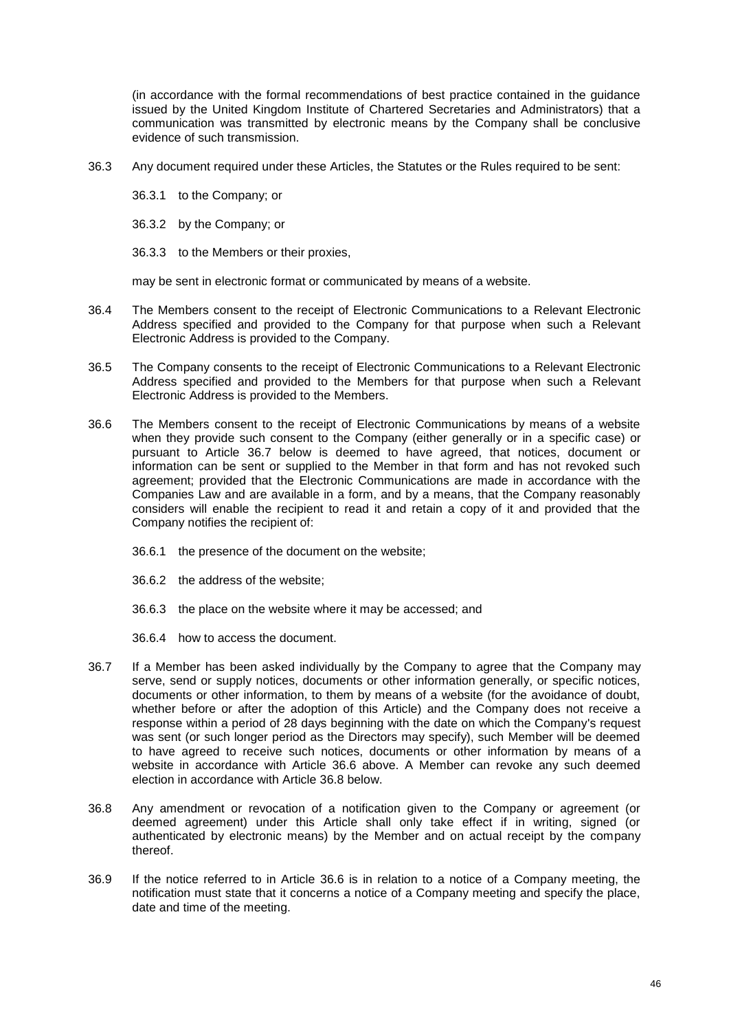(in accordance with the formal recommendations of best practice contained in the guidance issued by the United Kingdom Institute of Chartered Secretaries and Administrators) that a communication was transmitted by electronic means by the Company shall be conclusive evidence of such transmission.

- 36.3 Any document required under these Articles, the Statutes or the Rules required to be sent:
	- 36.3.1 to the Company; or
	- 36.3.2 by the Company; or
	- 36.3.3 to the Members or their proxies,

may be sent in electronic format or communicated by means of a website.

- 36.4 The Members consent to the receipt of Electronic Communications to a Relevant Electronic Address specified and provided to the Company for that purpose when such a Relevant Electronic Address is provided to the Company.
- 36.5 The Company consents to the receipt of Electronic Communications to a Relevant Electronic Address specified and provided to the Members for that purpose when such a Relevant Electronic Address is provided to the Members.
- <span id="page-47-1"></span>36.6 The Members consent to the receipt of Electronic Communications by means of a website when they provide such consent to the Company (either generally or in a specific case) or pursuant to Article [36.7](#page-47-0) below is deemed to have agreed, that notices, document or information can be sent or supplied to the Member in that form and has not revoked such agreement; provided that the Electronic Communications are made in accordance with the Companies Law and are available in a form, and by a means, that the Company reasonably considers will enable the recipient to read it and retain a copy of it and provided that the Company notifies the recipient of:
	- 36.6.1 the presence of the document on the website;
	- 36.6.2 the address of the website;
	- 36.6.3 the place on the website where it may be accessed; and
	- 36.6.4 how to access the document.
- <span id="page-47-0"></span>36.7 If a Member has been asked individually by the Company to agree that the Company may serve, send or supply notices, documents or other information generally, or specific notices, documents or other information, to them by means of a website (for the avoidance of doubt, whether before or after the adoption of this Article) and the Company does not receive a response within a period of 28 days beginning with the date on which the Company's request was sent (or such longer period as the Directors may specify), such Member will be deemed to have agreed to receive such notices, documents or other information by means of a website in accordance with Article [36.6](#page-47-1) above. A Member can revoke any such deemed election in accordance with Article [36.8](#page-47-2) below.
- <span id="page-47-2"></span>36.8 Any amendment or revocation of a notification given to the Company or agreement (or deemed agreement) under this Article shall only take effect if in writing, signed (or authenticated by electronic means) by the Member and on actual receipt by the company thereof.
- 36.9 If the notice referred to in Article [36.6](#page-47-1) is in relation to a notice of a Company meeting, the notification must state that it concerns a notice of a Company meeting and specify the place, date and time of the meeting.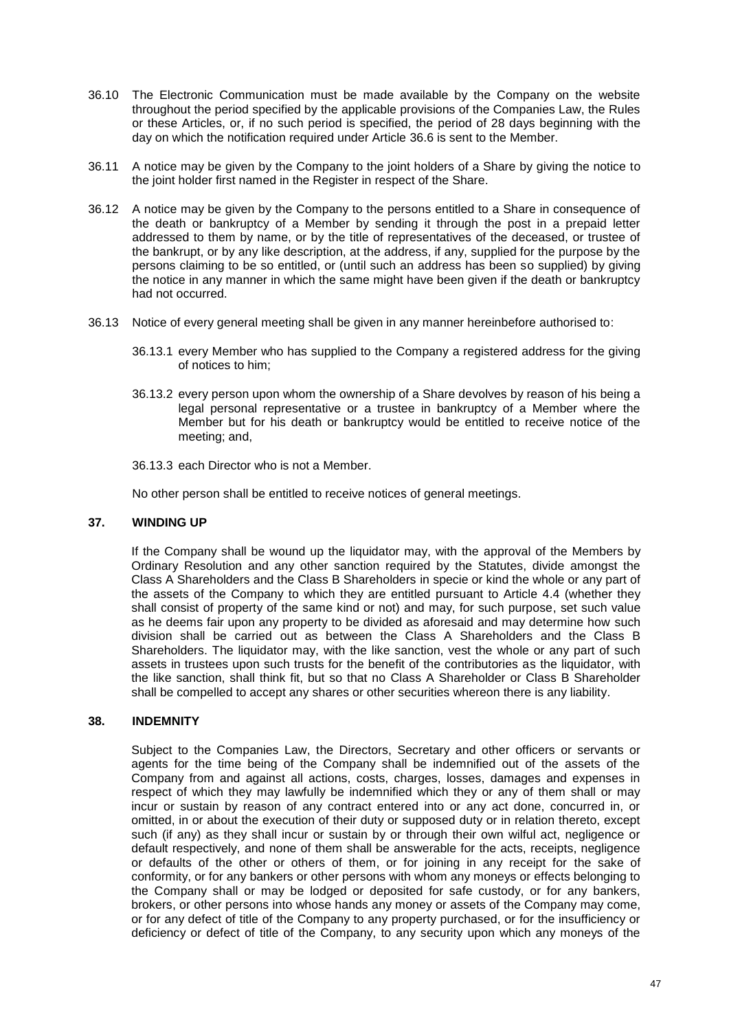- 36.10 The Electronic Communication must be made available by the Company on the website throughout the period specified by the applicable provisions of the Companies Law, the Rules or these Articles, or, if no such period is specified, the period of 28 days beginning with the day on which the notification required under Article [36.6](#page-47-1) is sent to the Member.
- 36.11 A notice may be given by the Company to the joint holders of a Share by giving the notice to the joint holder first named in the Register in respect of the Share.
- 36.12 A notice may be given by the Company to the persons entitled to a Share in consequence of the death or bankruptcy of a Member by sending it through the post in a prepaid letter addressed to them by name, or by the title of representatives of the deceased, or trustee of the bankrupt, or by any like description, at the address, if any, supplied for the purpose by the persons claiming to be so entitled, or (until such an address has been so supplied) by giving the notice in any manner in which the same might have been given if the death or bankruptcy had not occurred.
- 36.13 Notice of every general meeting shall be given in any manner hereinbefore authorised to:
	- 36.13.1 every Member who has supplied to the Company a registered address for the giving of notices to him;
	- 36.13.2 every person upon whom the ownership of a Share devolves by reason of his being a legal personal representative or a trustee in bankruptcy of a Member where the Member but for his death or bankruptcy would be entitled to receive notice of the meeting; and,
	- 36.13.3 each Director who is not a Member.

No other person shall be entitled to receive notices of general meetings.

#### **37. WINDING UP**

If the Company shall be wound up the liquidator may, with the approval of the Members by Ordinary Resolution and any other sanction required by the Statutes, divide amongst the Class A Shareholders and the Class B Shareholders in specie or kind the whole or any part of the assets of the Company to which they are entitled pursuant to Article [4.4](#page-11-2) (whether they shall consist of property of the same kind or not) and may, for such purpose, set such value as he deems fair upon any property to be divided as aforesaid and may determine how such division shall be carried out as between the Class A Shareholders and the Class B Shareholders. The liquidator may, with the like sanction, vest the whole or any part of such assets in trustees upon such trusts for the benefit of the contributories as the liquidator, with the like sanction, shall think fit, but so that no Class A Shareholder or Class B Shareholder shall be compelled to accept any shares or other securities whereon there is any liability.

### <span id="page-48-0"></span>**38. INDEMNITY**

Subject to the Companies Law, the Directors, Secretary and other officers or servants or agents for the time being of the Company shall be indemnified out of the assets of the Company from and against all actions, costs, charges, losses, damages and expenses in respect of which they may lawfully be indemnified which they or any of them shall or may incur or sustain by reason of any contract entered into or any act done, concurred in, or omitted, in or about the execution of their duty or supposed duty or in relation thereto, except such (if any) as they shall incur or sustain by or through their own wilful act, negligence or default respectively, and none of them shall be answerable for the acts, receipts, negligence or defaults of the other or others of them, or for joining in any receipt for the sake of conformity, or for any bankers or other persons with whom any moneys or effects belonging to the Company shall or may be lodged or deposited for safe custody, or for any bankers, brokers, or other persons into whose hands any money or assets of the Company may come, or for any defect of title of the Company to any property purchased, or for the insufficiency or deficiency or defect of title of the Company, to any security upon which any moneys of the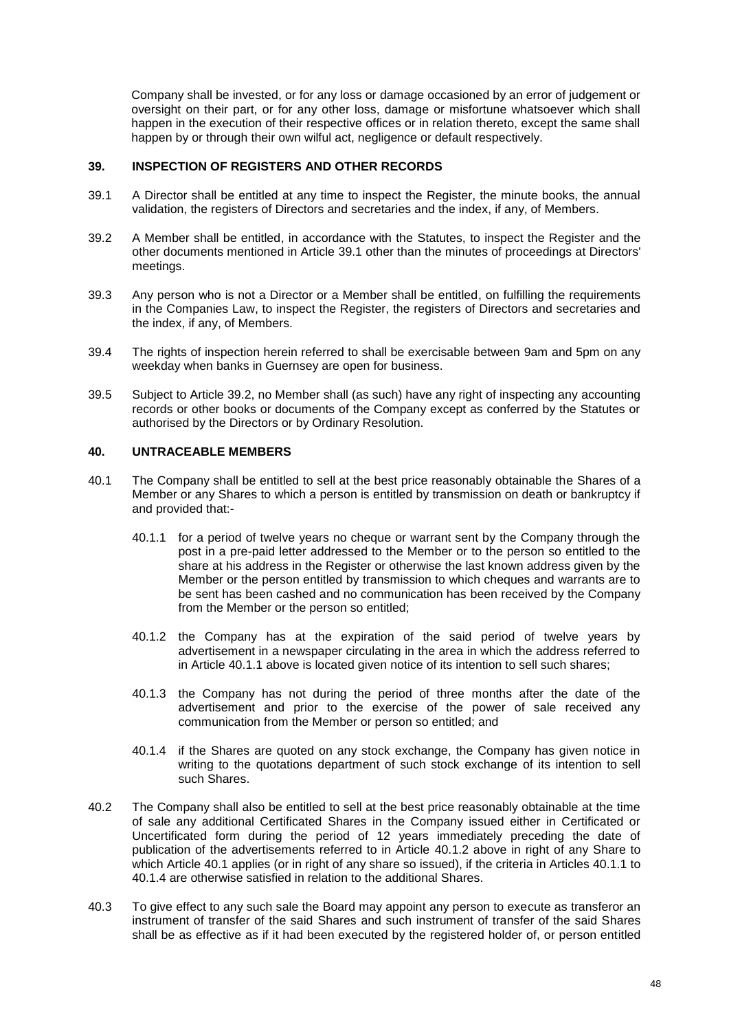Company shall be invested, or for any loss or damage occasioned by an error of judgement or oversight on their part, or for any other loss, damage or misfortune whatsoever which shall happen in the execution of their respective offices or in relation thereto, except the same shall happen by or through their own wilful act, negligence or default respectively.

### **39. INSPECTION OF REGISTERS AND OTHER RECORDS**

- <span id="page-49-0"></span>39.1 A Director shall be entitled at any time to inspect the Register, the minute books, the annual validation, the registers of Directors and secretaries and the index, if any, of Members.
- <span id="page-49-1"></span>39.2 A Member shall be entitled, in accordance with the Statutes, to inspect the Register and the other documents mentioned in Article [39.1](#page-49-0) other than the minutes of proceedings at Directors' meetings.
- 39.3 Any person who is not a Director or a Member shall be entitled, on fulfilling the requirements in the Companies Law, to inspect the Register, the registers of Directors and secretaries and the index, if any, of Members.
- 39.4 The rights of inspection herein referred to shall be exercisable between 9am and 5pm on any weekday when banks in Guernsey are open for business.
- 39.5 Subject to Article [39.2,](#page-49-1) no Member shall (as such) have any right of inspecting any accounting records or other books or documents of the Company except as conferred by the Statutes or authorised by the Directors or by Ordinary Resolution.

### **40. UNTRACEABLE MEMBERS**

- <span id="page-49-4"></span><span id="page-49-3"></span><span id="page-49-2"></span>40.1 The Company shall be entitled to sell at the best price reasonably obtainable the Shares of a Member or any Shares to which a person is entitled by transmission on death or bankruptcy if and provided that:-
	- 40.1.1 for a period of twelve years no cheque or warrant sent by the Company through the post in a pre-paid letter addressed to the Member or to the person so entitled to the share at his address in the Register or otherwise the last known address given by the Member or the person entitled by transmission to which cheques and warrants are to be sent has been cashed and no communication has been received by the Company from the Member or the person so entitled;
	- 40.1.2 the Company has at the expiration of the said period of twelve years by advertisement in a newspaper circulating in the area in which the address referred to in Article [40.1.1](#page-49-2) above is located given notice of its intention to sell such shares;
	- 40.1.3 the Company has not during the period of three months after the date of the advertisement and prior to the exercise of the power of sale received any communication from the Member or person so entitled; and
	- 40.1.4 if the Shares are quoted on any stock exchange, the Company has given notice in writing to the quotations department of such stock exchange of its intention to sell such Shares.
- <span id="page-49-5"></span>40.2 The Company shall also be entitled to sell at the best price reasonably obtainable at the time of sale any additional Certificated Shares in the Company issued either in Certificated or Uncertificated form during the period of 12 years immediately preceding the date of publication of the advertisements referred to in Article [40.1.2](#page-49-3) above in right of any Share to which Article [40.1](#page-49-4) applies (or in right of any share so issued), if the criteria in Articles [40.1.1](#page-49-2) to [40.1.4](#page-49-5) are otherwise satisfied in relation to the additional Shares.
- 40.3 To give effect to any such sale the Board may appoint any person to execute as transferor an instrument of transfer of the said Shares and such instrument of transfer of the said Shares shall be as effective as if it had been executed by the registered holder of, or person entitled